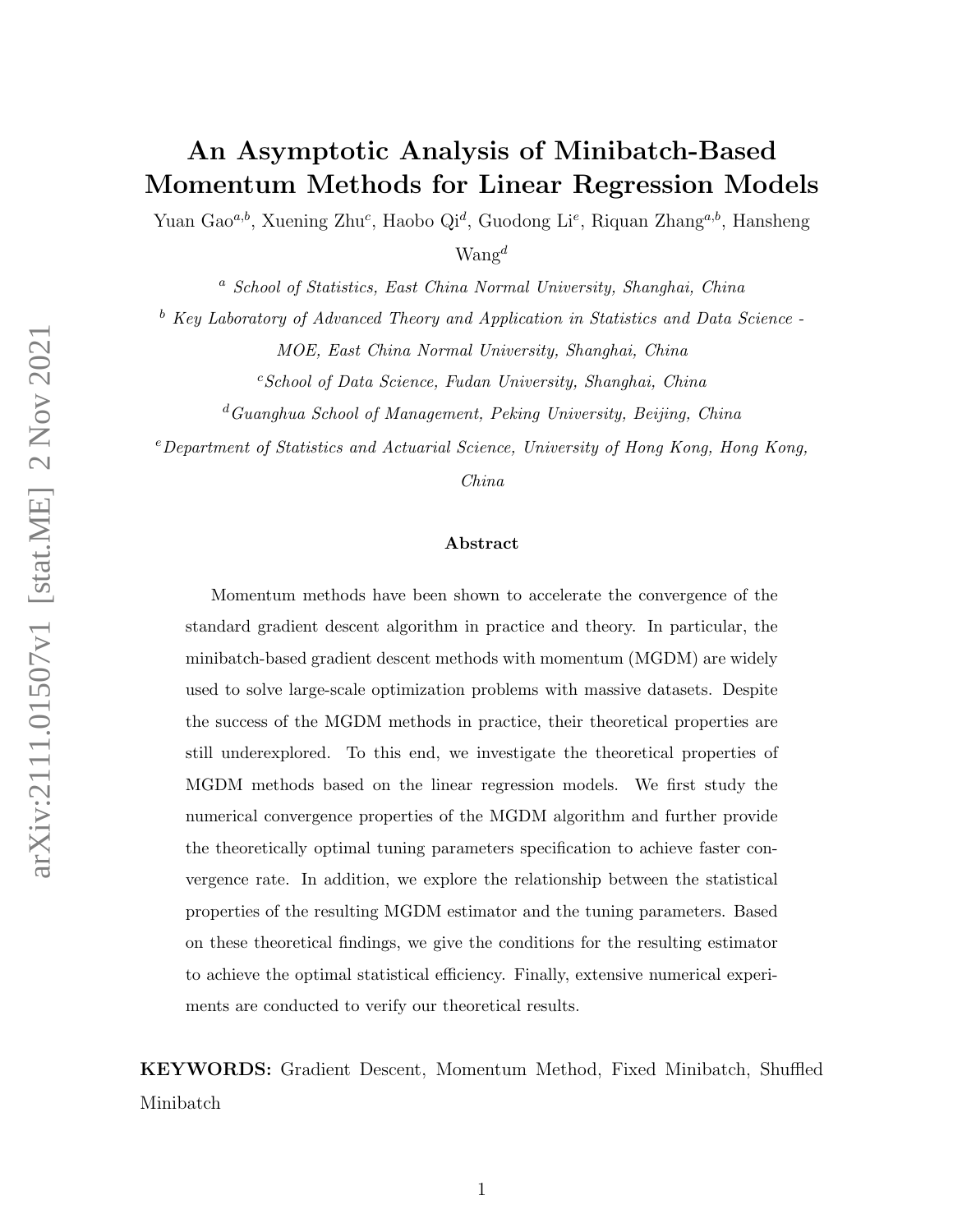# An Asymptotic Analysis of Minibatch-Based Momentum Methods for Linear Regression Models

Yuan Gao<sup>a,b</sup>, Xuening Zhu<sup>c</sup>, Haobo Qi<sup>d</sup>, Guodong Li<sup>e</sup>, Riquan Zhang<sup>a,b</sup>, Hansheng

 $W$ ang<sup>d</sup>

<sup>a</sup> School of Statistics, East China Normal University, Shanghai, China

 $b$  Key Laboratory of Advanced Theory and Application in Statistics and Data Science -

MOE, East China Normal University, Shanghai, China

 $c$ School of Data Science, Fudan University, Shanghai, China

 ${}^d$ Guanghua School of Management, Peking University, Beijing, China

<sup>e</sup>Department of Statistics and Actuarial Science, University of Hong Kong, Hong Kong,

China

#### Abstract

Momentum methods have been shown to accelerate the convergence of the standard gradient descent algorithm in practice and theory. In particular, the minibatch-based gradient descent methods with momentum (MGDM) are widely used to solve large-scale optimization problems with massive datasets. Despite the success of the MGDM methods in practice, their theoretical properties are still underexplored. To this end, we investigate the theoretical properties of MGDM methods based on the linear regression models. We first study the numerical convergence properties of the MGDM algorithm and further provide the theoretically optimal tuning parameters specification to achieve faster convergence rate. In addition, we explore the relationship between the statistical properties of the resulting MGDM estimator and the tuning parameters. Based on these theoretical findings, we give the conditions for the resulting estimator to achieve the optimal statistical efficiency. Finally, extensive numerical experiments are conducted to verify our theoretical results.

KEYWORDS: Gradient Descent, Momentum Method, Fixed Minibatch, Shuffled Minibatch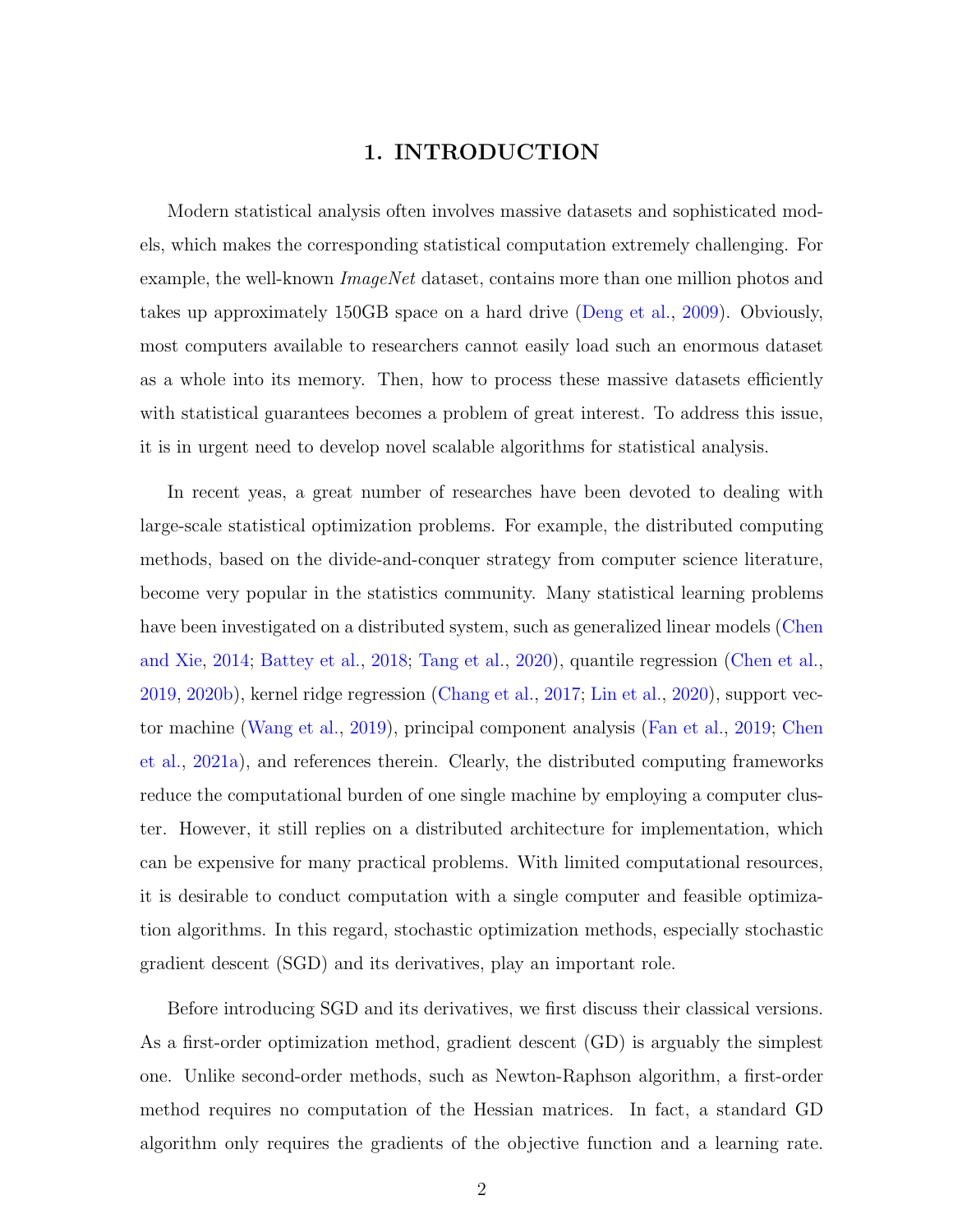## 1. INTRODUCTION

Modern statistical analysis often involves massive datasets and sophisticated models, which makes the corresponding statistical computation extremely challenging. For example, the well-known *ImageNet* dataset, contains more than one million photos and takes up approximately 150GB space on a hard drive [\(Deng et al.,](#page-42-0) [2009\)](#page-42-0). Obviously, most computers available to researchers cannot easily load such an enormous dataset as a whole into its memory. Then, how to process these massive datasets efficiently with statistical guarantees becomes a problem of great interest. To address this issue, it is in urgent need to develop novel scalable algorithms for statistical analysis.

In recent yeas, a great number of researches have been devoted to dealing with large-scale statistical optimization problems. For example, the distributed computing methods, based on the divide-and-conquer strategy from computer science literature, become very popular in the statistics community. Many statistical learning problems have been investigated on a distributed system, such as generalized linear models [\(Chen](#page-42-1) [and Xie,](#page-42-1) [2014;](#page-42-1) [Battey et al.,](#page-41-0) [2018;](#page-41-0) [Tang et al.,](#page-43-0) [2020\)](#page-43-0), quantile regression [\(Chen et al.,](#page-41-1) [2019,](#page-41-1) [2020b\)](#page-41-2), kernel ridge regression [\(Chang et al.,](#page-41-3) [2017;](#page-41-3) [Lin et al.,](#page-42-2) [2020\)](#page-42-2), support vector machine [\(Wang et al.,](#page-44-0) [2019\)](#page-44-0), principal component analysis [\(Fan et al.,](#page-42-3) [2019;](#page-42-3) [Chen](#page-41-4) [et al.,](#page-41-4) [2021a\)](#page-41-4), and references therein. Clearly, the distributed computing frameworks reduce the computational burden of one single machine by employing a computer cluster. However, it still replies on a distributed architecture for implementation, which can be expensive for many practical problems. With limited computational resources, it is desirable to conduct computation with a single computer and feasible optimization algorithms. In this regard, stochastic optimization methods, especially stochastic gradient descent (SGD) and its derivatives, play an important role.

Before introducing SGD and its derivatives, we first discuss their classical versions. As a first-order optimization method, gradient descent (GD) is arguably the simplest one. Unlike second-order methods, such as Newton-Raphson algorithm, a first-order method requires no computation of the Hessian matrices. In fact, a standard GD algorithm only requires the gradients of the objective function and a learning rate.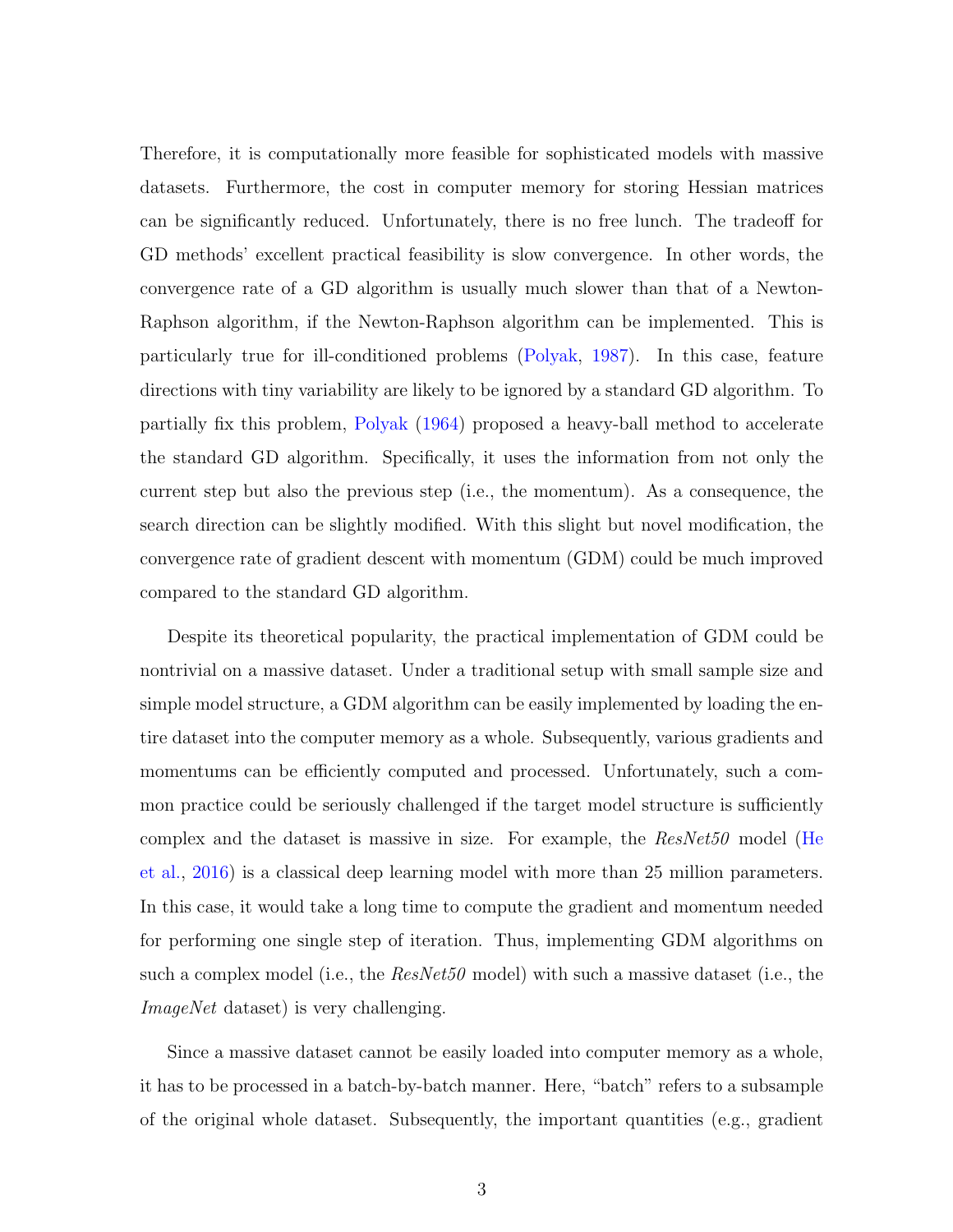Therefore, it is computationally more feasible for sophisticated models with massive datasets. Furthermore, the cost in computer memory for storing Hessian matrices can be significantly reduced. Unfortunately, there is no free lunch. The tradeoff for GD methods' excellent practical feasibility is slow convergence. In other words, the convergence rate of a GD algorithm is usually much slower than that of a Newton-Raphson algorithm, if the Newton-Raphson algorithm can be implemented. This is particularly true for ill-conditioned problems [\(Polyak,](#page-43-1) [1987\)](#page-43-1). In this case, feature directions with tiny variability are likely to be ignored by a standard GD algorithm. To partially fix this problem, [Polyak](#page-42-4) [\(1964\)](#page-42-4) proposed a heavy-ball method to accelerate the standard GD algorithm. Specifically, it uses the information from not only the current step but also the previous step (i.e., the momentum). As a consequence, the search direction can be slightly modified. With this slight but novel modification, the convergence rate of gradient descent with momentum (GDM) could be much improved compared to the standard GD algorithm.

Despite its theoretical popularity, the practical implementation of GDM could be nontrivial on a massive dataset. Under a traditional setup with small sample size and simple model structure, a GDM algorithm can be easily implemented by loading the entire dataset into the computer memory as a whole. Subsequently, various gradients and momentums can be efficiently computed and processed. Unfortunately, such a common practice could be seriously challenged if the target model structure is sufficiently complex and the dataset is massive in size. For example, the ResNet50 model [\(He](#page-42-5) [et al.,](#page-42-5) [2016\)](#page-42-5) is a classical deep learning model with more than 25 million parameters. In this case, it would take a long time to compute the gradient and momentum needed for performing one single step of iteration. Thus, implementing GDM algorithms on such a complex model (i.e., the  $ResNet50$  model) with such a massive dataset (i.e., the ImageNet dataset) is very challenging.

Since a massive dataset cannot be easily loaded into computer memory as a whole, it has to be processed in a batch-by-batch manner. Here, "batch" refers to a subsample of the original whole dataset. Subsequently, the important quantities (e.g., gradient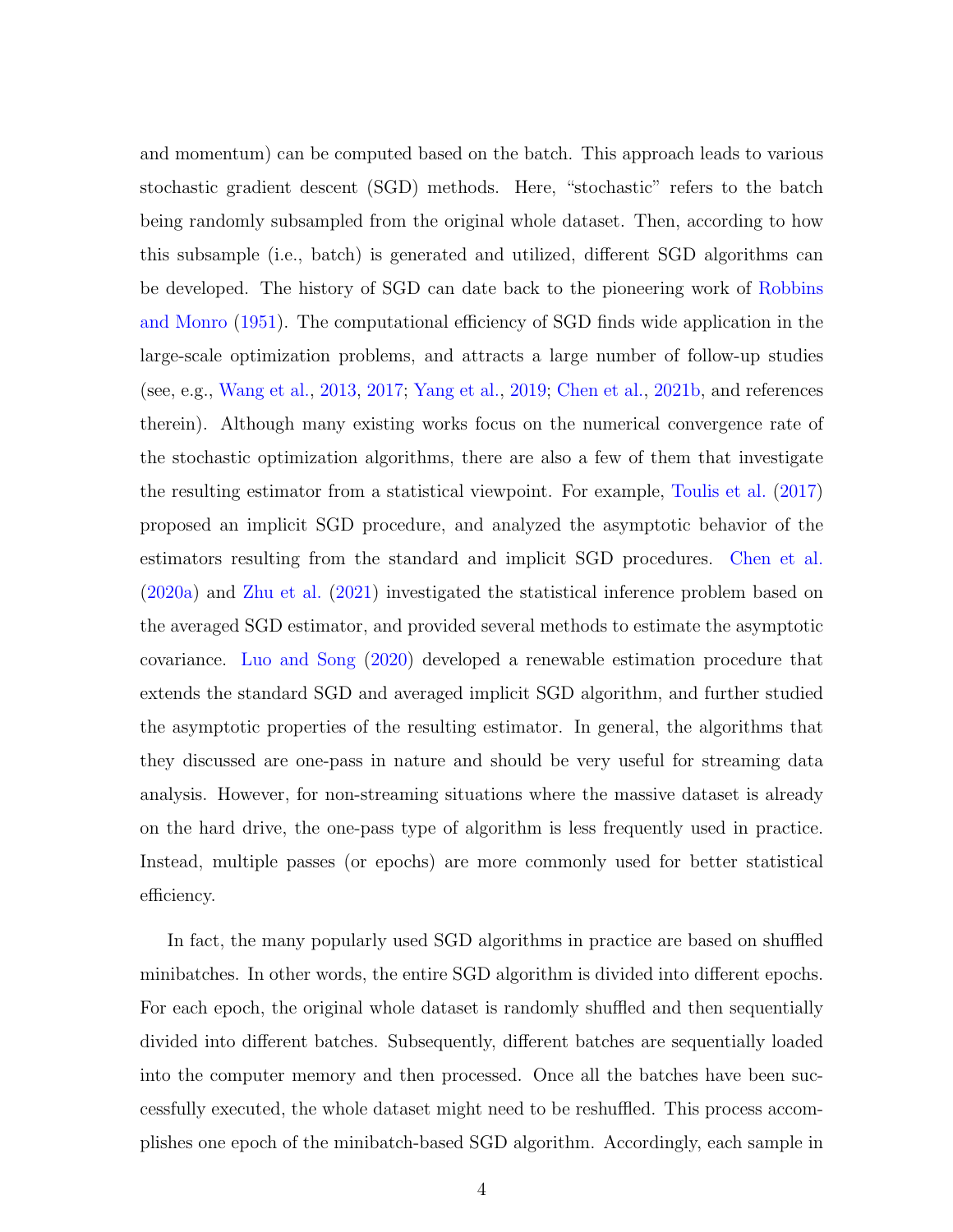and momentum) can be computed based on the batch. This approach leads to various stochastic gradient descent (SGD) methods. Here, "stochastic" refers to the batch being randomly subsampled from the original whole dataset. Then, according to how this subsample (i.e., batch) is generated and utilized, different SGD algorithms can be developed. The history of SGD can date back to the pioneering work of [Robbins](#page-43-2) [and Monro](#page-43-2) [\(1951\)](#page-43-2). The computational efficiency of SGD finds wide application in the large-scale optimization problems, and attracts a large number of follow-up studies (see, e.g., [Wang et al.,](#page-43-3) [2013,](#page-43-3) [2017;](#page-44-1) [Yang et al.,](#page-44-2) [2019;](#page-44-2) [Chen et al.,](#page-41-5) [2021b,](#page-41-5) and references therein). Although many existing works focus on the numerical convergence rate of the stochastic optimization algorithms, there are also a few of them that investigate the resulting estimator from a statistical viewpoint. For example, [Toulis et al.](#page-43-4) [\(2017\)](#page-43-4) proposed an implicit SGD procedure, and analyzed the asymptotic behavior of the estimators resulting from the standard and implicit SGD procedures. [Chen et al.](#page-41-6) [\(2020a\)](#page-41-6) and [Zhu et al.](#page-44-3) [\(2021\)](#page-44-3) investigated the statistical inference problem based on the averaged SGD estimator, and provided several methods to estimate the asymptotic covariance. [Luo and Song](#page-42-6) [\(2020\)](#page-42-6) developed a renewable estimation procedure that extends the standard SGD and averaged implicit SGD algorithm, and further studied the asymptotic properties of the resulting estimator. In general, the algorithms that they discussed are one-pass in nature and should be very useful for streaming data analysis. However, for non-streaming situations where the massive dataset is already on the hard drive, the one-pass type of algorithm is less frequently used in practice. Instead, multiple passes (or epochs) are more commonly used for better statistical efficiency.

In fact, the many popularly used SGD algorithms in practice are based on shuffled minibatches. In other words, the entire SGD algorithm is divided into different epochs. For each epoch, the original whole dataset is randomly shuffled and then sequentially divided into different batches. Subsequently, different batches are sequentially loaded into the computer memory and then processed. Once all the batches have been successfully executed, the whole dataset might need to be reshuffled. This process accomplishes one epoch of the minibatch-based SGD algorithm. Accordingly, each sample in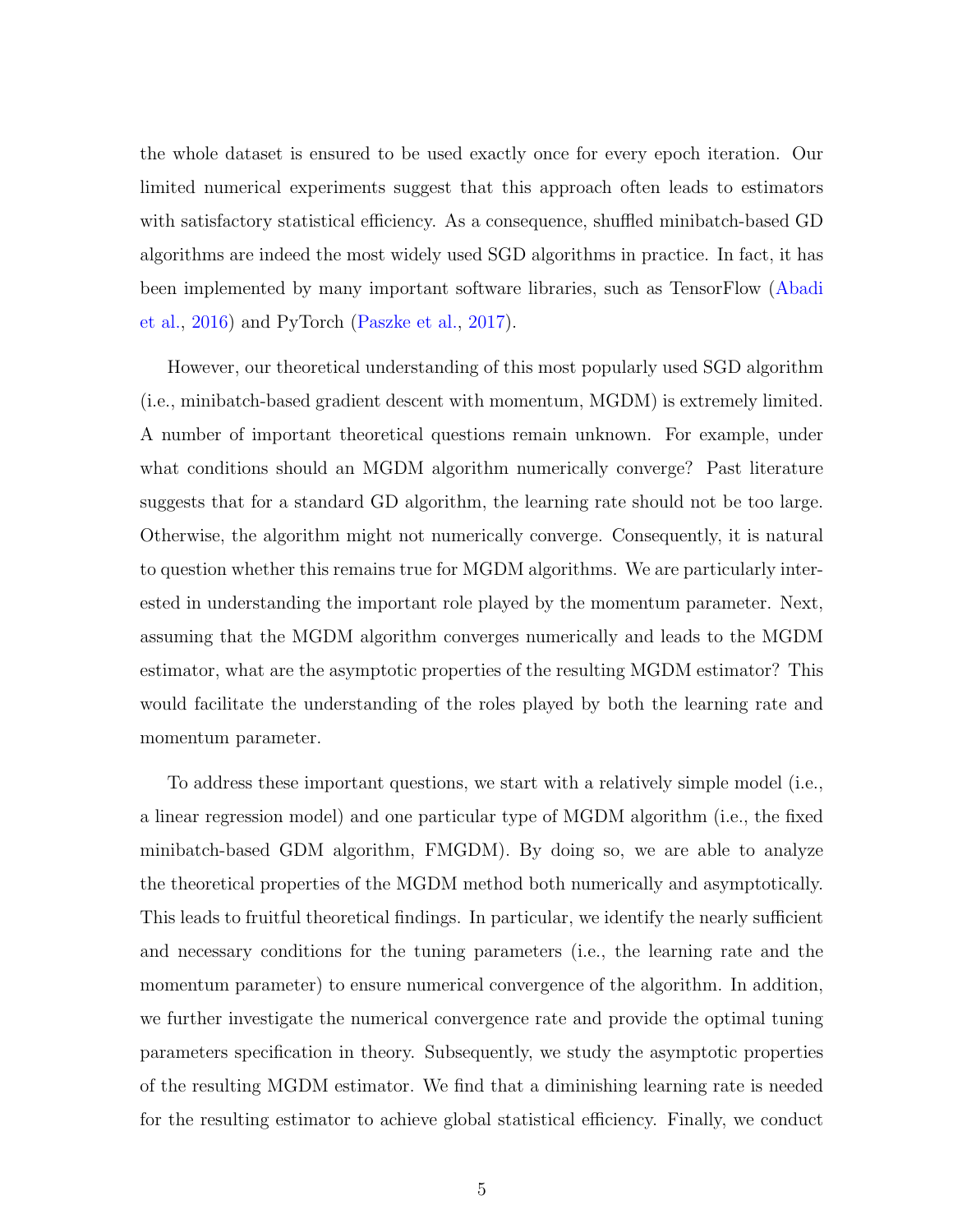the whole dataset is ensured to be used exactly once for every epoch iteration. Our limited numerical experiments suggest that this approach often leads to estimators with satisfactory statistical efficiency. As a consequence, shuffled minibatch-based GD algorithms are indeed the most widely used SGD algorithms in practice. In fact, it has been implemented by many important software libraries, such as TensorFlow [\(Abadi](#page-41-7) [et al.,](#page-41-7) [2016\)](#page-41-7) and PyTorch [\(Paszke et al.,](#page-42-7) [2017\)](#page-42-7).

However, our theoretical understanding of this most popularly used SGD algorithm (i.e., minibatch-based gradient descent with momentum, MGDM) is extremely limited. A number of important theoretical questions remain unknown. For example, under what conditions should an MGDM algorithm numerically converge? Past literature suggests that for a standard GD algorithm, the learning rate should not be too large. Otherwise, the algorithm might not numerically converge. Consequently, it is natural to question whether this remains true for MGDM algorithms. We are particularly interested in understanding the important role played by the momentum parameter. Next, assuming that the MGDM algorithm converges numerically and leads to the MGDM estimator, what are the asymptotic properties of the resulting MGDM estimator? This would facilitate the understanding of the roles played by both the learning rate and momentum parameter.

To address these important questions, we start with a relatively simple model (i.e., a linear regression model) and one particular type of MGDM algorithm (i.e., the fixed minibatch-based GDM algorithm, FMGDM). By doing so, we are able to analyze the theoretical properties of the MGDM method both numerically and asymptotically. This leads to fruitful theoretical findings. In particular, we identify the nearly sufficient and necessary conditions for the tuning parameters (i.e., the learning rate and the momentum parameter) to ensure numerical convergence of the algorithm. In addition, we further investigate the numerical convergence rate and provide the optimal tuning parameters specification in theory. Subsequently, we study the asymptotic properties of the resulting MGDM estimator. We find that a diminishing learning rate is needed for the resulting estimator to achieve global statistical efficiency. Finally, we conduct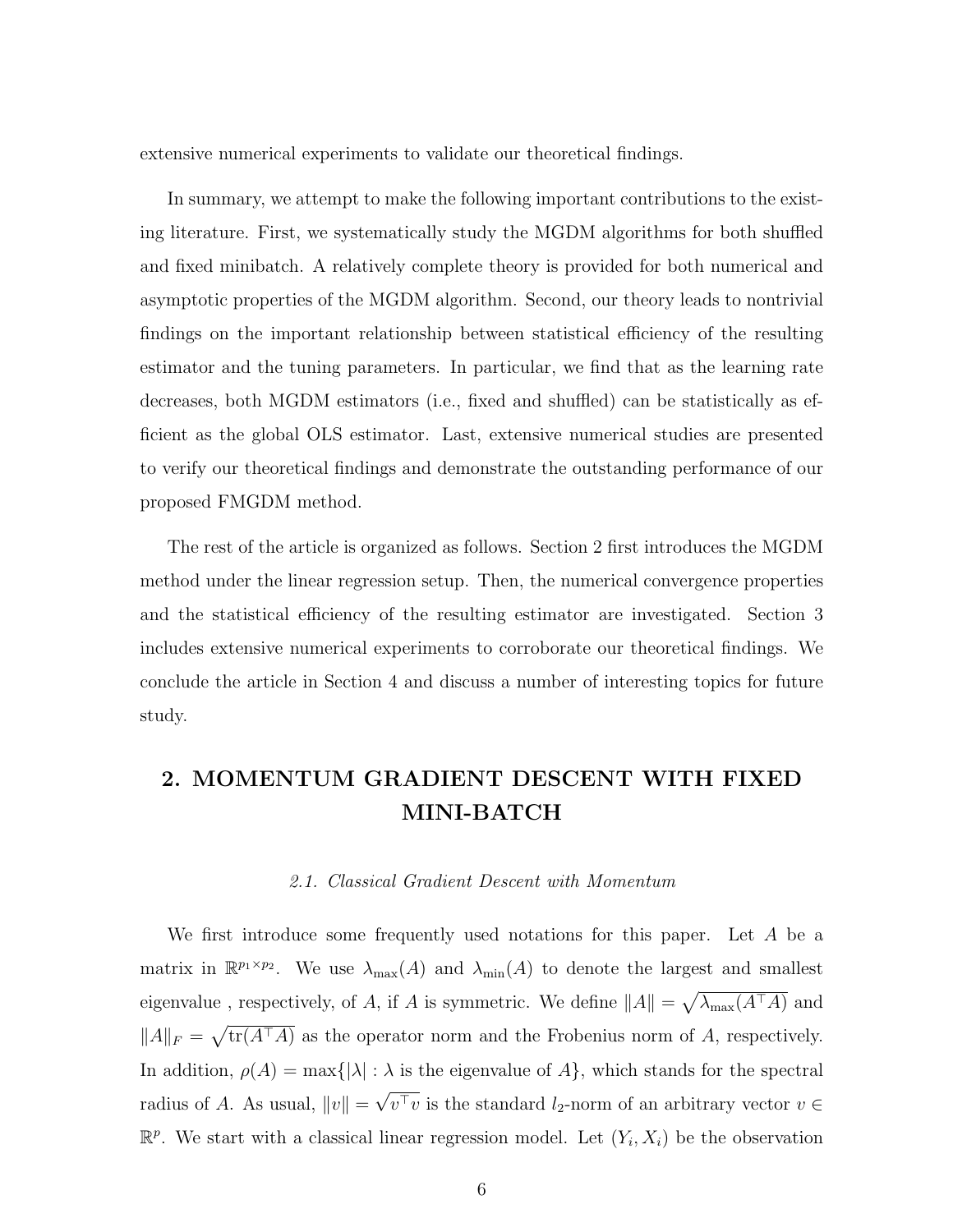extensive numerical experiments to validate our theoretical findings.

In summary, we attempt to make the following important contributions to the existing literature. First, we systematically study the MGDM algorithms for both shuffled and fixed minibatch. A relatively complete theory is provided for both numerical and asymptotic properties of the MGDM algorithm. Second, our theory leads to nontrivial findings on the important relationship between statistical efficiency of the resulting estimator and the tuning parameters. In particular, we find that as the learning rate decreases, both MGDM estimators (i.e., fixed and shuffled) can be statistically as efficient as the global OLS estimator. Last, extensive numerical studies are presented to verify our theoretical findings and demonstrate the outstanding performance of our proposed FMGDM method.

The rest of the article is organized as follows. Section 2 first introduces the MGDM method under the linear regression setup. Then, the numerical convergence properties and the statistical efficiency of the resulting estimator are investigated. Section 3 includes extensive numerical experiments to corroborate our theoretical findings. We conclude the article in Section 4 and discuss a number of interesting topics for future study.

## 2. MOMENTUM GRADIENT DESCENT WITH FIXED MINI-BATCH

#### 2.1. Classical Gradient Descent with Momentum

We first introduce some frequently used notations for this paper. Let A be a matrix in  $\mathbb{R}^{p_1 \times p_2}$ . We use  $\lambda_{\max}(A)$  and  $\lambda_{\min}(A)$  to denote the largest and smallest eigenvalue, respectively, of A, if A is symmetric. We define  $||A|| = \sqrt{\lambda_{\max}(A^{\top}A)}$  and  $||A||_F = \sqrt{\text{tr}(A^{\top}A)}$  as the operator norm and the Frobenius norm of A, respectively. In addition,  $\rho(A) = \max\{|\lambda| : \lambda \text{ is the eigenvalue of } A\}$ , which stands for the spectral radius of A. As usual,  $||v|| =$ √  $v^{\top}v$  is the standard  $l_2$ -norm of an arbitrary vector  $v \in$  $\mathbb{R}^p$ . We start with a classical linear regression model. Let  $(Y_i, X_i)$  be the observation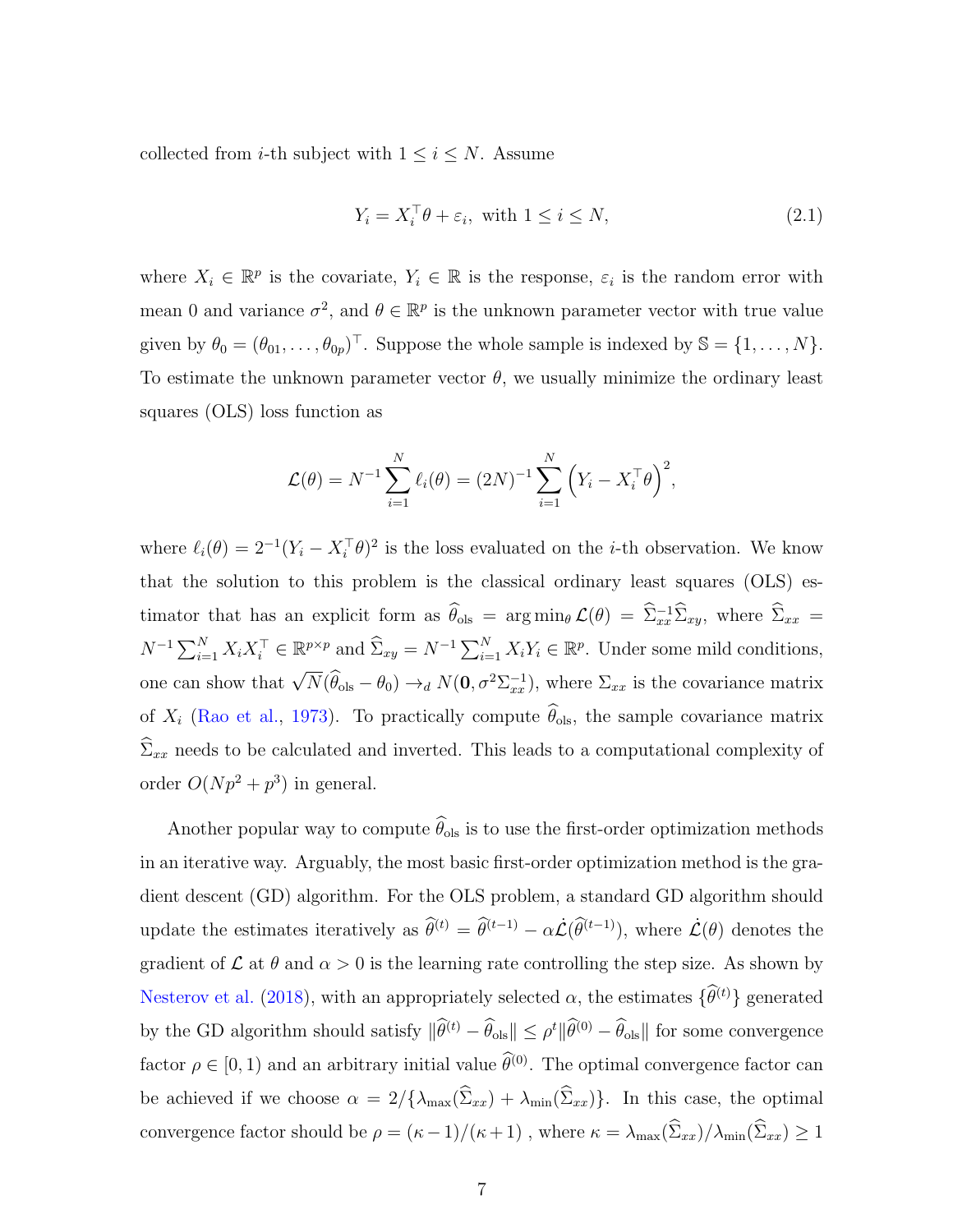collected from *i*-th subject with  $1 \leq i \leq N$ . Assume

<span id="page-6-0"></span>
$$
Y_i = X_i^{\top} \theta + \varepsilon_i, \text{ with } 1 \le i \le N,
$$
\n
$$
(2.1)
$$

where  $X_i \in \mathbb{R}^p$  is the covariate,  $Y_i \in \mathbb{R}$  is the response,  $\varepsilon_i$  is the random error with mean 0 and variance  $\sigma^2$ , and  $\theta \in \mathbb{R}^p$  is the unknown parameter vector with true value given by  $\theta_0 = (\theta_{01}, \ldots, \theta_{0p})^\top$ . Suppose the whole sample is indexed by  $\mathbb{S} = \{1, \ldots, N\}$ . To estimate the unknown parameter vector  $\theta$ , we usually minimize the ordinary least squares (OLS) loss function as

$$
\mathcal{L}(\theta) = N^{-1} \sum_{i=1}^{N} \ell_i(\theta) = (2N)^{-1} \sum_{i=1}^{N} (Y_i - X_i^{\top} \theta)^2,
$$

where  $\ell_i(\theta) = 2^{-1}(Y_i - X_i^{\top}\theta)^2$  is the loss evaluated on the *i*-th observation. We know that the solution to this problem is the classical ordinary least squares (OLS) estimator that has an explicit form as  $\hat{\theta}_{ols} = \arg \min_{\theta} \mathcal{L}(\theta) = \hat{\Sigma}_{xx}^{-1} \hat{\Sigma}_{xy}$ , where  $\hat{\Sigma}_{xx} =$  $N^{-1} \sum_{i=1}^{N} X_i X_i^{\top} \in \mathbb{R}^{p \times p}$  and  $\widehat{\Sigma}_{xy} = N^{-1} \sum_{i=1}^{N} X_i Y_i \in \mathbb{R}^p$ . Under some mild conditions, one can show that  $\sqrt{N}(\hat{\theta}_{ols} - \theta_0) \rightarrow_d N(\mathbf{0}, \sigma^2 \Sigma_{xx}^{-1})$ , where  $\Sigma_{xx}$  is the covariance matrix of  $X_i$  [\(Rao et al.,](#page-43-5) [1973\)](#page-43-5). To practically compute  $\widehat{\theta}_{ols}$ , the sample covariance matrix  $\widehat{\Sigma}_{xx}$  needs to be calculated and inverted. This leads to a computational complexity of order  $O(Np^2 + p^3)$  in general.

Another popular way to compute  $\widehat{\theta}_{ols}$  is to use the first-order optimization methods in an iterative way. Arguably, the most basic first-order optimization method is the gradient descent (GD) algorithm. For the OLS problem, a standard GD algorithm should update the estimates iteratively as  $\hat{\theta}^{(t)} = \hat{\theta}^{(t-1)} - \alpha \dot{\mathcal{L}}(\hat{\theta}^{(t-1)})$ , where  $\dot{\mathcal{L}}(\theta)$  denotes the gradient of  $\mathcal L$  at  $\theta$  and  $\alpha > 0$  is the learning rate controlling the step size. As shown by [Nesterov et al.](#page-42-8) [\(2018\)](#page-42-8), with an appropriately selected  $\alpha$ , the estimates  $\{\widehat{\theta}^{(t)}\}$  generated by the GD algorithm should satisfy  $\|\hat{\theta}^{(t)} - \hat{\theta}_{ols}\| \leq \rho^t \|\hat{\theta}^{(0)} - \hat{\theta}_{ols}\|$  for some convergence factor  $\rho \in [0, 1)$  and an arbitrary initial value  $\hat{\theta}^{(0)}$ . The optimal convergence factor can be achieved if we choose  $\alpha = 2/\{\lambda_{\max}(\hat{\Sigma}_{xx}) + \lambda_{\min}(\hat{\Sigma}_{xx})\}\.$  In this case, the optimal convergence factor should be  $\rho = (\kappa - 1)/(\kappa + 1)$ , where  $\kappa = \lambda_{\max}(\widehat{\Sigma}_{xx})/\lambda_{\min}(\widehat{\Sigma}_{xx}) \ge 1$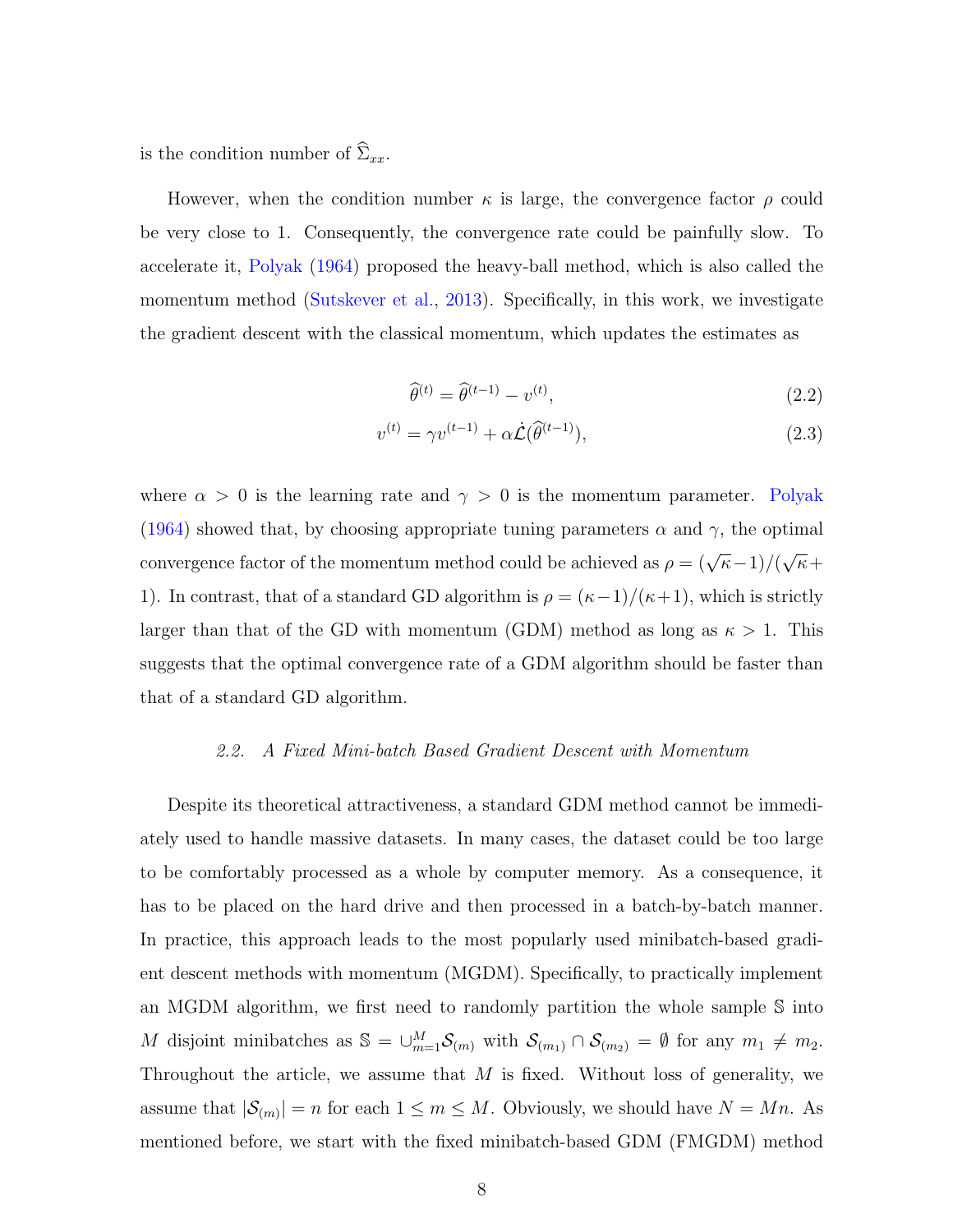is the condition number of  $\widehat{\Sigma}_{xx}$ .

However, when the condition number  $\kappa$  is large, the convergence factor  $\rho$  could be very close to 1. Consequently, the convergence rate could be painfully slow. To accelerate it, [Polyak](#page-42-4) [\(1964\)](#page-42-4) proposed the heavy-ball method, which is also called the momentum method [\(Sutskever et al.,](#page-43-6) [2013\)](#page-43-6). Specifically, in this work, we investigate the gradient descent with the classical momentum, which updates the estimates as

$$
\widehat{\theta}^{(t)} = \widehat{\theta}^{(t-1)} - v^{(t)},\tag{2.2}
$$

$$
v^{(t)} = \gamma v^{(t-1)} + \alpha \dot{\mathcal{L}}(\widehat{\theta}^{(t-1)}), \tag{2.3}
$$

where  $\alpha > 0$  is the learning rate and  $\gamma > 0$  is the momentum parameter. [Polyak](#page-42-4) [\(1964\)](#page-42-4) showed that, by choosing appropriate tuning parameters  $\alpha$  and  $\gamma$ , the optimal convergence factor of the momentum method could be achieved as  $\rho = (\sqrt{\kappa}-1)/(\sqrt{\kappa})$ √  $\overline{\kappa}$ + 1). In contrast, that of a standard GD algorithm is  $\rho = (\kappa - 1)/(\kappa + 1)$ , which is strictly larger than that of the GD with momentum (GDM) method as long as  $\kappa > 1$ . This suggests that the optimal convergence rate of a GDM algorithm should be faster than that of a standard GD algorithm.

#### 2.2. A Fixed Mini-batch Based Gradient Descent with Momentum

Despite its theoretical attractiveness, a standard GDM method cannot be immediately used to handle massive datasets. In many cases, the dataset could be too large to be comfortably processed as a whole by computer memory. As a consequence, it has to be placed on the hard drive and then processed in a batch-by-batch manner. In practice, this approach leads to the most popularly used minibatch-based gradient descent methods with momentum (MGDM). Specifically, to practically implement an MGDM algorithm, we first need to randomly partition the whole sample S into M disjoint minibatches as  $\mathbb{S} = \bigcup_{m=1}^{M} \mathcal{S}_{(m)}$  with  $\mathcal{S}_{(m_1)} \cap \mathcal{S}_{(m_2)} = \emptyset$  for any  $m_1 \neq m_2$ . Throughout the article, we assume that  $M$  is fixed. Without loss of generality, we assume that  $|\mathcal{S}_{(m)}| = n$  for each  $1 \leq m \leq M$ . Obviously, we should have  $N = Mn$ . As mentioned before, we start with the fixed minibatch-based GDM (FMGDM) method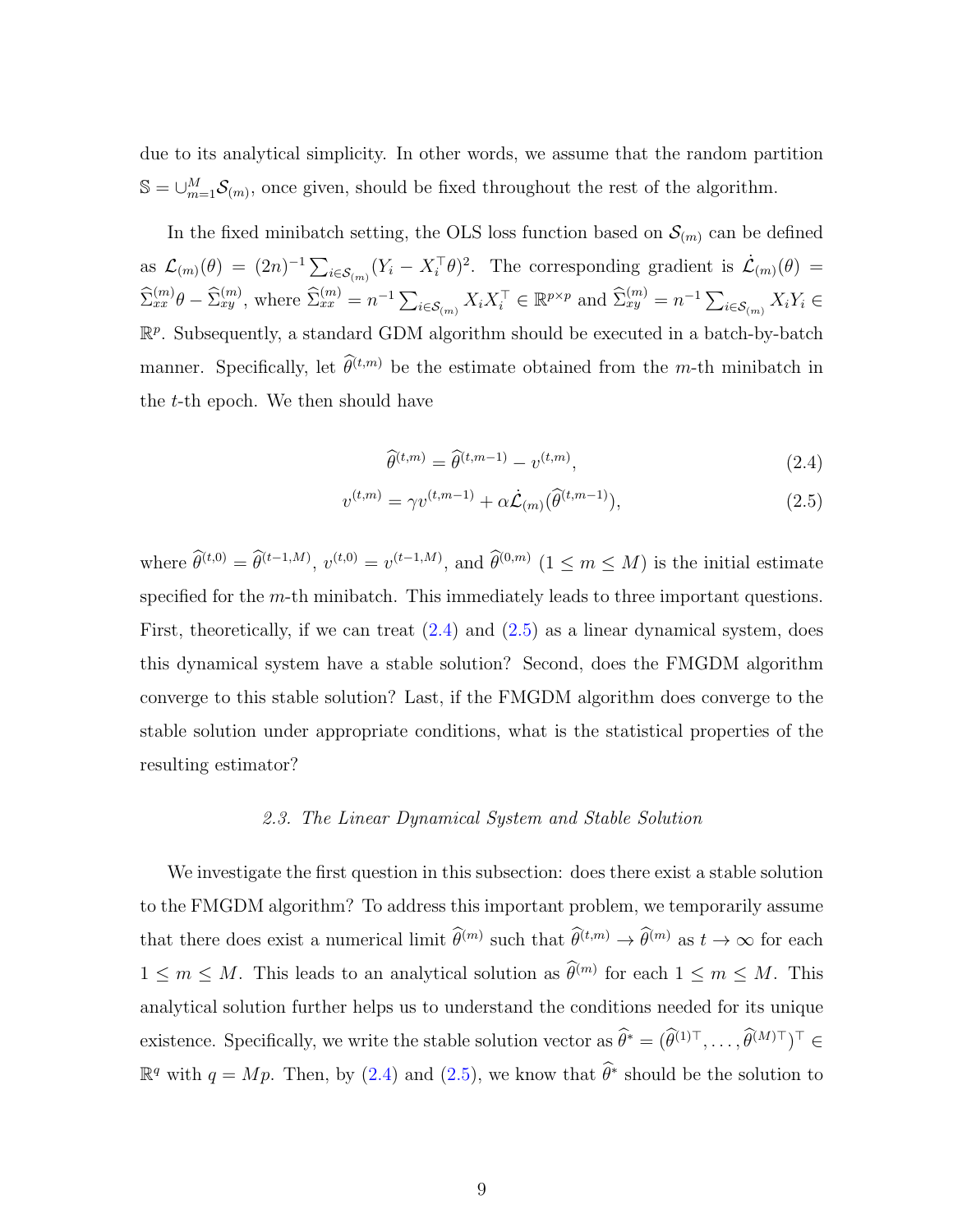due to its analytical simplicity. In other words, we assume that the random partition  $\mathbb{S} = \bigcup_{m=1}^{M} \mathcal{S}_{(m)}$ , once given, should be fixed throughout the rest of the algorithm.

In the fixed minibatch setting, the OLS loss function based on  $\mathcal{S}_{(m)}$  can be defined as  $\mathcal{L}_{(m)}(\theta) = (2n)^{-1} \sum_{i \in \mathcal{S}_{(m)}} (Y_i - X_i^{\top} \theta)^2$ . The corresponding gradient is  $\dot{\mathcal{L}}_{(m)}(\theta) =$  $\widehat{\Sigma}_{xx}^{(m)}\theta - \widehat{\Sigma}_{xy}^{(m)}$ , where  $\widehat{\Sigma}_{xx}^{(m)} = n^{-1} \sum_{i \in \mathcal{S}_{(m)}} X_i X_i^{\top} \in \mathbb{R}^{p \times p}$  and  $\widehat{\Sigma}_{xy}^{(m)} = n^{-1} \sum_{i \in \mathcal{S}_{(m)}} X_i Y_i \in$  $\mathbb{R}^p$ . Subsequently, a standard GDM algorithm should be executed in a batch-by-batch manner. Specifically, let  $\widehat{\theta}^{(t,m)}$  be the estimate obtained from the m-th minibatch in the  $t$ -th epoch. We then should have

<span id="page-8-1"></span><span id="page-8-0"></span>
$$
\widehat{\theta}^{(t,m)} = \widehat{\theta}^{(t,m-1)} - v^{(t,m)},\tag{2.4}
$$

$$
v^{(t,m)} = \gamma v^{(t,m-1)} + \alpha \dot{\mathcal{L}}_{(m)}(\widehat{\theta}^{(t,m-1)}),
$$
\n(2.5)

where  $\hat{\theta}^{(t,0)} = \hat{\theta}^{(t-1,M)}$ ,  $v^{(t,0)} = v^{(t-1,M)}$ , and  $\hat{\theta}^{(0,m)}$   $(1 \le m \le M)$  is the initial estimate specified for the  $m$ -th minibatch. This immediately leads to three important questions. First, theoretically, if we can treat  $(2.4)$  and  $(2.5)$  as a linear dynamical system, does this dynamical system have a stable solution? Second, does the FMGDM algorithm converge to this stable solution? Last, if the FMGDM algorithm does converge to the stable solution under appropriate conditions, what is the statistical properties of the resulting estimator?

#### 2.3. The Linear Dynamical System and Stable Solution

We investigate the first question in this subsection: does there exist a stable solution to the FMGDM algorithm? To address this important problem, we temporarily assume that there does exist a numerical limit  $\hat{\theta}^{(m)}$  such that  $\hat{\theta}^{(t,m)} \to \hat{\theta}^{(m)}$  as  $t \to \infty$  for each  $1 \leq m \leq M$ . This leads to an analytical solution as  $\hat{\theta}^{(m)}$  for each  $1 \leq m \leq M$ . This analytical solution further helps us to understand the conditions needed for its unique existence. Specifically, we write the stable solution vector as  $\hat{\theta}^* = (\hat{\theta}^{(1)}^{\top}, \dots, \hat{\theta}^{(M)\top})^{\top} \in$  $\mathbb{R}^q$  with  $q = Mp$ . Then, by [\(2.4\)](#page-8-0) and [\(2.5\)](#page-8-1), we know that  $\widehat{\theta}^*$  should be the solution to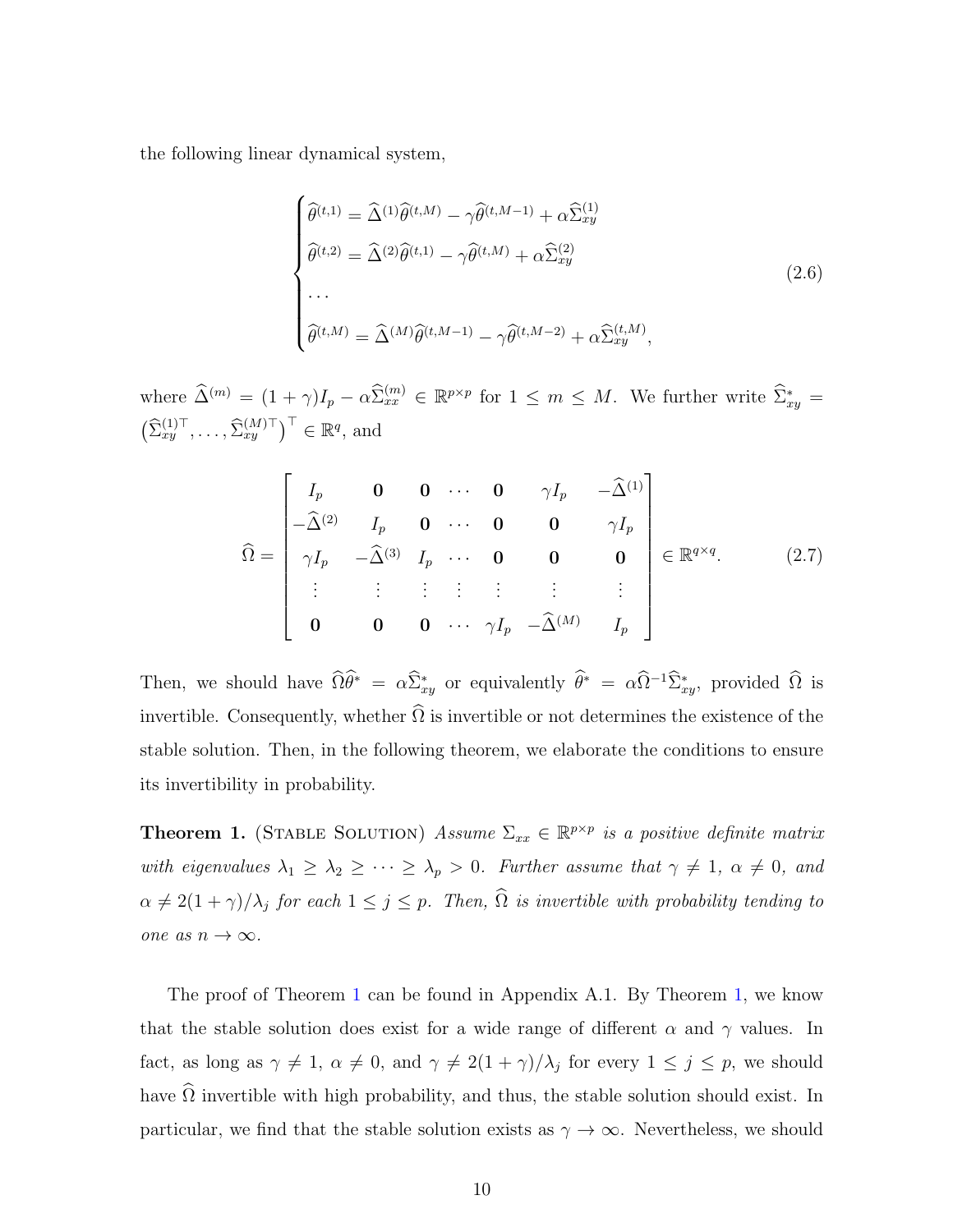the following linear dynamical system,

<span id="page-9-1"></span>
$$
\begin{cases}\n\widehat{\theta}^{(t,1)} = \widehat{\Delta}^{(1)}\widehat{\theta}^{(t,M)} - \gamma \widehat{\theta}^{(t,M-1)} + \alpha \widehat{\Sigma}_{xy}^{(1)} \\
\widehat{\theta}^{(t,2)} = \widehat{\Delta}^{(2)}\widehat{\theta}^{(t,1)} - \gamma \widehat{\theta}^{(t,M)} + \alpha \widehat{\Sigma}_{xy}^{(2)} \\
\cdots \\
\widehat{\theta}^{(t,M)} = \widehat{\Delta}^{(M)}\widehat{\theta}^{(t,M-1)} - \gamma \widehat{\theta}^{(t,M-2)} + \alpha \widehat{\Sigma}_{xy}^{(t,M)},\n\end{cases}
$$
\n(2.6)

where  $\widehat{\Delta}^{(m)} = (1 + \gamma)I_p - \alpha \widehat{\Sigma}_{xx}^{(m)} \in \mathbb{R}^{p \times p}$  for  $1 \leq m \leq M$ . We further write  $\widehat{\Sigma}_{xy}^* =$  $\left(\widehat{\Sigma}_{xy}^{(1)\top},\ldots,\widehat{\Sigma}_{xy}^{(M)\top}\right)^\top \in \mathbb{R}^q$ , and

<span id="page-9-2"></span>
$$
\widehat{\Omega} = \begin{bmatrix}\nI_p & \mathbf{0} & \mathbf{0} & \cdots & \mathbf{0} & \gamma I_p & -\widehat{\Delta}^{(1)} \\
-\widehat{\Delta}^{(2)} & I_p & \mathbf{0} & \cdots & \mathbf{0} & \mathbf{0} & \gamma I_p \\
\gamma I_p & -\widehat{\Delta}^{(3)} & I_p & \cdots & \mathbf{0} & \mathbf{0} & \mathbf{0} \\
\vdots & \vdots & \vdots & \vdots & \vdots & \vdots & \vdots \\
\mathbf{0} & \mathbf{0} & \mathbf{0} & \cdots & \gamma I_p & -\widehat{\Delta}^{(M)} & I_p\n\end{bmatrix} \in \mathbb{R}^{q \times q}.\n\tag{2.7}
$$

Then, we should have  $\widehat{\Omega}\theta^* = \alpha \widehat{\Sigma}_{xy}^*$  or equivalently  $\widehat{\theta}^* = \alpha \widehat{\Omega}^{-1} \widehat{\Sigma}_{xy}^*$ , provided  $\widehat{\Omega}$  is invertible. Consequently, whether  $\Omega$  is invertible or not determines the existence of the stable solution. Then, in the following theorem, we elaborate the conditions to ensure its invertibility in probability.

<span id="page-9-0"></span>**Theorem 1.** (STABLE SOLUTION) Assume  $\Sigma_{xx} \in \mathbb{R}^{p \times p}$  is a positive definite matrix with eigenvalues  $\lambda_1 \geq \lambda_2 \geq \cdots \geq \lambda_p > 0$ . Further assume that  $\gamma \neq 1$ ,  $\alpha \neq 0$ , and  $\alpha \neq 2(1 + \gamma)/\lambda_j$  for each  $1 \leq j \leq p$ . Then,  $\widehat{\Omega}$  is invertible with probability tending to one as  $n \to \infty$ .

The proof of Theorem [1](#page-9-0) can be found in Appendix A.1. By Theorem [1,](#page-9-0) we know that the stable solution does exist for a wide range of different  $\alpha$  and  $\gamma$  values. In fact, as long as  $\gamma \neq 1$ ,  $\alpha \neq 0$ , and  $\gamma \neq 2(1 + \gamma)/\lambda_j$  for every  $1 \leq j \leq p$ , we should have  $\widehat{\Omega}$  invertible with high probability, and thus, the stable solution should exist. In particular, we find that the stable solution exists as  $\gamma \to \infty$ . Nevertheless, we should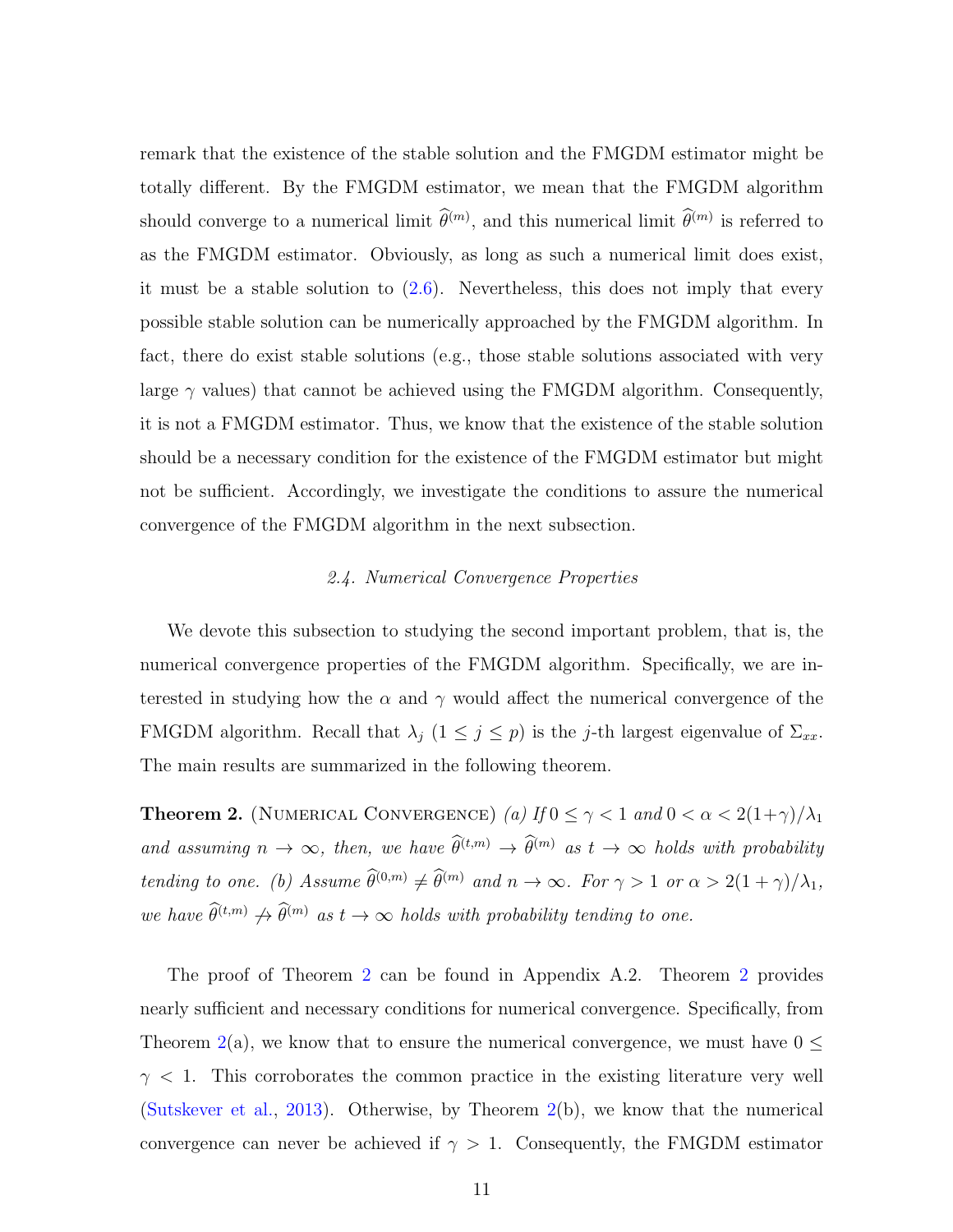remark that the existence of the stable solution and the FMGDM estimator might be totally different. By the FMGDM estimator, we mean that the FMGDM algorithm should converge to a numerical limit  $\hat{\theta}^{(m)}$ , and this numerical limit  $\hat{\theta}^{(m)}$  is referred to as the FMGDM estimator. Obviously, as long as such a numerical limit does exist, it must be a stable solution to [\(2.6\)](#page-9-1). Nevertheless, this does not imply that every possible stable solution can be numerically approached by the FMGDM algorithm. In fact, there do exist stable solutions (e.g., those stable solutions associated with very large  $\gamma$  values) that cannot be achieved using the FMGDM algorithm. Consequently, it is not a FMGDM estimator. Thus, we know that the existence of the stable solution should be a necessary condition for the existence of the FMGDM estimator but might not be sufficient. Accordingly, we investigate the conditions to assure the numerical convergence of the FMGDM algorithm in the next subsection.

## 2.4. Numerical Convergence Properties

We devote this subsection to studying the second important problem, that is, the numerical convergence properties of the FMGDM algorithm. Specifically, we are interested in studying how the  $\alpha$  and  $\gamma$  would affect the numerical convergence of the FMGDM algorithm. Recall that  $\lambda_j$  ( $1 \leq j \leq p$ ) is the j-th largest eigenvalue of  $\Sigma_{xx}$ . The main results are summarized in the following theorem.

<span id="page-10-0"></span>**Theorem 2.** (NUMERICAL CONVERGENCE) (a) If  $0 \leq \gamma < 1$  and  $0 < \alpha < 2(1+\gamma)/\lambda_1$ and assuming  $n \to \infty$ , then, we have  $\widehat{\theta}^{(t,m)} \to \widehat{\theta}^{(m)}$  as  $t \to \infty$  holds with probability tending to one. (b) Assume  $\widehat{\theta}^{(0,m)} \neq \widehat{\theta}^{(m)}$  and  $n \to \infty$ . For  $\gamma > 1$  or  $\alpha > 2(1 + \gamma)/\lambda_1$ , we have  $\widehat{\theta}^{(t,m)} \nrightarrow \widehat{\theta}^{(m)}$  as  $t \to \infty$  holds with probability tending to one.

The proof of Theorem [2](#page-10-0) can be found in Appendix A.2. Theorem [2](#page-10-0) provides nearly sufficient and necessary conditions for numerical convergence. Specifically, from Theorem [2\(](#page-10-0)a), we know that to ensure the numerical convergence, we must have  $0 \leq$  $\gamma$  < 1. This corroborates the common practice in the existing literature very well [\(Sutskever et al.,](#page-43-6) [2013\)](#page-43-6). Otherwise, by Theorem [2\(](#page-10-0)b), we know that the numerical convergence can never be achieved if  $\gamma > 1$ . Consequently, the FMGDM estimator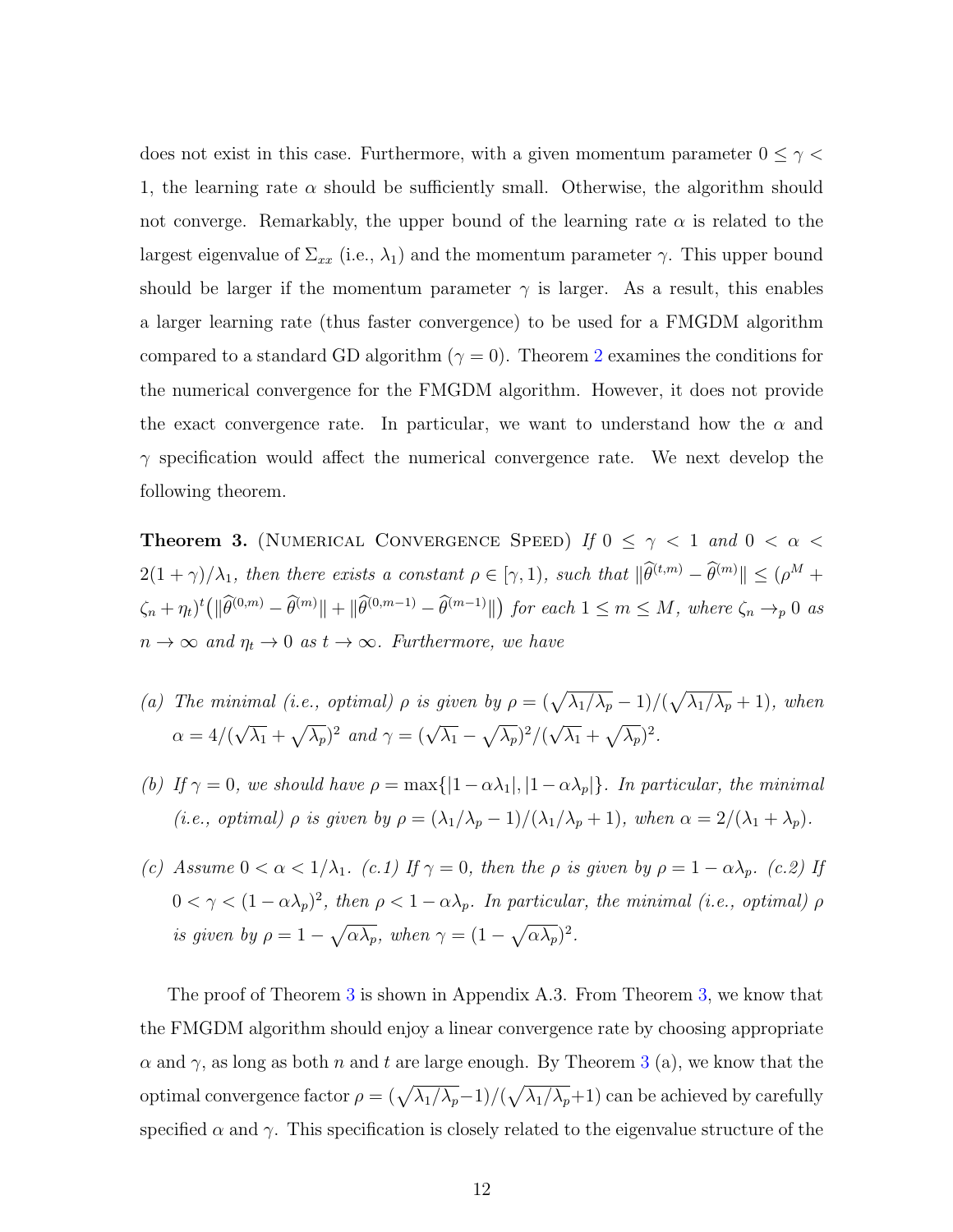does not exist in this case. Furthermore, with a given momentum parameter  $0 \leq \gamma <$ 1, the learning rate  $\alpha$  should be sufficiently small. Otherwise, the algorithm should not converge. Remarkably, the upper bound of the learning rate  $\alpha$  is related to the largest eigenvalue of  $\Sigma_{xx}$  (i.e.,  $\lambda_1$ ) and the momentum parameter  $\gamma$ . This upper bound should be larger if the momentum parameter  $\gamma$  is larger. As a result, this enables a larger learning rate (thus faster convergence) to be used for a FMGDM algorithm compared to a standard GD algorithm ( $\gamma = 0$ ). Theorem [2](#page-10-0) examines the conditions for the numerical convergence for the FMGDM algorithm. However, it does not provide the exact convergence rate. In particular, we want to understand how the  $\alpha$  and  $\gamma$  specification would affect the numerical convergence rate. We next develop the following theorem.

<span id="page-11-0"></span>**Theorem 3.** (NUMERICAL CONVERGENCE SPEED) If  $0 \leq \gamma < 1$  and  $0 < \alpha <$  $2(1+\gamma)/\lambda_1$ , then there exists a constant  $\rho \in [\gamma,1)$ , such that  $\|\widehat{\theta}^{(t,m)} - \widehat{\theta}^{(m)}\| \leq (\rho^M +$  $\zeta_n + \eta_t$ <sup>t</sup>( $\|\widehat{\theta}^{(0,m)} - \widehat{\theta}^{(m)}\| + \|\widehat{\theta}^{(0,m-1)} - \widehat{\theta}^{(m-1)}\|$ ) for each  $1 \leq m \leq M$ , where  $\zeta_n \to_p 0$  as  $n \to \infty$  and  $\eta_t \to 0$  as  $t \to \infty$ . Furthermore, we have

- (a) The minimal (i.e., optimal)  $\rho$  is given by  $\rho = (\sqrt{\lambda_1/\lambda_p} 1)/(\sqrt{\lambda_1/\lambda_p} + 1)$ , when  $\alpha = 4/($ √  $\overline{\lambda_1} + \sqrt{\lambda_p}$ <sup>2</sup> and  $\gamma = (\sqrt{\lambda_1} - \sqrt{\lambda_p})^2/(\sqrt{\lambda_p} - \sqrt{\lambda_p})^2$ √  $\overline{\lambda_1} + \sqrt{\lambda_p}$ <sup>2</sup>.
- (b) If  $\gamma = 0$ , we should have  $\rho = \max\{|1 \alpha \lambda_1|, |1 \alpha \lambda_p|\}$ . In particular, the minimal (i.e., optimal)  $\rho$  is given by  $\rho = (\lambda_1/\lambda_p - 1)/(\lambda_1/\lambda_p + 1)$ , when  $\alpha = 2/(\lambda_1 + \lambda_p)$ .
- (c) Assume  $0 < \alpha < 1/\lambda_1$ . (c.1) If  $\gamma = 0$ , then the  $\rho$  is given by  $\rho = 1 \alpha \lambda_p$ . (c.2) If  $0 < \gamma < (1 - \alpha \lambda_p)^2$ , then  $\rho < 1 - \alpha \lambda_p$ . In particular, the minimal (i.e., optimal)  $\rho$ is given by  $\rho = 1 - \sqrt{\alpha \lambda_p}$ , when  $\gamma = (1 - \sqrt{\alpha \lambda_p})^2$ .

The proof of Theorem [3](#page-11-0) is shown in Appendix A.3. From Theorem [3,](#page-11-0) we know that the FMGDM algorithm should enjoy a linear convergence rate by choosing appropriate  $\alpha$  and  $\gamma$ , as long as both n and t are large enough. By Theorem [3](#page-11-0) (a), we know that the optimal convergence factor  $\rho = (\sqrt{\lambda_1/\lambda_p}-1)/(\sqrt{\lambda_1/\lambda_p}+1)$  can be achieved by carefully specified  $\alpha$  and  $\gamma$ . This specification is closely related to the eigenvalue structure of the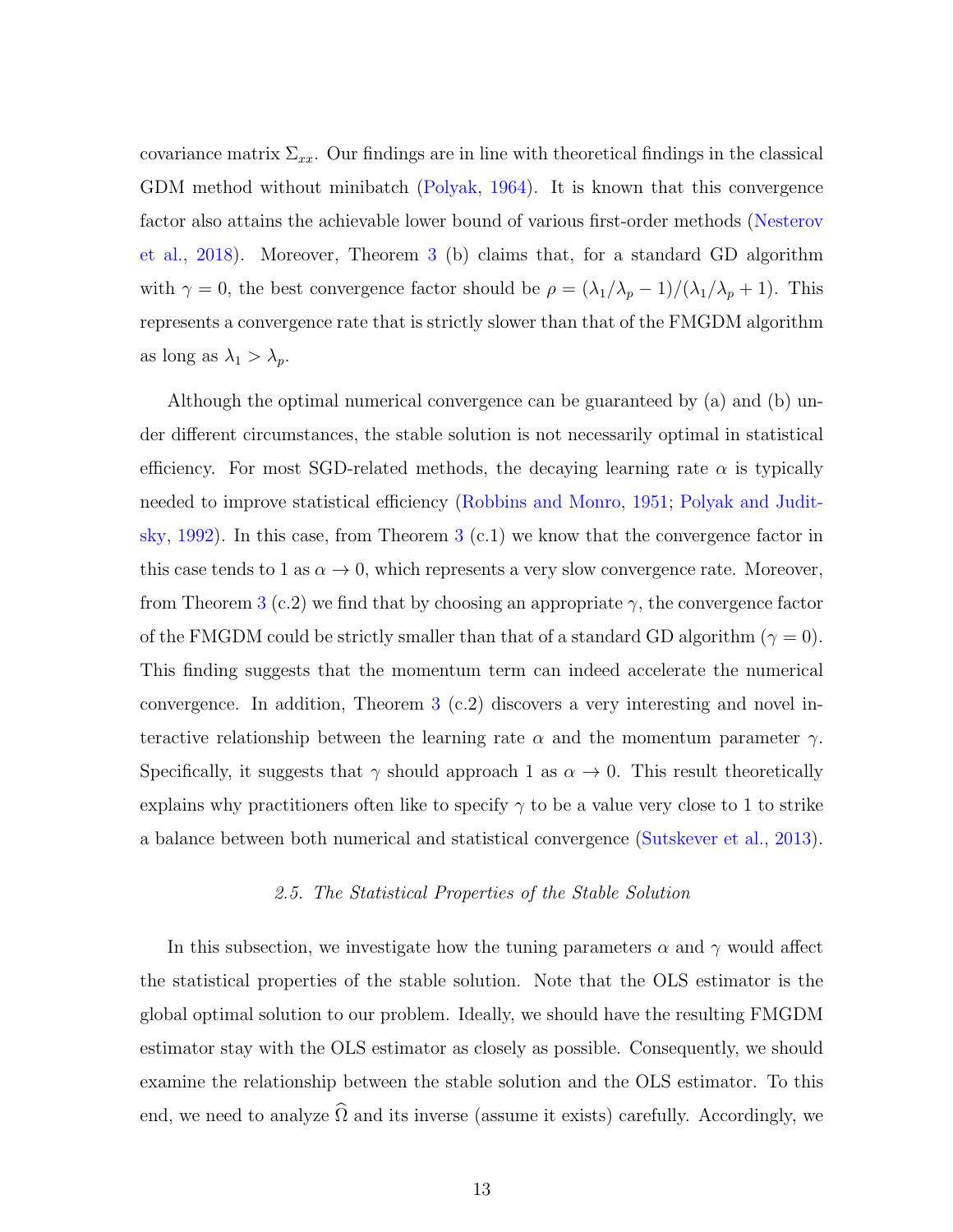covariance matrix  $\Sigma_{xx}$ . Our findings are in line with theoretical findings in the classical GDM method without minibatch [\(Polyak,](#page-42-4) [1964\)](#page-42-4). It is known that this convergence factor also attains the achievable lower bound of various first-order methods [\(Nesterov](#page-42-8) [et al.,](#page-42-8) [2018\)](#page-42-8). Moreover, Theorem [3](#page-11-0) (b) claims that, for a standard GD algorithm with  $\gamma = 0$ , the best convergence factor should be  $\rho = (\lambda_1/\lambda_p - 1)/(\lambda_1/\lambda_p + 1)$ . This represents a convergence rate that is strictly slower than that of the FMGDM algorithm as long as  $\lambda_1 > \lambda_p$ .

Although the optimal numerical convergence can be guaranteed by (a) and (b) under different circumstances, the stable solution is not necessarily optimal in statistical efficiency. For most SGD-related methods, the decaying learning rate  $\alpha$  is typically needed to improve statistical efficiency [\(Robbins and Monro,](#page-43-2) [1951;](#page-43-2) [Polyak and Judit](#page-43-7)[sky,](#page-43-7) [1992\)](#page-43-7). In this case, from Theorem  $3$  (c.1) we know that the convergence factor in this case tends to 1 as  $\alpha \to 0$ , which represents a very slow convergence rate. Moreover, from Theorem [3](#page-11-0) (c.2) we find that by choosing an appropriate  $\gamma$ , the convergence factor of the FMGDM could be strictly smaller than that of a standard GD algorithm ( $\gamma = 0$ ). This finding suggests that the momentum term can indeed accelerate the numerical convergence. In addition, Theorem [3](#page-11-0) (c.2) discovers a very interesting and novel interactive relationship between the learning rate  $\alpha$  and the momentum parameter  $\gamma$ . Specifically, it suggests that  $\gamma$  should approach 1 as  $\alpha \to 0$ . This result theoretically explains why practitioners often like to specify  $\gamma$  to be a value very close to 1 to strike a balance between both numerical and statistical convergence [\(Sutskever et al.,](#page-43-6) [2013\)](#page-43-6).

#### 2.5. The Statistical Properties of the Stable Solution

In this subsection, we investigate how the tuning parameters  $\alpha$  and  $\gamma$  would affect the statistical properties of the stable solution. Note that the OLS estimator is the global optimal solution to our problem. Ideally, we should have the resulting FMGDM estimator stay with the OLS estimator as closely as possible. Consequently, we should examine the relationship between the stable solution and the OLS estimator. To this end, we need to analyze  $\widehat{\Omega}$  and its inverse (assume it exists) carefully. Accordingly, we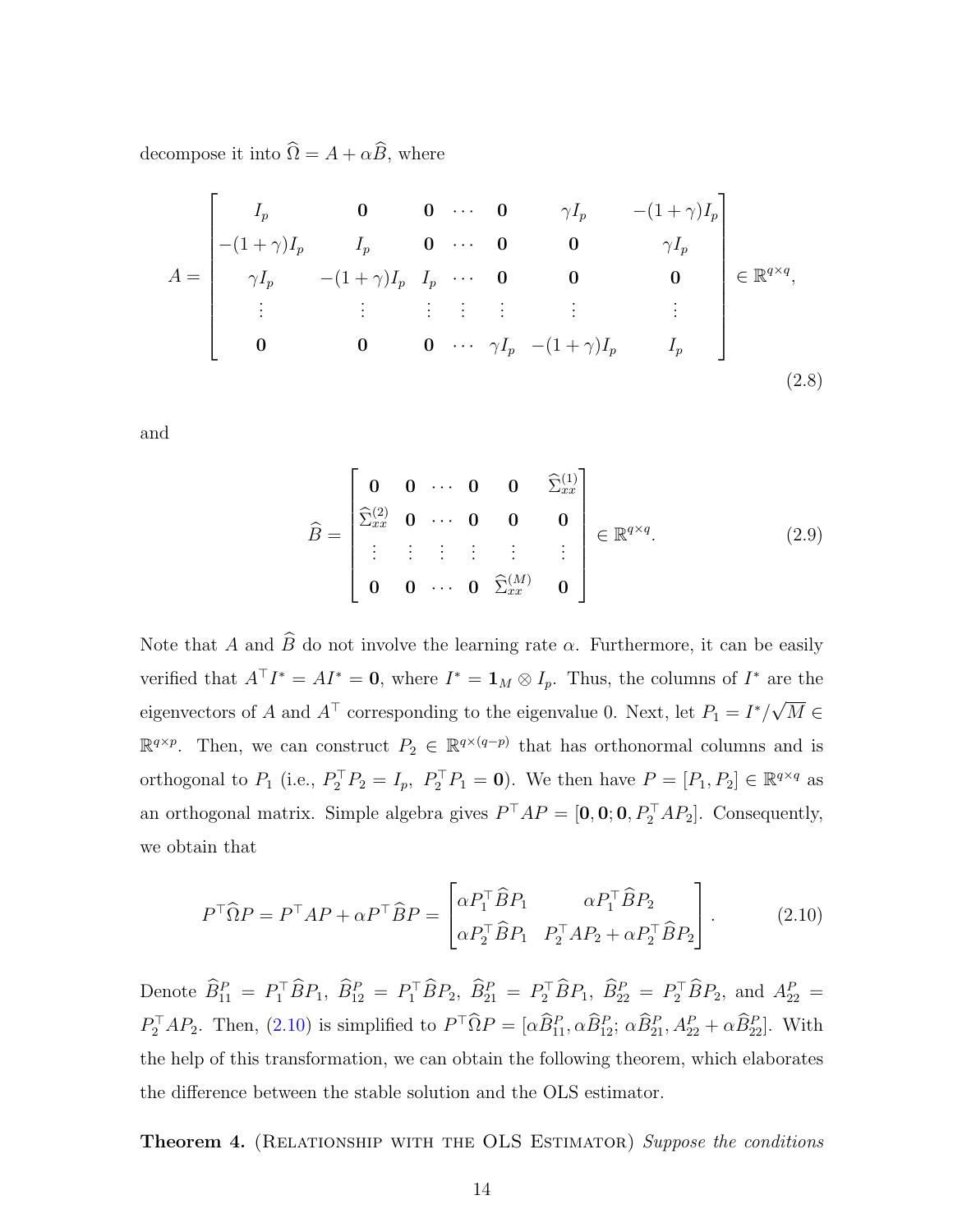decompose it into  $\widehat{\Omega}=A + \alpha \widehat{B},$  where

$$
A = \begin{bmatrix} I_p & \mathbf{0} & \mathbf{0} & \cdots & \mathbf{0} & \gamma I_p & -(1+\gamma)I_p \\ -(1+\gamma)I_p & I_p & \mathbf{0} & \cdots & \mathbf{0} & \mathbf{0} & \gamma I_p \\ \gamma I_p & -(1+\gamma)I_p & I_p & \cdots & \mathbf{0} & \mathbf{0} & \mathbf{0} \\ \vdots & \vdots & \vdots & \vdots & \vdots & \vdots & \vdots \\ \mathbf{0} & \mathbf{0} & \mathbf{0} & \cdots & \gamma I_p & -(1+\gamma)I_p & I_p \end{bmatrix} \in \mathbb{R}^{q \times q},
$$
\n(2.8)

and

<span id="page-13-2"></span>
$$
\widehat{B} = \begin{bmatrix}\n\mathbf{0} & \mathbf{0} & \cdots & \mathbf{0} & \mathbf{0} & \widehat{\Sigma}_{xx}^{(1)} \\
\widehat{\Sigma}_{xx}^{(2)} & \mathbf{0} & \cdots & \mathbf{0} & \mathbf{0} & \mathbf{0} \\
\vdots & \vdots & \vdots & \vdots & \vdots & \vdots \\
\mathbf{0} & \mathbf{0} & \cdots & \mathbf{0} & \widehat{\Sigma}_{xx}^{(M)} & \mathbf{0}\n\end{bmatrix} \in \mathbb{R}^{q \times q}.
$$
\n(2.9)

Note that A and  $\widehat{B}$  do not involve the learning rate  $\alpha$ . Furthermore, it can be easily verified that  $A^{\top}I^* = AI^* = \mathbf{0}$ , where  $I^* = \mathbf{1}_M \otimes I_p$ . Thus, the columns of  $I^*$  are the eigenvectors of A and  $A^{\top}$  corresponding to the eigenvalue 0. Next, let  $P_1 = I^*/$ √  $M \in$  $\mathbb{R}^{q\times p}$ . Then, we can construct  $P_2 \in \mathbb{R}^{q\times (q-p)}$  that has orthonormal columns and is orthogonal to  $P_1$  (i.e.,  $P_2^{\top} P_2 = I_p$ ,  $P_2^{\top} P_1 = \mathbf{0}$ ). We then have  $P = [P_1, P_2] \in \mathbb{R}^{q \times q}$  as an orthogonal matrix. Simple algebra gives  $P^{\top}AP = [0, 0; 0, P_2^{\top}AP_2]$ . Consequently, we obtain that

<span id="page-13-0"></span>
$$
P^{\top} \widehat{\Omega} P = P^{\top} A P + \alpha P^{\top} \widehat{B} P = \begin{bmatrix} \alpha P_1^{\top} \widehat{B} P_1 & \alpha P_1^{\top} \widehat{B} P_2 \\ \alpha P_2^{\top} \widehat{B} P_1 & P_2^{\top} A P_2 + \alpha P_2^{\top} \widehat{B} P_2 \end{bmatrix} .
$$
 (2.10)

Denote  $\widehat{B}_{11}^P = P_1^\top \widehat{B} P_1$ ,  $\widehat{B}_{12}^P = P_1^\top \widehat{B} P_2$ ,  $\widehat{B}_{21}^P = P_2^\top \widehat{B} P_1$ ,  $\widehat{B}_{22}^P = P_2^\top \widehat{B} P_2$ , and  $A_{22}^P =$  $P_2^{\top}AP_2$ . Then, [\(2.10\)](#page-13-0) is simplified to  $P^{\top}\hat{\Omega}P = [\alpha \hat{B}_{11}^P, \alpha \hat{B}_{12}^P; \alpha \hat{B}_{21}^P, A_{22}^P + \alpha \hat{B}_{22}^P]$ . With the help of this transformation, we can obtain the following theorem, which elaborates the difference between the stable solution and the OLS estimator.

<span id="page-13-1"></span>**Theorem 4.** (RELATIONSHIP WITH THE OLS ESTIMATOR) Suppose the conditions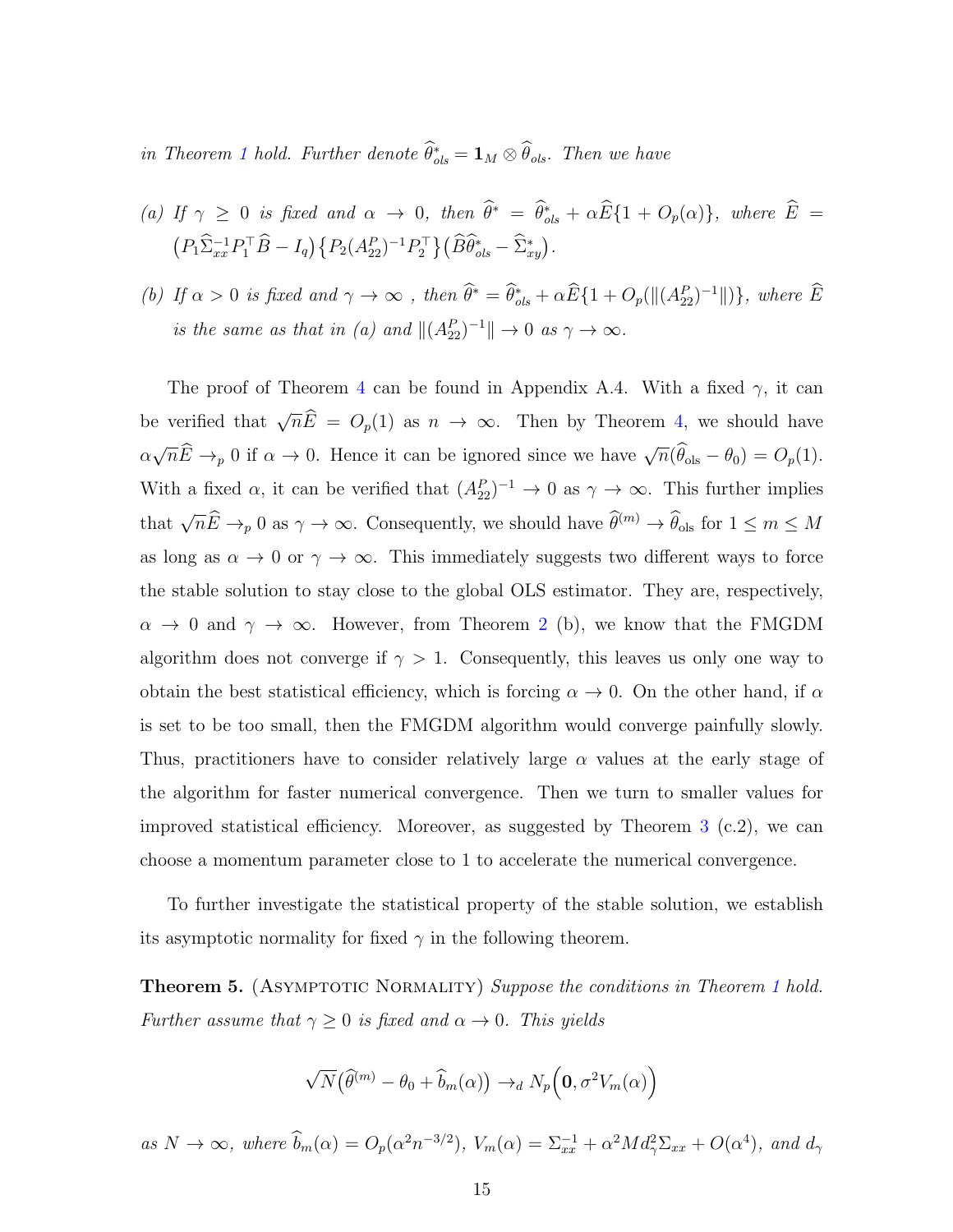in Theorem [1](#page-9-0) hold. Further denote  $\hat{\theta}_{ols}^* = \mathbf{1}_M \otimes \hat{\theta}_{ols}$ . Then we have

(a) If 
$$
\gamma \ge 0
$$
 is fixed and  $\alpha \to 0$ , then  $\hat{\theta}^* = \hat{\theta}_{ols}^* + \alpha \hat{E} \{1 + O_p(\alpha)\}$ , where  $\hat{E} = (P_1 \hat{\Sigma}_{xx}^{-1} P_1^{\top} \hat{B} - I_q) \{ P_2 (A_{22}^P)^{-1} P_2^{\top} \} (\hat{B} \hat{\theta}_{ols}^* - \hat{\Sigma}_{xy}^*).$ 

(b) If  $\alpha > 0$  is fixed and  $\gamma \to \infty$ , then  $\hat{\theta}^* = \hat{\theta}_{ols}^* + \alpha \hat{E} \{1 + O_p(\|(A_{22}^P)^{-1}\|)\}\$ , where  $\hat{E}$ is the same as that in (a) and  $||(A_{22}^P)^{-1}|| \to 0$  as  $\gamma \to \infty$ .

The proof of Theorem [4](#page-13-1) can be found in Appendix A.4. With a fixed  $\gamma$ , it can be verified that  $\sqrt{n}\widehat{E} = O_p(1)$  as  $n \to \infty$ . Then by Theorem [4,](#page-13-1) we should have  $\alpha$  $\sqrt{n}\widehat{E}\to_p 0$  if  $\alpha\to 0$ . Hence it can be ignored since we have  $\sqrt{n}(\widehat{\theta}_{ols} - \theta_0) = O_p(1)$ . With a fixed  $\alpha$ , it can be verified that  $(A_{22}^P)^{-1} \to 0$  as  $\gamma \to \infty$ . This further implies that  $\sqrt{n}\widehat{E}\to_p 0$  as  $\gamma\to\infty$ . Consequently, we should have  $\widehat{\theta}^{(m)}\to\widehat{\theta}_{\text{ols}}$  for  $1\leq m\leq M$ as long as  $\alpha \to 0$  or  $\gamma \to \infty$ . This immediately suggests two different ways to force the stable solution to stay close to the global OLS estimator. They are, respectively,  $\alpha \to 0$  and  $\gamma \to \infty$ . However, from Theorem [2](#page-10-0) (b), we know that the FMGDM algorithm does not converge if  $\gamma > 1$ . Consequently, this leaves us only one way to obtain the best statistical efficiency, which is forcing  $\alpha \to 0$ . On the other hand, if  $\alpha$ is set to be too small, then the FMGDM algorithm would converge painfully slowly. Thus, practitioners have to consider relatively large  $\alpha$  values at the early stage of the algorithm for faster numerical convergence. Then we turn to smaller values for improved statistical efficiency. Moreover, as suggested by Theorem  $3$  (c.2), we can choose a momentum parameter close to 1 to accelerate the numerical convergence.

To further investigate the statistical property of the stable solution, we establish its asymptotic normality for fixed  $\gamma$  in the following theorem.

<span id="page-14-0"></span>**Theorem 5.** (ASYMPTOTIC NORMALITY) Suppose the conditions in Theorem [1](#page-9-0) hold. Further assume that  $\gamma \geq 0$  is fixed and  $\alpha \to 0$ . This yields

$$
\sqrt{N}(\widehat{\theta}^{(m)} - \theta_0 + \widehat{b}_m(\alpha)) \rightarrow_d N_p(\mathbf{0}, \sigma^2 V_m(\alpha))
$$

as  $N \to \infty$ , where  $\hat{b}_m(\alpha) = O_p(\alpha^2 n^{-3/2})$ ,  $V_m(\alpha) = \sum_{xx}^{-1} + \alpha^2 M d_{\gamma}^2 \Sigma_{xx} + O(\alpha^4)$ , and  $d_{\gamma}$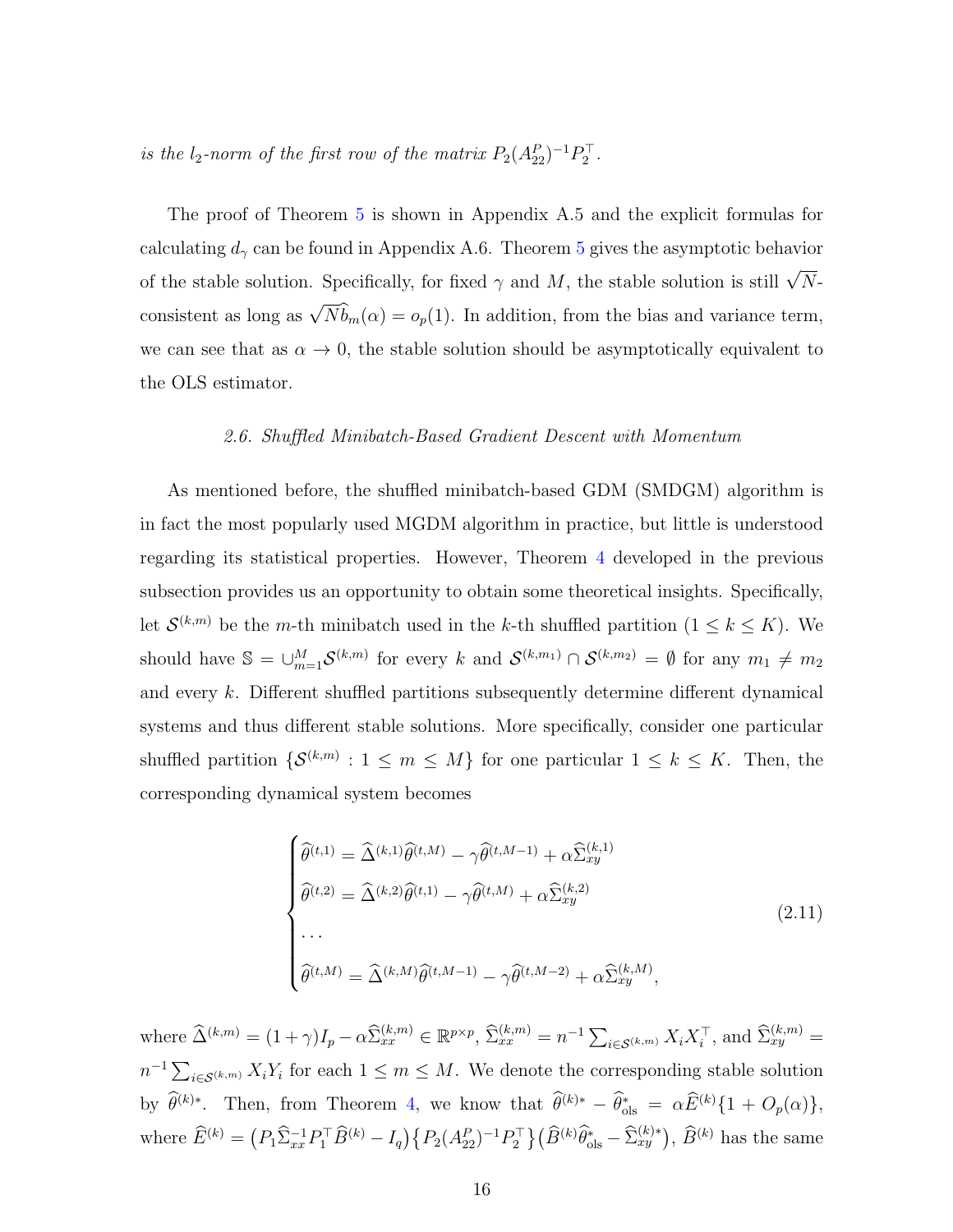is the  $l_2$ -norm of the first row of the matrix  $P_2(A_{22}^P)^{-1}P_2^T$ .

The proof of Theorem [5](#page-14-0) is shown in Appendix A.5 and the explicit formulas for calculating  $d_{\gamma}$  can be found in Appendix A.6. Theorem [5](#page-14-0) gives the asymptotic behavior of the stable solution. Specifically, for fixed  $\gamma$  and M, the stable solution is still  $\sqrt{N}$ consistent as long as  $\sqrt{N} \hat{b}_m(\alpha) = o_p(1)$ . In addition, from the bias and variance term, we can see that as  $\alpha \to 0$ , the stable solution should be asymptotically equivalent to the OLS estimator.

#### 2.6. Shuffled Minibatch-Based Gradient Descent with Momentum

As mentioned before, the shuffled minibatch-based GDM (SMDGM) algorithm is in fact the most popularly used MGDM algorithm in practice, but little is understood regarding its statistical properties. However, Theorem [4](#page-13-1) developed in the previous subsection provides us an opportunity to obtain some theoretical insights. Specifically, let  $\mathcal{S}^{(k,m)}$  be the *m*-th minibatch used in the k-th shuffled partition  $(1 \leq k \leq K)$ . We should have  $\mathbb{S} = \bigcup_{m=1}^{M} \mathcal{S}^{(k,m)}$  for every k and  $\mathcal{S}^{(k,m_1)} \cap \mathcal{S}^{(k,m_2)} = \emptyset$  for any  $m_1 \neq m_2$ and every k. Different shuffled partitions subsequently determine different dynamical systems and thus different stable solutions. More specifically, consider one particular shuffled partition  $\{\mathcal{S}^{(k,m)}: 1 \leq m \leq M\}$  for one particular  $1 \leq k \leq K$ . Then, the corresponding dynamical system becomes

$$
\begin{cases}\n\widehat{\theta}^{(t,1)} = \widehat{\Delta}^{(k,1)}\widehat{\theta}^{(t,M)} - \gamma \widehat{\theta}^{(t,M-1)} + \alpha \widehat{\Sigma}_{xy}^{(k,1)} \\
\widehat{\theta}^{(t,2)} = \widehat{\Delta}^{(k,2)}\widehat{\theta}^{(t,1)} - \gamma \widehat{\theta}^{(t,M)} + \alpha \widehat{\Sigma}_{xy}^{(k,2)} \\
\cdots \\
\widehat{\theta}^{(t,M)} = \widehat{\Delta}^{(k,M)}\widehat{\theta}^{(t,M-1)} - \gamma \widehat{\theta}^{(t,M-2)} + \alpha \widehat{\Sigma}_{xy}^{(k,M)},\n\end{cases} (2.11)
$$

where  $\widehat{\Delta}^{(k,m)} = (1+\gamma)I_p - \alpha \widehat{\Sigma}_{xx}^{(k,m)} \in \mathbb{R}^{p \times p}, \widehat{\Sigma}_{xx}^{(k,m)} = n^{-1} \sum_{i \in \mathcal{S}^{(k,m)}} X_i X_i^{\top},$  and  $\widehat{\Sigma}_{xy}^{(k,m)} =$  $n^{-1} \sum_{i \in \mathcal{S}^{(k,m)}} X_i Y_i$  for each  $1 \leq m \leq M$ . We denote the corresponding stable solution by  $\hat{\theta}^{(k)*}$ . Then, from Theorem [4,](#page-13-1) we know that  $\hat{\theta}^{(k)*} - \hat{\theta}_{ols}^{*} = \alpha \hat{E}^{(k)} \{1 + O_p(\alpha)\},$ where  $\hat{E}^{(k)} = (P_1 \hat{\Sigma}_{xx}^{-1} P_1^{\top} \hat{B}^{(k)} - I_q) \{ P_2 (A_{22}^P)^{-1} P_2^{\top} \} (\hat{B}^{(k)} \hat{\theta}_{\text{ols}}^* - \hat{\Sigma}_{xy}^{(k)*}), \hat{B}^{(k)}$  has the same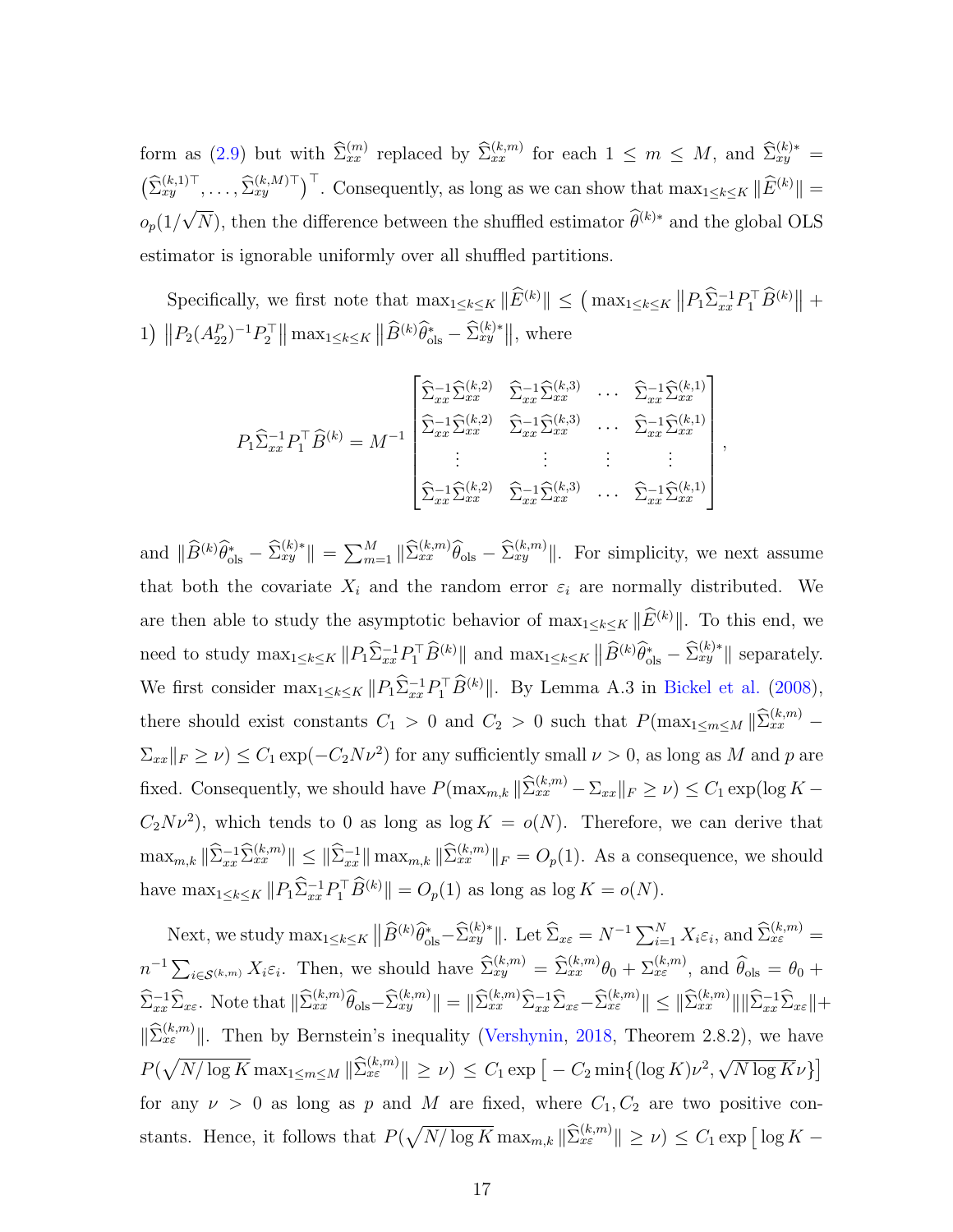form as [\(2.9\)](#page-13-2) but with  $\widehat{\Sigma}_{xx}^{(m)}$  replaced by  $\widehat{\Sigma}_{xx}^{(k,m)}$  for each  $1 \leq m \leq M$ , and  $\widehat{\Sigma}_{xy}^{(k)*}$  $\left(\widehat{\Sigma}_{xy}^{(k,1)\top}, \ldots, \widehat{\Sigma}_{xy}^{(k,M)\top}\right)^{\top}$ . Consequently, as long as we can show that  $\max_{1 \leq k \leq K} \|\widehat{E}^{(k)}\|$  =  $o_p(1/$ √  $\overline{N}$ ), then the difference between the shuffled estimator  $\widehat{\theta}^{(k)*}$  and the global OLS estimator is ignorable uniformly over all shuffled partitions.

Specifically, we first note that  $\max_{1 \leq k \leq K} \|\widehat{E}^{(k)}\| \leq (\max_{1 \leq k \leq K} \|P_1\widehat{\Sigma}_{xx}^{-1}P_1^{\top}\widehat{B}^{(k)}\| +$ 1)  $||P_2(A_{22}^P)^{-1}P_2^{\top}|| \max_{1 \le k \le K} ||\widehat{B}^{(k)}\widehat{\theta}_{\text{ols}}^* - \widehat{\Sigma}_{xy}^{(k)*}||$ , where

$$
P_1 \widehat{\Sigma}_{xx}^{-1} P_1^{\top} \widehat{B}^{(k)} = M^{-1} \begin{bmatrix} \widehat{\Sigma}_{xx}^{-1} \widehat{\Sigma}_{xx}^{(k,2)} & \widehat{\Sigma}_{xx}^{-1} \widehat{\Sigma}_{xx}^{(k,3)} & \cdots & \widehat{\Sigma}_{xx}^{-1} \widehat{\Sigma}_{xx}^{(k,1)} \\ \widehat{\Sigma}_{xx}^{-1} \widehat{\Sigma}_{xx}^{(k,2)} & \widehat{\Sigma}_{xx}^{-1} \widehat{\Sigma}_{xx}^{(k,3)} & \cdots & \widehat{\Sigma}_{xx}^{-1} \widehat{\Sigma}_{xx}^{(k,1)} \\ \vdots & \vdots & \vdots & \vdots \\ \widehat{\Sigma}_{xx}^{-1} \widehat{\Sigma}_{xx}^{(k,2)} & \widehat{\Sigma}_{xx}^{-1} \widehat{\Sigma}_{xx}^{(k,3)} & \cdots & \widehat{\Sigma}_{xx}^{-1} \widehat{\Sigma}_{xx}^{(k,1)} \end{bmatrix},
$$

and  $\|\widehat{B}^{(k)}\widehat{\theta}_{\text{ols}}^* - \widehat{\Sigma}_{xy}^{(k)*}\| = \sum_{m=1}^M \|\widehat{\Sigma}_{xx}^{(k,m)}\widehat{\theta}_{\text{ols}} - \widehat{\Sigma}_{xy}^{(k,m)}\|$ . For simplicity, we next assume that both the covariate  $X_i$  and the random error  $\varepsilon_i$  are normally distributed. We are then able to study the asymptotic behavior of  $\max_{1 \leq k \leq K} \|\widehat{E}^{(k)}\|$ . To this end, we need to study  $\max_{1 \leq k \leq K} ||P_1 \widehat{\Sigma}_{xx}^{-1} P_1^{\top} \widehat{B}^{(k)}||$  and  $\max_{1 \leq k \leq K} ||\widehat{B}^{(k)} \widehat{\theta}_{ols}^* - \widehat{\Sigma}_{xy}^{(k)*}||$  separately. We first consider  $\max_{1 \leq k \leq K} ||P_1 \hat{\Sigma}_{xx}^{-1} P_1^{\top} \hat{B}^{(k)}||$ . By Lemma A.3 in [Bickel et al.](#page-41-8) [\(2008\)](#page-41-8), there should exist constants  $C_1 > 0$  and  $C_2 > 0$  such that  $P(\max_{1 \le m \le M} || \widehat{\Sigma}_{xx}^{(k,m)} \sum_{xx} ||F||_{F} \geq \nu$   $\leq C_1 \exp(-C_2 N \nu^2)$  for any sufficiently small  $\nu > 0$ , as long as M and p are fixed. Consequently, we should have  $P(\max_{m,k} \|\widehat{\Sigma}_{xx}^{(k,m)} - \Sigma_{xx}\|_F \ge \nu) \le C_1 \exp(\log K C_2N\nu^2$ , which tends to 0 as long as  $\log K = o(N)$ . Therefore, we can derive that  $\max_{m,k} \|\hat{\Sigma}_{xx}^{-1}\hat{\Sigma}_{xx}^{(k,m)}\| \leq \|\hat{\Sigma}_{xx}^{-1}\| \max_{m,k} \|\hat{\Sigma}_{xx}^{(k,m)}\|_F = O_p(1)$ . As a consequence, we should have  $\max_{1 \leq k \leq K} ||P_1 \hat{\Sigma}_{xx}^{-1} P_1^{\top} \hat{B}^{(k)}|| = O_p(1)$  as long as  $\log K = o(N)$ .

Next, we study  $\max_{1 \leq k \leq K} ||\widehat{B}^{(k)} \widehat{\theta}_{\text{ols}}^* - \widehat{\Sigma}_{xy}^{(k)*}||$ . Let  $\widehat{\Sigma}_{x\varepsilon} = N^{-1} \sum_{i=1}^N X_i \varepsilon_i$ , and  $\widehat{\Sigma}_{x\varepsilon}^{(k,m)} =$  $n^{-1}\sum_{i\in\mathcal{S}^{(k,m)}}X_i\varepsilon_i$ . Then, we should have  $\widehat{\Sigma}_{xy}^{(k,m)}=\widehat{\Sigma}_{xx}^{(k,m)}\theta_0+\Sigma_{x\varepsilon}^{(k,m)}$ , and  $\widehat{\theta}_{ols}=\theta_0+\widehat{\theta}_{0}$  $\hat{\Sigma}_{xx}^{-1}\hat{\Sigma}_{x\varepsilon}$ . Note that  $\|\hat{\Sigma}_{xx}^{(k,m)}\hat{\theta}_{\text{ols}} - \hat{\Sigma}_{xy}^{(k,m)}\| = \|\hat{\Sigma}_{xx}^{(k,m)}\hat{\Sigma}_{xx}^{-1}\hat{\Sigma}_{x\varepsilon} - \hat{\Sigma}_{xz}^{(k,m)}\| \le \|\hat{\Sigma}_{xx}^{(k,m)}\| \|\hat{\Sigma}_{xx}^{-1}\hat{\Sigma}_{x\varepsilon}\| +$  $\|\widehat{\Sigma}_{x\varepsilon}^{(k,m)}\|$ . Then by Bernstein's inequality [\(Vershynin,](#page-43-8) [2018,](#page-43-8) Theorem 2.8.2), we have  $P(\sqrt{N/\log K} \max_{1 \le m \le M} \|\hat{\Sigma}_{x_{\varepsilon}}^{(k,m)}\| \ge \nu) \le C_1 \exp[-C_2 \min\{(\log K)\nu^2,$ √  $\overline{N \log K \nu}$ for any  $\nu > 0$  as long as p and M are fixed, where  $C_1, C_2$  are two positive constants. Hence, it follows that  $P(\sqrt{N/\log K} \max_{m,k} \|\widehat{\Sigma}_{x\epsilon}^{(k,m)}\| \geq \nu) \leq C_1 \exp \left[\log K - \frac{C_1}{\log K}\right]$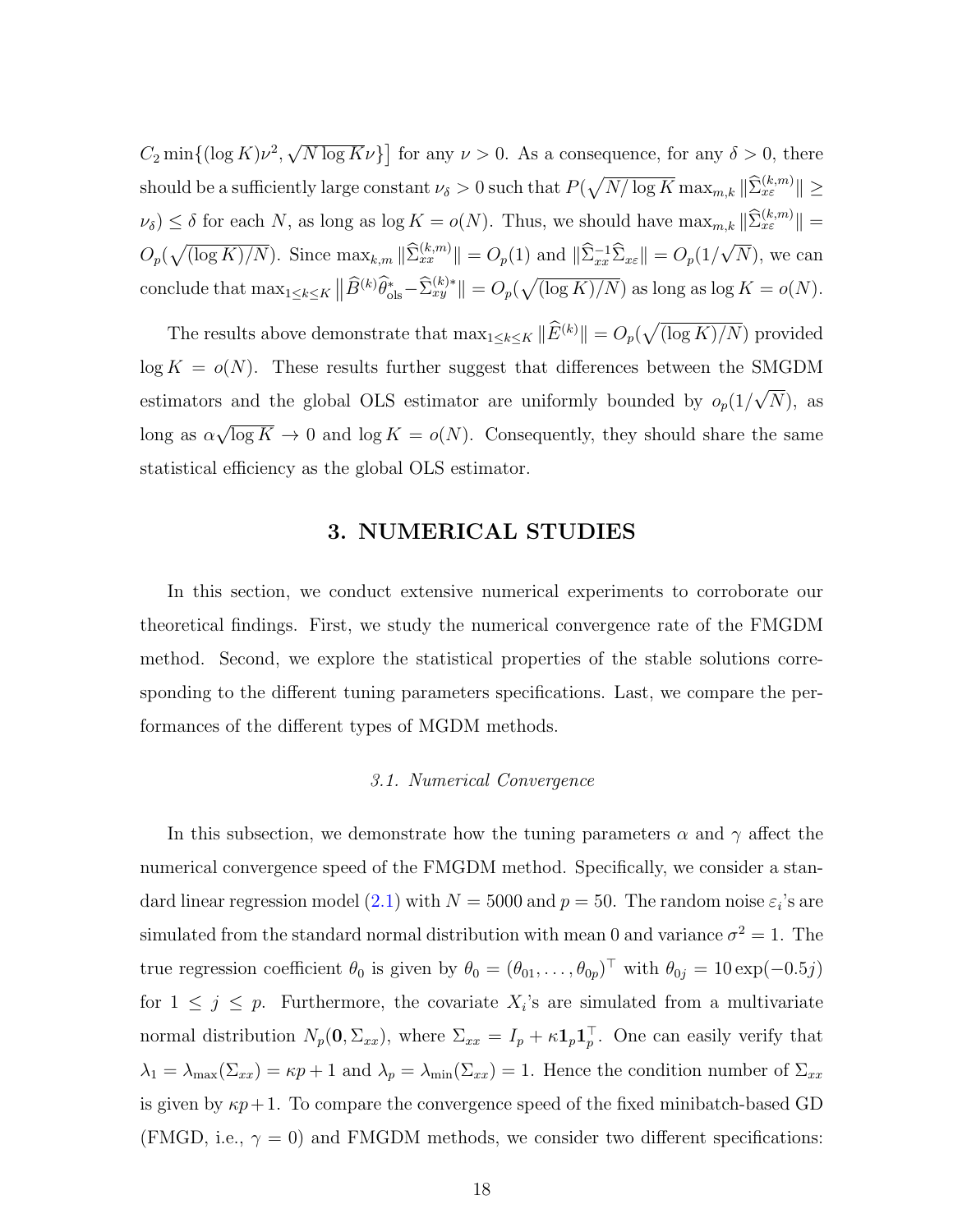$C_2 \min\{(\log K)\nu^2,$ √  $\overline{N \log K} \nu$ } for any  $\nu > 0$ . As a consequence, for any  $\delta > 0$ , there should be a sufficiently large constant  $\nu_{\delta} > 0$  such that  $P(\sqrt{N/\log K} \max_{m,k} \|\widehat{\Sigma}_{x\varepsilon}^{(k,m)}\| \geq$  $\nu_{\delta}) \leq \delta$  for each N, as long as log  $K = o(N)$ . Thus, we should have  $\max_{m,k} \|\widehat{\Sigma}_{x\varepsilon}^{(k,m)}\| =$  $O_p(\sqrt{\left(\log K\right)/N})$ . Since  $\max_{k,m} \|\widehat{\Sigma}_{xx}^{(k,m)}\| = O_p(1)$  and  $\|\widehat{\Sigma}_{xx}^{-1}\widehat{\Sigma}_{x\epsilon}\| = O_p(1/2)$ √  $(N)$ , we can conclude that  $\max_{1 \leq k \leq K} ||\widehat{B}^{(k)} \widehat{\theta}_{\text{ols}}^* - \widehat{\Sigma}_{xy}^{(k)*}|| = O_p(\sqrt{(\log K)/N})$  as long as  $\log K = o(N)$ .

The results above demonstrate that  $\max_{1 \leq k \leq K} \|\widehat{E}^{(k)}\| = O_p(\sqrt{(\log K)/N})$  provided  $log K = o(N)$ . These results further suggest that differences between the SMGDM estimators and the global OLS estimator are uniformly bounded by  $o_p(1)$ √  $(N)$ , as  $\log$  as  $\alpha$ √  $\overline{\log K} \to 0$  and  $\log K = o(N)$ . Consequently, they should share the same statistical efficiency as the global OLS estimator.

### 3. NUMERICAL STUDIES

In this section, we conduct extensive numerical experiments to corroborate our theoretical findings. First, we study the numerical convergence rate of the FMGDM method. Second, we explore the statistical properties of the stable solutions corresponding to the different tuning parameters specifications. Last, we compare the performances of the different types of MGDM methods.

#### 3.1. Numerical Convergence

In this subsection, we demonstrate how the tuning parameters  $\alpha$  and  $\gamma$  affect the numerical convergence speed of the FMGDM method. Specifically, we consider a stan-dard linear regression model [\(2.1\)](#page-6-0) with  $N = 5000$  and  $p = 50$ . The random noise  $\varepsilon_i$ 's are simulated from the standard normal distribution with mean 0 and variance  $\sigma^2 = 1$ . The true regression coefficient  $\theta_0$  is given by  $\theta_0 = (\theta_{01}, \dots, \theta_{0p})^\top$  with  $\theta_{0j} = 10 \exp(-0.5j)$ for  $1 \leq j \leq p$ . Furthermore, the covariate  $X_i$ 's are simulated from a multivariate normal distribution  $N_p(\mathbf{0}, \Sigma_{xx})$ , where  $\Sigma_{xx} = I_p + \kappa \mathbf{1}_p \mathbf{1}_p^{\top}$ . One can easily verify that  $\lambda_1 = \lambda_{\max}(\Sigma_{xx}) = \kappa p + 1$  and  $\lambda_p = \lambda_{\min}(\Sigma_{xx}) = 1$ . Hence the condition number of  $\Sigma_{xx}$ is given by  $\kappa p+1$ . To compare the convergence speed of the fixed minibatch-based GD (FMGD, i.e.,  $\gamma = 0$ ) and FMGDM methods, we consider two different specifications: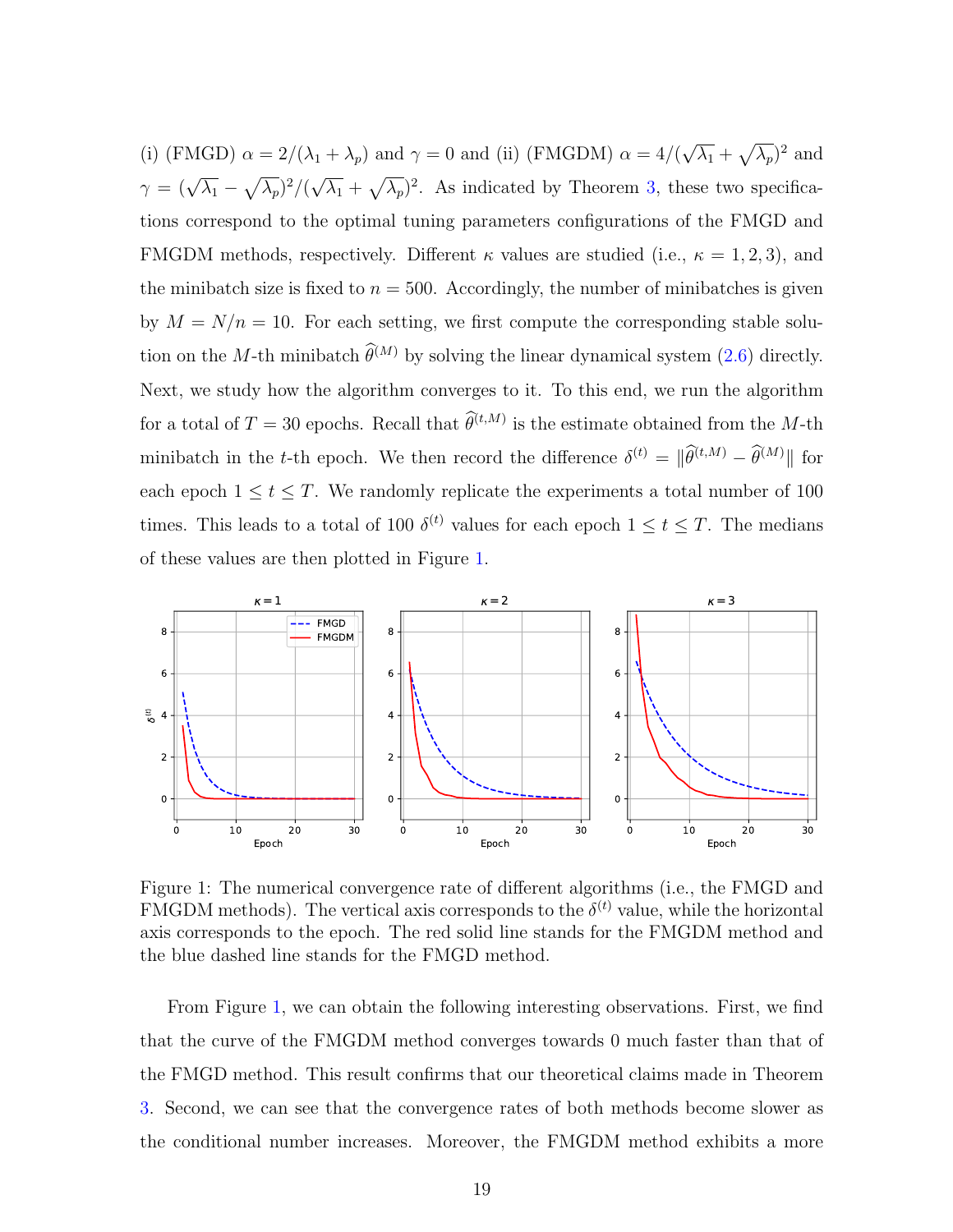(i) (FMGD)  $\alpha = 2/(\lambda_1 + \lambda_p)$  and  $\gamma = 0$  and (ii) (FMGDM)  $\alpha = 4/(\lambda_1 + \lambda_p)$ √  $\overline{\lambda_1} + \sqrt{\lambda_p}$ <sup>2</sup> and  $\gamma = (\sqrt{\lambda_1} - \sqrt{\lambda_p})^2/(\sqrt{\lambda_1}$ √  $\overline{\lambda_1} + \sqrt{\overline{\lambda_p}}$ <sup>2</sup>. As indicated by Theorem [3,](#page-11-0) these two specifications correspond to the optimal tuning parameters configurations of the FMGD and FMGDM methods, respectively. Different  $\kappa$  values are studied (i.e.,  $\kappa = 1, 2, 3$ ), and the minibatch size is fixed to  $n = 500$ . Accordingly, the number of minibatches is given by  $M = N/n = 10$ . For each setting, we first compute the corresponding stable solution on the M-th minibatch  $\hat{\theta}^{(M)}$  by solving the linear dynamical system [\(2.6\)](#page-9-1) directly. Next, we study how the algorithm converges to it. To this end, we run the algorithm for a total of  $T = 30$  epochs. Recall that  $\hat{\theta}^{(t,M)}$  is the estimate obtained from the M-th minibatch in the t-th epoch. We then record the difference  $\delta^{(t)} = ||\hat{\theta}^{(t,M)} - \hat{\theta}^{(M)}||$  for each epoch  $1 \le t \le T$ . We randomly replicate the experiments a total number of 100 times. This leads to a total of 100  $\delta^{(t)}$  values for each epoch  $1 \leq t \leq T$ . The medians of these values are then plotted in Figure [1.](#page-18-0)



<span id="page-18-0"></span>Figure 1: The numerical convergence rate of different algorithms (i.e., the FMGD and FMGDM methods). The vertical axis corresponds to the  $\delta^{(t)}$  value, while the horizontal axis corresponds to the epoch. The red solid line stands for the FMGDM method and the blue dashed line stands for the FMGD method.

From Figure [1,](#page-18-0) we can obtain the following interesting observations. First, we find that the curve of the FMGDM method converges towards 0 much faster than that of the FMGD method. This result confirms that our theoretical claims made in Theorem [3.](#page-11-0) Second, we can see that the convergence rates of both methods become slower as the conditional number increases. Moreover, the FMGDM method exhibits a more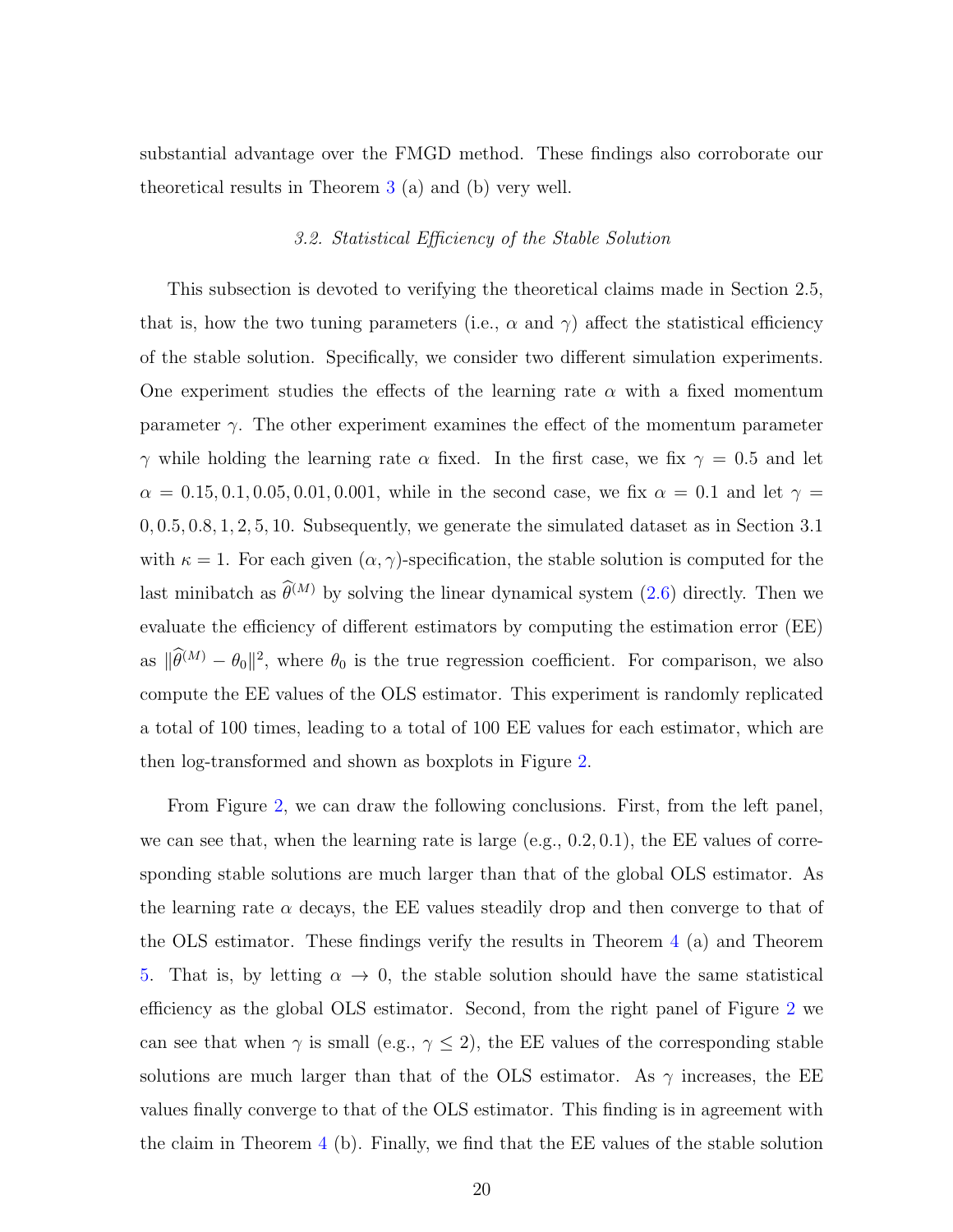substantial advantage over the FMGD method. These findings also corroborate our theoretical results in Theorem [3](#page-11-0) (a) and (b) very well.

#### 3.2. Statistical Efficiency of the Stable Solution

This subsection is devoted to verifying the theoretical claims made in Section 2.5, that is, how the two tuning parameters (i.e.,  $\alpha$  and  $\gamma$ ) affect the statistical efficiency of the stable solution. Specifically, we consider two different simulation experiments. One experiment studies the effects of the learning rate  $\alpha$  with a fixed momentum parameter  $\gamma$ . The other experiment examines the effect of the momentum parameter  $\gamma$  while holding the learning rate  $\alpha$  fixed. In the first case, we fix  $\gamma = 0.5$  and let  $\alpha = 0.15, 0.1, 0.05, 0.01, 0.001$ , while in the second case, we fix  $\alpha = 0.1$  and let  $\gamma =$ 0, 0.5, 0.8, 1, 2, 5, 10. Subsequently, we generate the simulated dataset as in Section 3.1 with  $\kappa = 1$ . For each given  $(\alpha, \gamma)$ -specification, the stable solution is computed for the last minibatch as  $\widehat{\theta}^{(M)}$  by solving the linear dynamical system [\(2.6\)](#page-9-1) directly. Then we evaluate the efficiency of different estimators by computing the estimation error (EE) as  $\|\hat{\theta}^{(M)} - \theta_0\|^2$ , where  $\theta_0$  is the true regression coefficient. For comparison, we also compute the EE values of the OLS estimator. This experiment is randomly replicated a total of 100 times, leading to a total of 100 EE values for each estimator, which are then log-transformed and shown as boxplots in Figure [2.](#page-20-0)

From Figure [2,](#page-20-0) we can draw the following conclusions. First, from the left panel, we can see that, when the learning rate is large  $(e.g., 0.2, 0.1)$ , the EE values of corresponding stable solutions are much larger than that of the global OLS estimator. As the learning rate  $\alpha$  decays, the EE values steadily drop and then converge to that of the OLS estimator. These findings verify the results in Theorem [4](#page-13-1) (a) and Theorem [5.](#page-14-0) That is, by letting  $\alpha \to 0$ , the stable solution should have the same statistical efficiency as the global OLS estimator. Second, from the right panel of Figure [2](#page-20-0) we can see that when  $\gamma$  is small (e.g.,  $\gamma \leq 2$ ), the EE values of the corresponding stable solutions are much larger than that of the OLS estimator. As  $\gamma$  increases, the EE values finally converge to that of the OLS estimator. This finding is in agreement with the claim in Theorem [4](#page-13-1) (b). Finally, we find that the EE values of the stable solution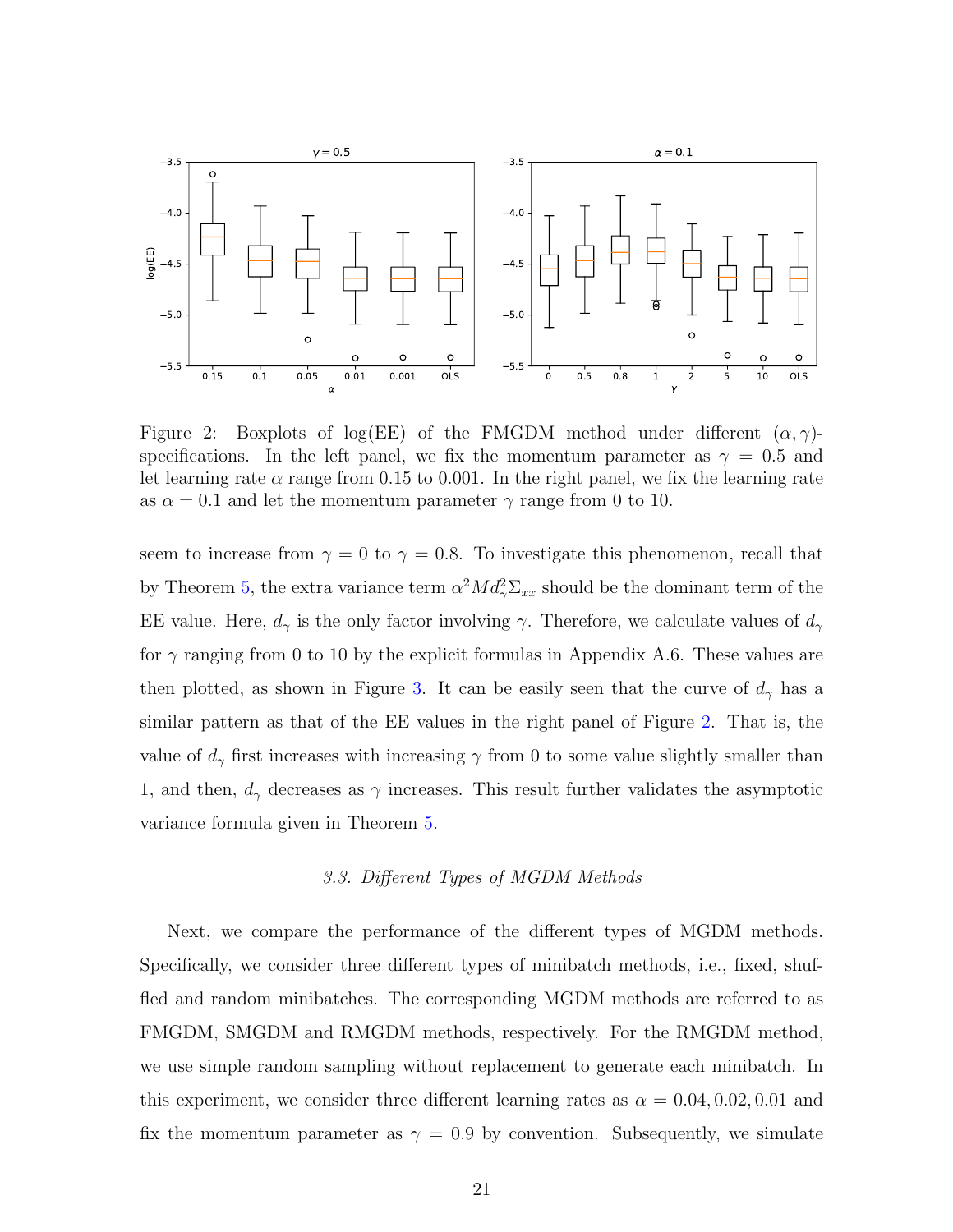

<span id="page-20-0"></span>Figure 2: Boxplots of log(EE) of the FMGDM method under different  $(\alpha, \gamma)$ specifications. In the left panel, we fix the momentum parameter as  $\gamma = 0.5$  and let learning rate  $\alpha$  range from 0.15 to 0.001. In the right panel, we fix the learning rate as  $\alpha = 0.1$  and let the momentum parameter  $\gamma$  range from 0 to 10.

seem to increase from  $\gamma = 0$  to  $\gamma = 0.8$ . To investigate this phenomenon, recall that by Theorem [5,](#page-14-0) the extra variance term  $\alpha^2 M d_{\gamma}^2 \Sigma_{xx}$  should be the dominant term of the EE value. Here,  $d_{\gamma}$  is the only factor involving  $\gamma$ . Therefore, we calculate values of  $d_{\gamma}$ for  $\gamma$  ranging from 0 to 10 by the explicit formulas in Appendix A.6. These values are then plotted, as shown in Figure [3.](#page-21-0) It can be easily seen that the curve of  $d_{\gamma}$  has a similar pattern as that of the EE values in the right panel of Figure [2.](#page-20-0) That is, the value of  $d_{\gamma}$  first increases with increasing  $\gamma$  from 0 to some value slightly smaller than 1, and then,  $d_{\gamma}$  decreases as  $\gamma$  increases. This result further validates the asymptotic variance formula given in Theorem [5.](#page-14-0)

#### 3.3. Different Types of MGDM Methods

Next, we compare the performance of the different types of MGDM methods. Specifically, we consider three different types of minibatch methods, i.e., fixed, shuffled and random minibatches. The corresponding MGDM methods are referred to as FMGDM, SMGDM and RMGDM methods, respectively. For the RMGDM method, we use simple random sampling without replacement to generate each minibatch. In this experiment, we consider three different learning rates as  $\alpha = 0.04, 0.02, 0.01$  and fix the momentum parameter as  $\gamma = 0.9$  by convention. Subsequently, we simulate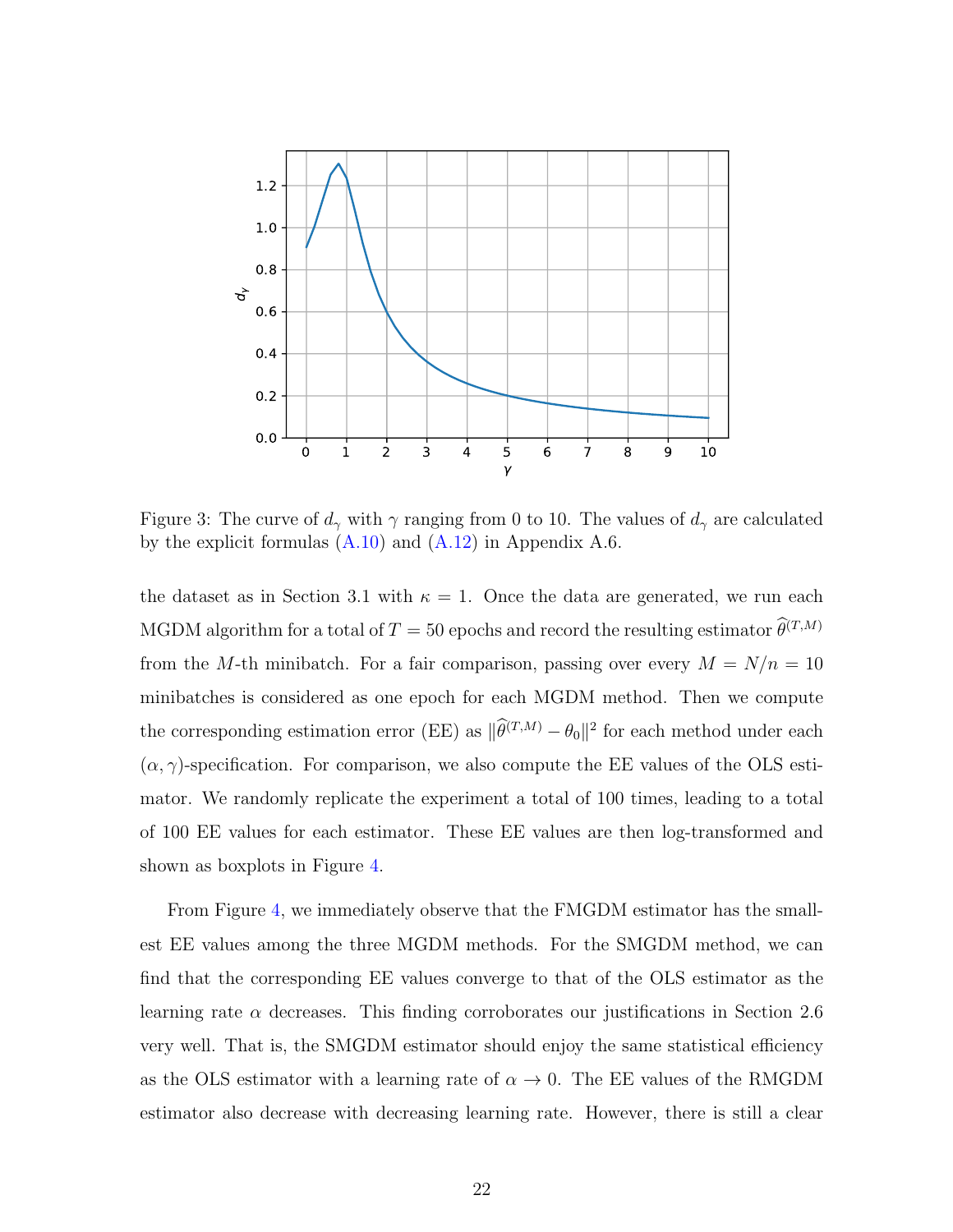

<span id="page-21-0"></span>Figure 3: The curve of  $d_{\gamma}$  with  $\gamma$  ranging from 0 to 10. The values of  $d_{\gamma}$  are calculated by the explicit formulas  $(A.10)$  and  $(A.12)$  in Appendix A.6.

the dataset as in Section 3.1 with  $\kappa = 1$ . Once the data are generated, we run each MGDM algorithm for a total of  $T=50$  epochs and record the resulting estimator  $\widehat{\theta}^{(T,M)}$ from the M-th minibatch. For a fair comparison, passing over every  $M = N/n = 10$ minibatches is considered as one epoch for each MGDM method. Then we compute the corresponding estimation error (EE) as  $\|\hat{\theta}^{(T,M)} - \theta_0\|^2$  for each method under each  $(\alpha, \gamma)$ -specification. For comparison, we also compute the EE values of the OLS estimator. We randomly replicate the experiment a total of 100 times, leading to a total of 100 EE values for each estimator. These EE values are then log-transformed and shown as boxplots in Figure [4.](#page-22-0)

From Figure [4,](#page-22-0) we immediately observe that the FMGDM estimator has the smallest EE values among the three MGDM methods. For the SMGDM method, we can find that the corresponding EE values converge to that of the OLS estimator as the learning rate  $\alpha$  decreases. This finding corroborates our justifications in Section 2.6 very well. That is, the SMGDM estimator should enjoy the same statistical efficiency as the OLS estimator with a learning rate of  $\alpha \to 0$ . The EE values of the RMGDM estimator also decrease with decreasing learning rate. However, there is still a clear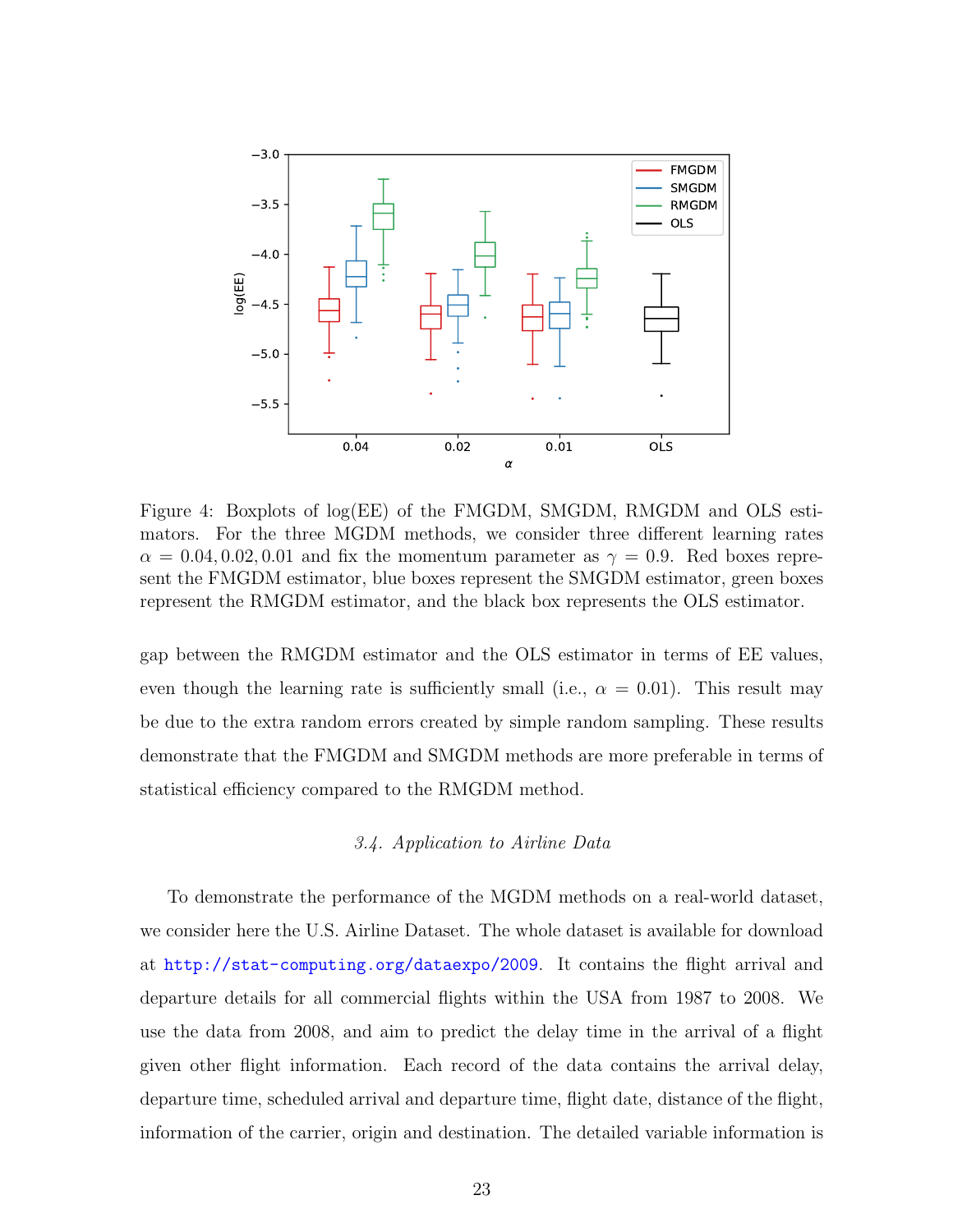

<span id="page-22-0"></span>Figure 4: Boxplots of log(EE) of the FMGDM, SMGDM, RMGDM and OLS estimators. For the three MGDM methods, we consider three different learning rates  $\alpha = 0.04, 0.02, 0.01$  and fix the momentum parameter as  $\gamma = 0.9$ . Red boxes represent the FMGDM estimator, blue boxes represent the SMGDM estimator, green boxes represent the RMGDM estimator, and the black box represents the OLS estimator.

gap between the RMGDM estimator and the OLS estimator in terms of EE values, even though the learning rate is sufficiently small (i.e.,  $\alpha = 0.01$ ). This result may be due to the extra random errors created by simple random sampling. These results demonstrate that the FMGDM and SMGDM methods are more preferable in terms of statistical efficiency compared to the RMGDM method.

### 3.4. Application to Airline Data

To demonstrate the performance of the MGDM methods on a real-world dataset, we consider here the U.S. Airline Dataset. The whole dataset is available for download at [http://stat-computing.org/dataexpo/2009](http: //stat-computing.org/dataexpo/2009). It contains the flight arrival and departure details for all commercial flights within the USA from 1987 to 2008. We use the data from 2008, and aim to predict the delay time in the arrival of a flight given other flight information. Each record of the data contains the arrival delay, departure time, scheduled arrival and departure time, flight date, distance of the flight, information of the carrier, origin and destination. The detailed variable information is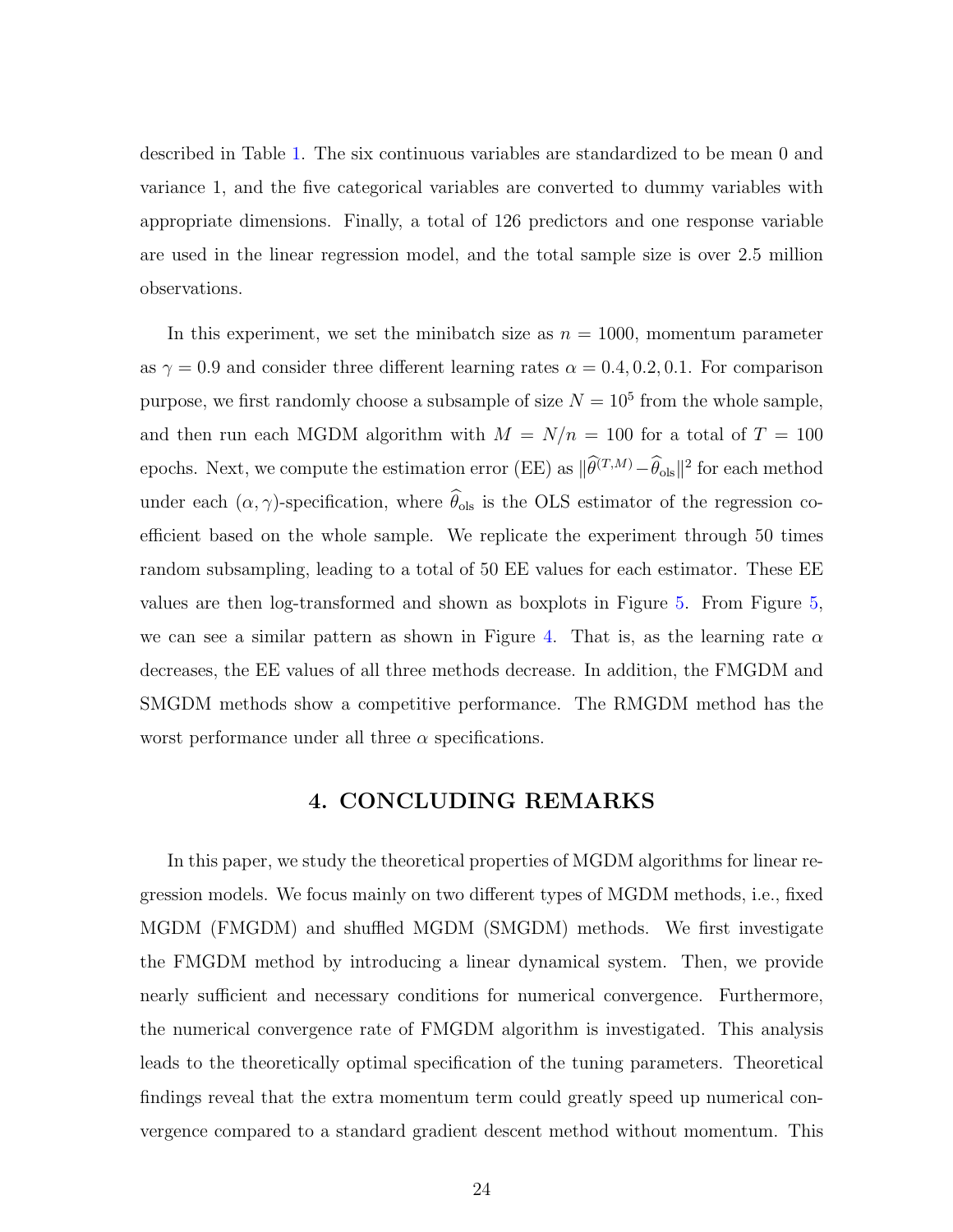described in Table [1.](#page-24-0) The six continuous variables are standardized to be mean 0 and variance 1, and the five categorical variables are converted to dummy variables with appropriate dimensions. Finally, a total of 126 predictors and one response variable are used in the linear regression model, and the total sample size is over 2.5 million observations.

In this experiment, we set the minibatch size as  $n = 1000$ , momentum parameter as  $\gamma = 0.9$  and consider three different learning rates  $\alpha = 0.4, 0.2, 0.1$ . For comparison purpose, we first randomly choose a subsample of size  $N = 10^5$  from the whole sample, and then run each MGDM algorithm with  $M = N/n = 100$  for a total of  $T = 100$ epochs. Next, we compute the estimation error (EE) as  $\|\hat{\theta}^{(T,M)} - \hat{\theta}_{ols}\|^2$  for each method under each  $(\alpha, \gamma)$ -specification, where  $\widehat{\theta}_{ols}$  is the OLS estimator of the regression coefficient based on the whole sample. We replicate the experiment through 50 times random subsampling, leading to a total of 50 EE values for each estimator. These EE values are then log-transformed and shown as boxplots in Figure [5.](#page-25-0) From Figure [5,](#page-25-0) we can see a similar pattern as shown in Figure [4.](#page-22-0) That is, as the learning rate  $\alpha$ decreases, the EE values of all three methods decrease. In addition, the FMGDM and SMGDM methods show a competitive performance. The RMGDM method has the worst performance under all three  $\alpha$  specifications.

## 4. CONCLUDING REMARKS

In this paper, we study the theoretical properties of MGDM algorithms for linear regression models. We focus mainly on two different types of MGDM methods, i.e., fixed MGDM (FMGDM) and shuffled MGDM (SMGDM) methods. We first investigate the FMGDM method by introducing a linear dynamical system. Then, we provide nearly sufficient and necessary conditions for numerical convergence. Furthermore, the numerical convergence rate of FMGDM algorithm is investigated. This analysis leads to the theoretically optimal specification of the tuning parameters. Theoretical findings reveal that the extra momentum term could greatly speed up numerical convergence compared to a standard gradient descent method without momentum. This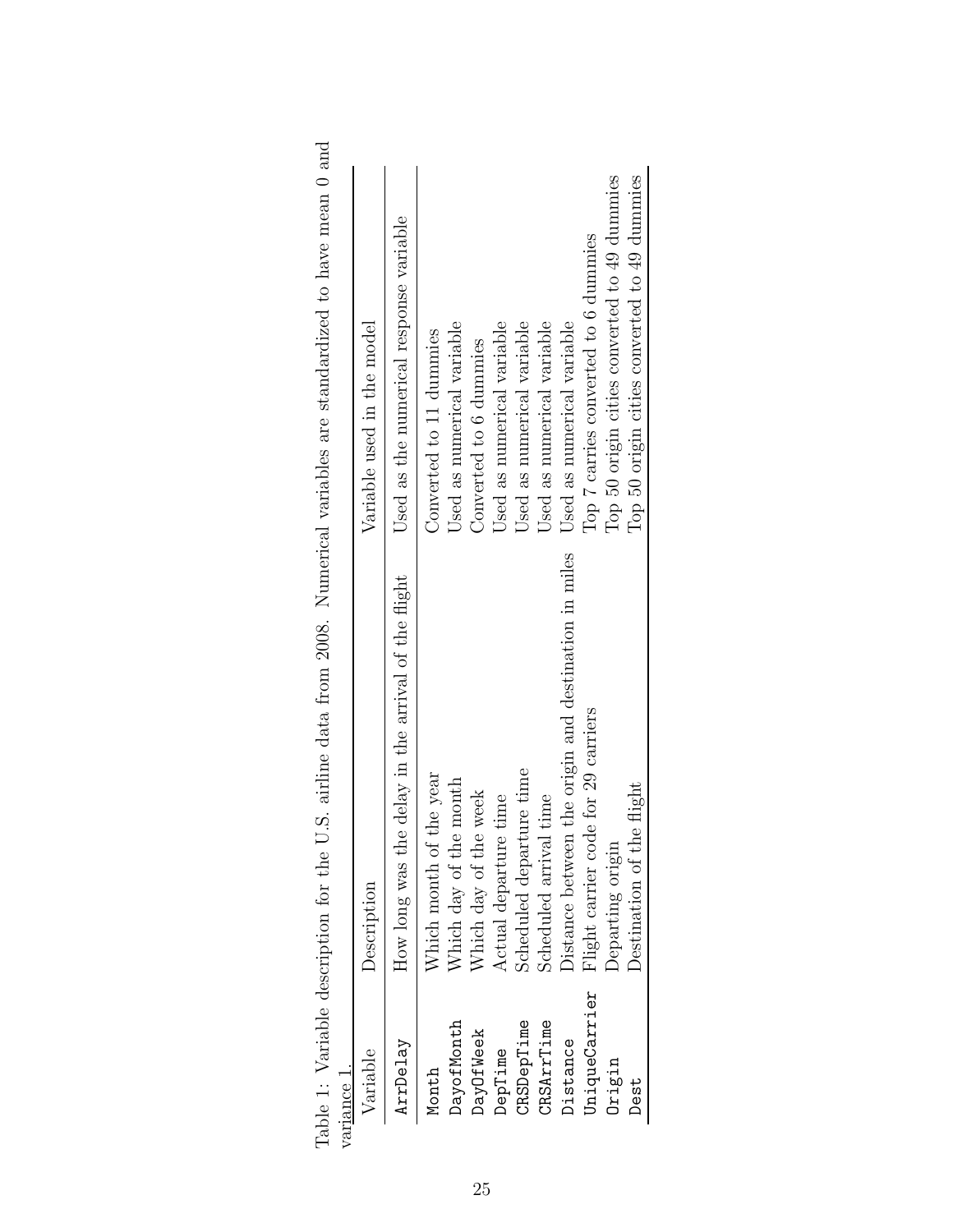| iance 1.      |                                                          |                                              |
|---------------|----------------------------------------------------------|----------------------------------------------|
| Variable      | Description                                              | Variable used in the model                   |
| ArrDelay      | the delay in the arrival of the flight<br>How long was t | Used as the numerical response variable      |
| Month         | Which month of the year                                  | Converted to 11 dummies                      |
| DayofMonth    | Which day of the month                                   | Used as numerical variable                   |
| DayOfWeek     | Which day of the week                                    | Converted to 6 dummies                       |
| DepTime       | Actual departure time                                    | Used as numerical variable                   |
| CRSDepTime    | Scheduled departure time                                 | Used as numerical variable                   |
| CRSArrTime    | Scheduled arrival time                                   | Used as numerical variable                   |
| Distance      | Distance between the origin and destination in miles     | Used as numerical variable                   |
| UniqueCarrier | Flight carrier code for 29 carriers                      | Top 7 carries converted to 6 dummies         |
| Origin        | Departing origin                                         | Top 50 origin cities converted to 49 dummies |
| Dest          | Destination of the flight                                | Top 50 origin cities converted to 49 dummies |
|               |                                                          |                                              |

<span id="page-24-0"></span>

| S<br>S                                                                               |  |
|--------------------------------------------------------------------------------------|--|
|                                                                                      |  |
|                                                                                      |  |
|                                                                                      |  |
|                                                                                      |  |
|                                                                                      |  |
|                                                                                      |  |
|                                                                                      |  |
| U.S. airline data from 2008. Numerical variables are standardized to have mean 0 and |  |
|                                                                                      |  |
|                                                                                      |  |
|                                                                                      |  |
|                                                                                      |  |
|                                                                                      |  |
|                                                                                      |  |
| $\frac{1}{2}$                                                                        |  |
|                                                                                      |  |
|                                                                                      |  |
| )<br>5                                                                               |  |
|                                                                                      |  |
|                                                                                      |  |
|                                                                                      |  |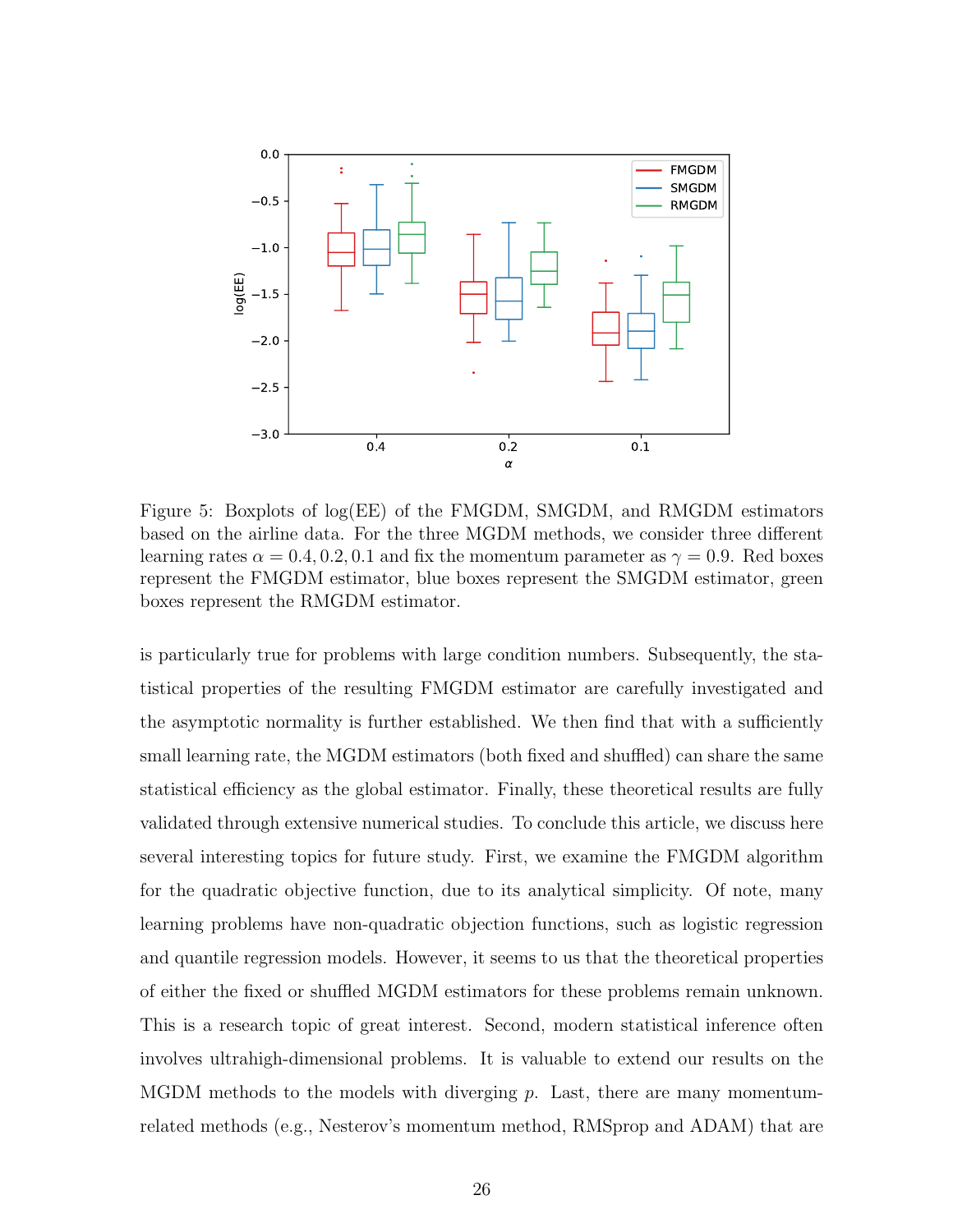

<span id="page-25-0"></span>Figure 5: Boxplots of log(EE) of the FMGDM, SMGDM, and RMGDM estimators based on the airline data. For the three MGDM methods, we consider three different learning rates  $\alpha = 0.4, 0.2, 0.1$  and fix the momentum parameter as  $\gamma = 0.9$ . Red boxes represent the FMGDM estimator, blue boxes represent the SMGDM estimator, green boxes represent the RMGDM estimator.

is particularly true for problems with large condition numbers. Subsequently, the statistical properties of the resulting FMGDM estimator are carefully investigated and the asymptotic normality is further established. We then find that with a sufficiently small learning rate, the MGDM estimators (both fixed and shuffled) can share the same statistical efficiency as the global estimator. Finally, these theoretical results are fully validated through extensive numerical studies. To conclude this article, we discuss here several interesting topics for future study. First, we examine the FMGDM algorithm for the quadratic objective function, due to its analytical simplicity. Of note, many learning problems have non-quadratic objection functions, such as logistic regression and quantile regression models. However, it seems to us that the theoretical properties of either the fixed or shuffled MGDM estimators for these problems remain unknown. This is a research topic of great interest. Second, modern statistical inference often involves ultrahigh-dimensional problems. It is valuable to extend our results on the MGDM methods to the models with diverging p. Last, there are many momentumrelated methods (e.g., Nesterov's momentum method, RMSprop and ADAM) that are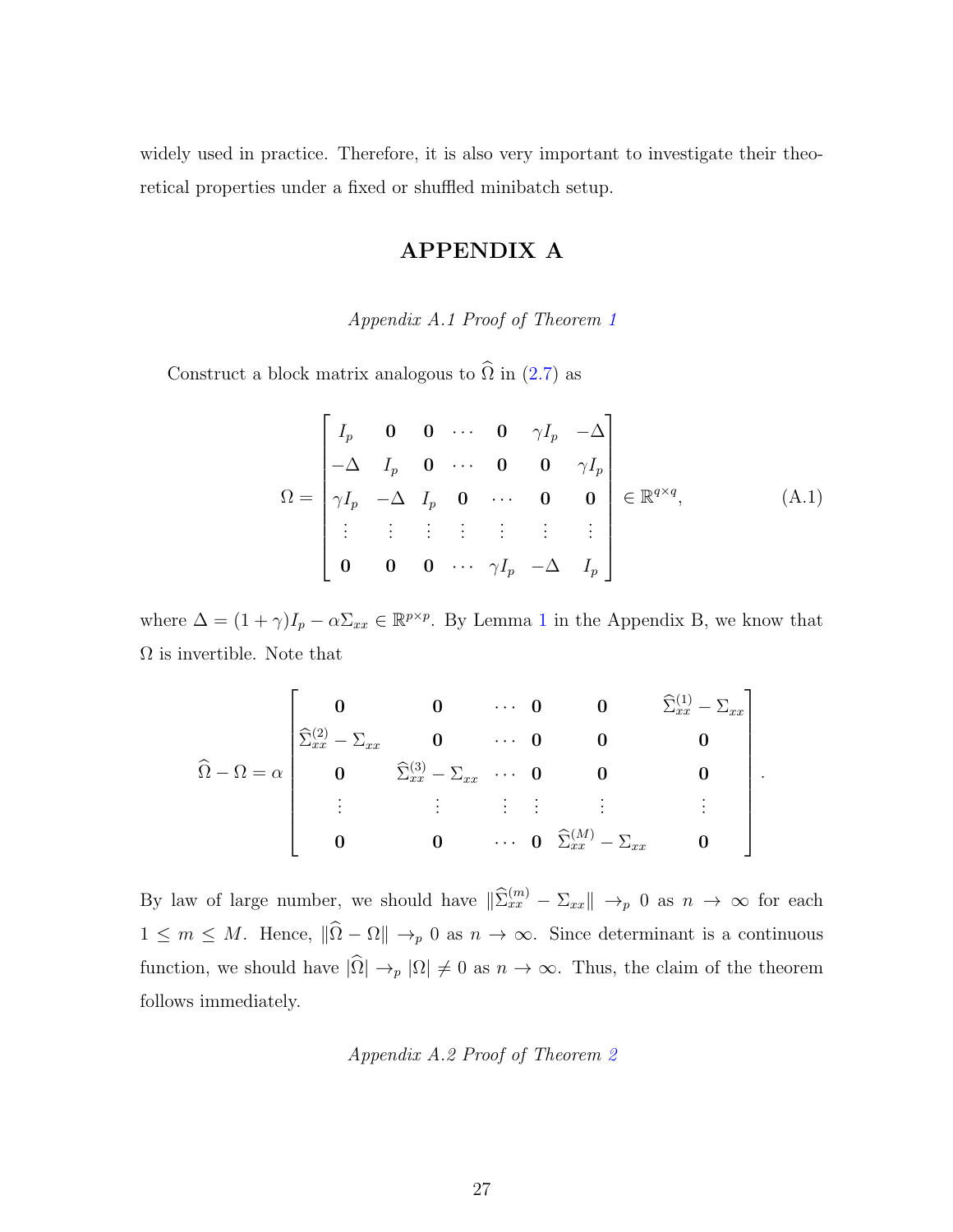widely used in practice. Therefore, it is also very important to investigate their theoretical properties under a fixed or shuffled minibatch setup.

## <span id="page-26-0"></span>APPENDIX A

Appendix A.1 Proof of Theorem [1](#page-9-0)

Construct a block matrix analogous to  $\widehat{\Omega}$  in ([2.7\)](#page-9-2) as

$$
\Omega = \begin{bmatrix} I_p & \mathbf{0} & \mathbf{0} & \cdots & \mathbf{0} & \gamma I_p & -\Delta \\ -\Delta & I_p & \mathbf{0} & \cdots & \mathbf{0} & \mathbf{0} & \gamma I_p \\ \gamma I_p & -\Delta & I_p & \mathbf{0} & \cdots & \mathbf{0} & \mathbf{0} \\ \vdots & \vdots & \vdots & \vdots & \vdots & \vdots & \vdots \\ \mathbf{0} & \mathbf{0} & \mathbf{0} & \cdots & \gamma I_p & -\Delta & I_p \end{bmatrix} \in \mathbb{R}^{q \times q}, \tag{A.1}
$$

where  $\Delta = (1 + \gamma)I_p - \alpha \Sigma_{xx} \in \mathbb{R}^{p \times p}$  $\Delta = (1 + \gamma)I_p - \alpha \Sigma_{xx} \in \mathbb{R}^{p \times p}$  $\Delta = (1 + \gamma)I_p - \alpha \Sigma_{xx} \in \mathbb{R}^{p \times p}$ . By Lemma 1 in the Appendix B, we know that  $\Omega$  is invertible. Note that

$$
\widehat{\Omega} - \Omega = \alpha \begin{bmatrix}\n0 & 0 & \cdots & 0 & 0 & \widehat{\Sigma}_{xx}^{(1)} - \Sigma_{xx} \\
\widehat{\Sigma}_{xx}^{(2)} - \Sigma_{xx} & 0 & \cdots & 0 & 0 & 0 \\
0 & \widehat{\Sigma}_{xx}^{(3)} - \Sigma_{xx} & \cdots & 0 & 0 & 0 \\
\vdots & \vdots & \vdots & \vdots & \vdots & \vdots & \vdots \\
0 & 0 & \cdots & 0 & \widehat{\Sigma}_{xx}^{(M)} - \Sigma_{xx} & 0\n\end{bmatrix}.
$$

By law of large number, we should have  $\|\widehat{\Sigma}_{xx}^{(m)} - \Sigma_{xx}\| \to_p 0$  as  $n \to \infty$  for each  $1 \leq m \leq M$ . Hence,  $\|\widehat{\Omega} - \Omega\| \to_p 0$  as  $n \to \infty$ . Since determinant is a continuous function, we should have  $|\widehat{\Omega}| \to_p |\Omega| \neq 0$  as  $n \to \infty$ . Thus, the claim of the theorem follows immediately.

#### Appendix A.2 Proof of Theorem [2](#page-10-0)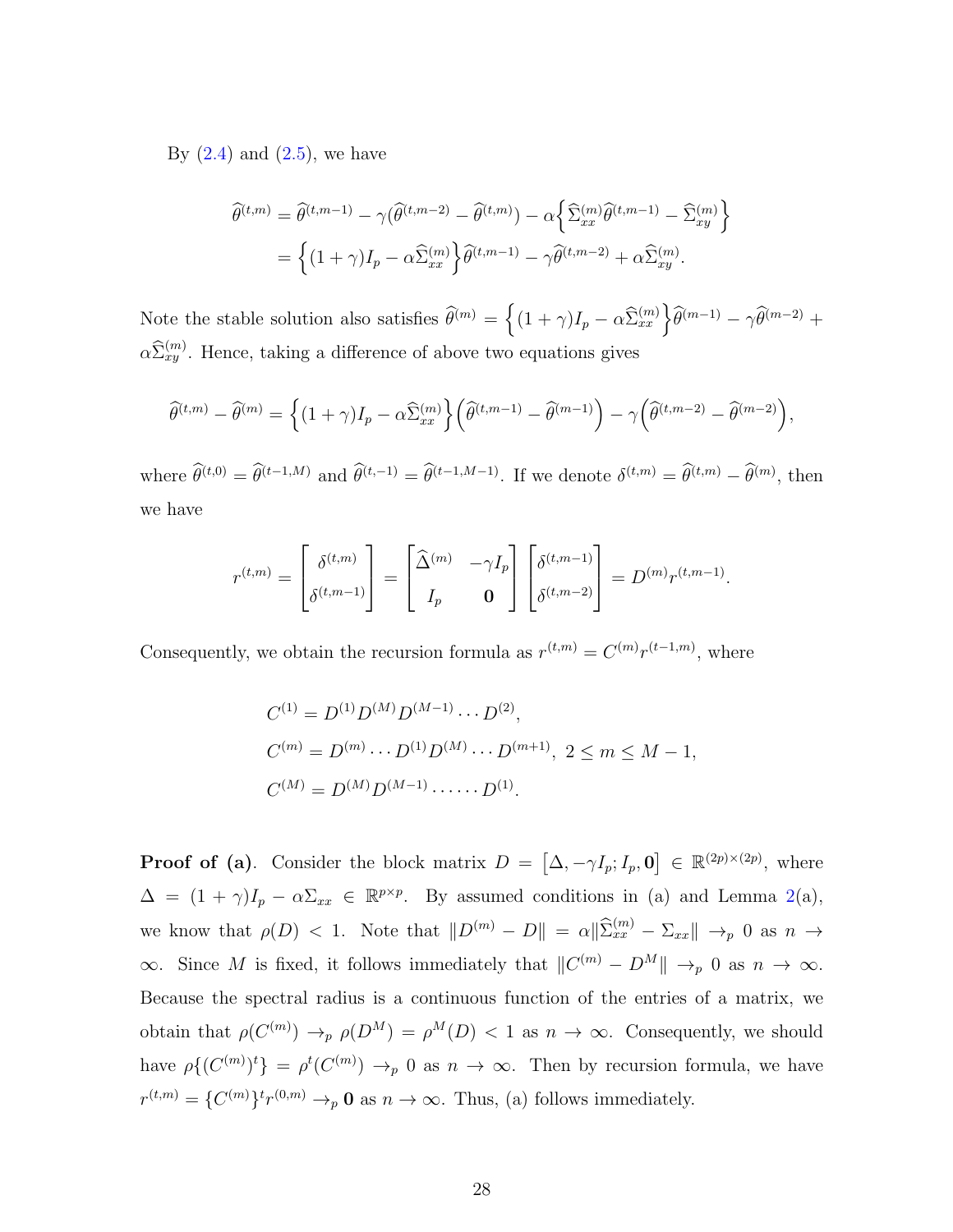By  $(2.4)$  and  $(2.5)$ , we have

$$
\widehat{\theta}^{(t,m)} = \widehat{\theta}^{(t,m-1)} - \gamma(\widehat{\theta}^{(t,m-2)} - \widehat{\theta}^{(t,m)}) - \alpha \left\{ \widehat{\Sigma}_{xx}^{(m)} \widehat{\theta}^{(t,m-1)} - \widehat{\Sigma}_{xy}^{(m)} \right\}
$$

$$
= \left\{ (1+\gamma)I_p - \alpha \widehat{\Sigma}_{xx}^{(m)} \right\} \widehat{\theta}^{(t,m-1)} - \gamma \widehat{\theta}^{(t,m-2)} + \alpha \widehat{\Sigma}_{xy}^{(m)}.
$$

Note the stable solution also satisfies  $\widehat{\theta}^{(m)} = \left\{ (1 + \gamma)I_p - \alpha \widehat{\Sigma}_{xx}^{(m)} \right\} \widehat{\theta}^{(m-1)} - \gamma \widehat{\theta}^{(m-2)} + \gamma \widehat{\theta}^{(m)}$  $\alpha \widehat{\Sigma}_{xy}^{(m)}$ . Hence, taking a difference of above two equations gives

$$
\widehat{\theta}^{(t,m)} - \widehat{\theta}^{(m)} = \left\{ (1+\gamma)I_p - \alpha \widehat{\Sigma}_{xx}^{(m)} \right\} \left( \widehat{\theta}^{(t,m-1)} - \widehat{\theta}^{(m-1)} \right) - \gamma \left( \widehat{\theta}^{(t,m-2)} - \widehat{\theta}^{(m-2)} \right),
$$

where  $\hat{\theta}^{(t,0)} = \hat{\theta}^{(t-1,M)}$  and  $\hat{\theta}^{(t,-1)} = \hat{\theta}^{(t-1,M-1)}$ . If we denote  $\delta^{(t,m)} = \hat{\theta}^{(t,m)} - \hat{\theta}^{(m)}$ , then we have

$$
r^{(t,m)} = \begin{bmatrix} \delta^{(t,m)} \\ \delta^{(t,m-1)} \end{bmatrix} = \begin{bmatrix} \widehat{\Delta}^{(m)} & -\gamma I_p \\ I_p & \mathbf{0} \end{bmatrix} \begin{bmatrix} \delta^{(t,m-1)} \\ \delta^{(t,m-2)} \end{bmatrix} = D^{(m)} r^{(t,m-1)}.
$$

Consequently, we obtain the recursion formula as  $r^{(t,m)} = C^{(m)} r^{(t-1,m)}$ , where

$$
C^{(1)} = D^{(1)}D^{(M)}D^{(M-1)} \cdots D^{(2)},
$$
  
\n
$$
C^{(m)} = D^{(m)} \cdots D^{(1)}D^{(M)} \cdots D^{(m+1)}, \ 2 \le m \le M - 1,
$$
  
\n
$$
C^{(M)} = D^{(M)}D^{(M-1)} \cdots \cdots D^{(1)}.
$$

**Proof of (a)**. Consider the block matrix  $D = [\Delta, -\gamma I_p; I_p, 0] \in \mathbb{R}^{(2p)\times(2p)}$ , where  $\Delta = (1 + \gamma)I_p - \alpha \Sigma_{xx} \in \mathbb{R}^{p \times p}$ . By assumed conditions in (a) and Lemma [2\(](#page-37-0)a), we know that  $\rho(D) < 1$ . Note that  $||D^{(m)} - D|| = \alpha ||\hat{\Sigma}_{xx}^{(m)} - \Sigma_{xx}|| \rightarrow_p 0$  as  $n \rightarrow$  $\infty$ . Since M is fixed, it follows immediately that  $||C^{(m)} - D^M|| \to_p 0$  as  $n \to \infty$ . Because the spectral radius is a continuous function of the entries of a matrix, we obtain that  $\rho(C^{(m)}) \to_p \rho(D^M) = \rho^M(D) < 1$  as  $n \to \infty$ . Consequently, we should have  $\rho\{(C^{(m)})^t\} = \rho^t(C^{(m)}) \to_p 0$  as  $n \to \infty$ . Then by recursion formula, we have  $r^{(t,m)} = \{C^{(m)}\}^t r^{(0,m)} \rightarrow_p \mathbf{0}$  as  $n \rightarrow \infty$ . Thus, (a) follows immediately.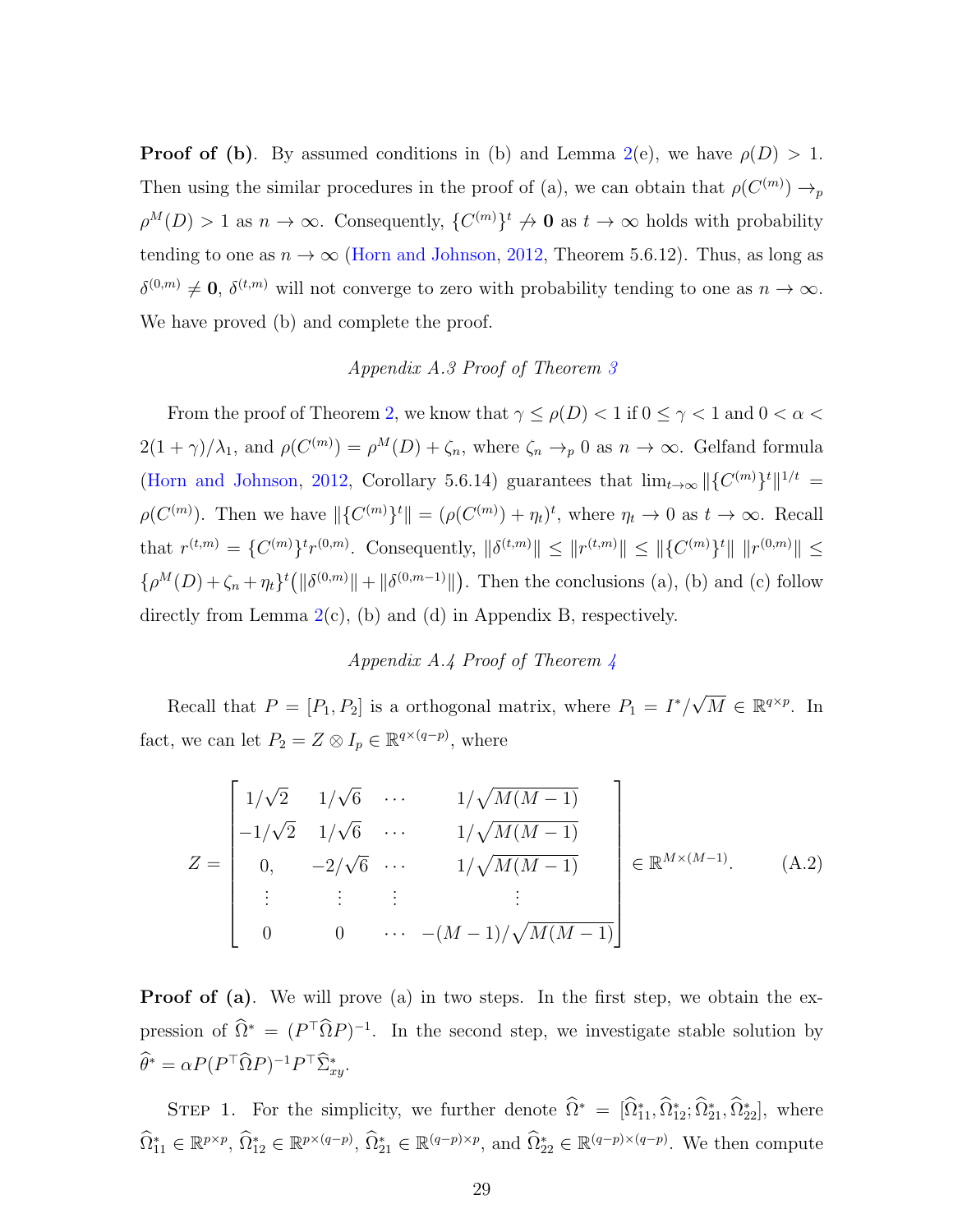**Proof of (b)**. By assumed conditions in (b) and Lemma [2\(](#page-37-0)e), we have  $\rho(D) > 1$ . Then using the similar procedures in the proof of (a), we can obtain that  $\rho(C^{(m)}) \to_p$  $\rho^{M}(D) > 1$  as  $n \to \infty$ . Consequently,  $\{C^{(m)}\}\not\to \mathbf{0}$  as  $t \to \infty$  holds with probability tending to one as  $n \to \infty$  [\(Horn and Johnson,](#page-42-9) [2012,](#page-42-9) Theorem 5.6.12). Thus, as long as  $\delta^{(0,m)} \neq \mathbf{0}$ ,  $\delta^{(t,m)}$  will not converge to zero with probability tending to one as  $n \to \infty$ . We have proved (b) and complete the proof.

## Appendix A.3 Proof of Theorem [3](#page-11-0)

From the proof of Theorem [2,](#page-10-0) we know that  $\gamma \leq \rho(D) < 1$  if  $0 \leq \gamma < 1$  and  $0 < \alpha <$  $2(1+\gamma)/\lambda_1$ , and  $\rho(C^{(m)}) = \rho^M(D) + \zeta_n$ , where  $\zeta_n \to p 0$  as  $n \to \infty$ . Gelfand formula [\(Horn and Johnson,](#page-42-9) [2012,](#page-42-9) Corollary 5.6.14) guarantees that  $\lim_{t\to\infty} ||{C^{(m)}}^t||^{1/t} =$  $\rho(C^{(m)})$ . Then we have  $\|\{C^{(m)}\}^t\| = (\rho(C^{(m)}) + \eta_t)^t$ , where  $\eta_t \to 0$  as  $t \to \infty$ . Recall that  $r^{(t,m)} = \{C^{(m)}\}^t r^{(0,m)}$ . Consequently,  $\|\delta^{(t,m)}\| \leq \|r^{(t,m)}\| \leq \|\{C^{(m)}\}^t\| \|r^{(0,m)}\| \leq$  $\{\rho^M(D) + \zeta_n + \eta_t\}^t (\|\delta^{(0,m)}\| + \|\delta^{(0,m-1)}\|)$ . Then the conclusions (a), (b) and (c) follow directly from Lemma  $2(c)$  $2(c)$ , (b) and (d) in Appendix B, respectively.

### <span id="page-28-0"></span>Appendix A.4 Proof of Theorem [4](#page-13-1)

Recall that  $P = [P_1, P_2]$  is a orthogonal matrix, where  $P_1 = I^*/$  $\sqrt{M} \in \mathbb{R}^{q \times p}$ . In fact, we can let  $P_2 = Z \otimes I_p \in \mathbb{R}^{q \times (q-p)}$ , where

$$
Z = \begin{bmatrix} 1/\sqrt{2} & 1/\sqrt{6} & \cdots & 1/\sqrt{M(M-1)} \\ -1/\sqrt{2} & 1/\sqrt{6} & \cdots & 1/\sqrt{M(M-1)} \\ 0, & -2/\sqrt{6} & \cdots & 1/\sqrt{M(M-1)} \\ \vdots & \vdots & \vdots & \vdots \\ 0 & 0 & \cdots & -(M-1)/\sqrt{M(M-1)} \end{bmatrix} \in \mathbb{R}^{M \times (M-1)}.
$$
 (A.2)

**Proof of (a)**. We will prove (a) in two steps. In the first step, we obtain the expression of  $\hat{\Omega}^* = (P^{\top} \hat{\Omega} P)^{-1}$ . In the second step, we investigate stable solution by  $\widehat{\theta}^* = \alpha P (P^{\top} \widehat{\Omega} P)^{-1} P^{\top} \widehat{\Sigma}_{xy}^*.$ 

STEP 1. For the simplicity, we further denote  $\hat{\Omega}^* = [\hat{\Omega}_{11}^*, \hat{\Omega}_{12}^*, \hat{\Omega}_{21}^*, \hat{\Omega}_{22}^*]$ , where  $\widehat{\Omega}_{11}^* \in \mathbb{R}^{p \times p}, \widehat{\Omega}_{12}^* \in \mathbb{R}^{p \times (q-p)}, \widehat{\Omega}_{21}^* \in \mathbb{R}^{(q-p) \times p}, \text{ and } \widehat{\Omega}_{22}^* \in \mathbb{R}^{(q-p) \times (q-p)}.$  We then compute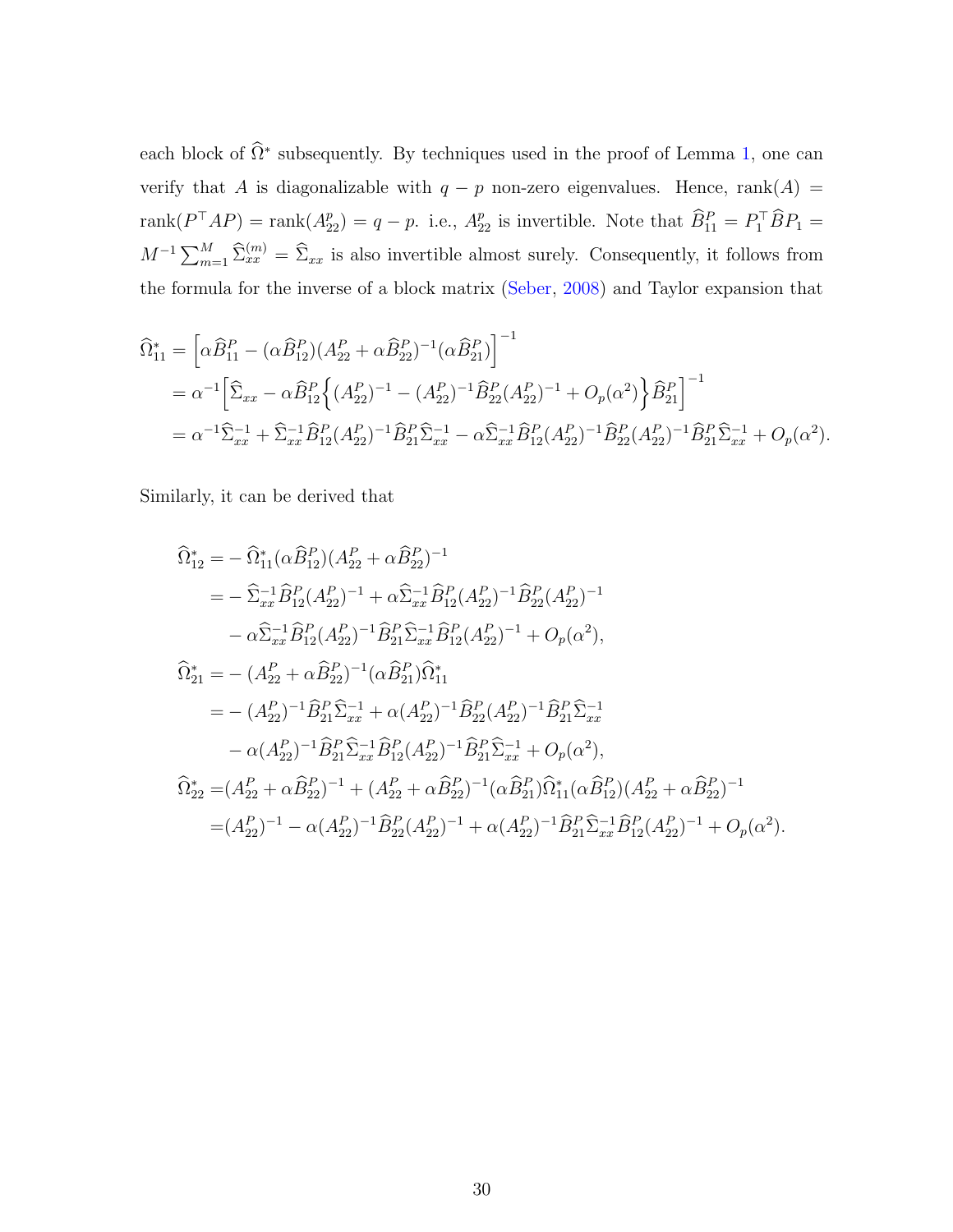each block of  $\hat{\Omega}^*$  subsequently. By techniques used in the proof of Lemma [1,](#page-36-0) one can verify that A is diagonalizable with  $q - p$  non-zero eigenvalues. Hence, rank(A) = rank $(P^{\top}AP)$  = rank $(A_{22}^p)$  = q - p. i.e.,  $A_{22}^p$  is invertible. Note that  $\widehat{B}_{11}^P = P_1^{\top} \widehat{B} P_1 =$  $M^{-1} \sum_{m=1}^{M} \hat{\Sigma}_{xx}^{(m)} = \hat{\Sigma}_{xx}$  is also invertible almost surely. Consequently, it follows from the formula for the inverse of a block matrix [\(Seber,](#page-43-9) [2008\)](#page-43-9) and Taylor expansion that

$$
\begin{split}\n\widehat{\Omega}_{11}^{*} &= \left[ \alpha \widehat{B}_{11}^{P} - (\alpha \widehat{B}_{12}^{P}) (A_{22}^{P} + \alpha \widehat{B}_{22}^{P})^{-1} (\alpha \widehat{B}_{21}^{P}) \right]^{-1} \\
&= \alpha^{-1} \Big[ \widehat{\Sigma}_{xx} - \alpha \widehat{B}_{12}^{P} \Big\{ (A_{22}^{P})^{-1} - (A_{22}^{P})^{-1} \widehat{B}_{22}^{P} (A_{22}^{P})^{-1} + O_{p}(\alpha^{2}) \Big\} \widehat{B}_{21}^{P} \Big]^{-1} \\
&= \alpha^{-1} \widehat{\Sigma}_{xx}^{-1} + \widehat{\Sigma}_{xx}^{-1} \widehat{B}_{12}^{P} (A_{22}^{P})^{-1} \widehat{B}_{21}^{P} \widehat{\Sigma}_{xx}^{-1} - \alpha \widehat{\Sigma}_{xx}^{-1} \widehat{B}_{12}^{P} (A_{22}^{P})^{-1} \widehat{B}_{21}^{P} (A_{22}^{P})^{-1} \widehat{B}_{21}^{P} \widehat{\Sigma}_{xx}^{-1} + O_{p}(\alpha^{2}).\n\end{split}
$$

Similarly, it can be derived that

$$
\begin{split}\n\widehat{\Omega}_{12}^{*} &= -\widehat{\Omega}_{11}^{*}(\alpha \widehat{B}_{12}^{P})(A_{22}^{P} + \alpha \widehat{B}_{22}^{P})^{-1} \\
&= -\widehat{\Sigma}_{xx}^{-1} \widehat{B}_{12}^{P}(A_{22}^{P})^{-1} + \alpha \widehat{\Sigma}_{xx}^{-1} \widehat{B}_{12}^{P}(A_{22}^{P})^{-1} \widehat{B}_{22}^{P}(A_{22}^{P})^{-1} \\
&- \alpha \widehat{\Sigma}_{xx}^{-1} \widehat{B}_{12}^{P}(A_{22}^{P})^{-1} \widehat{B}_{21}^{P} \widehat{\Sigma}_{xx}^{-1} \widehat{B}_{12}^{P}(A_{22}^{P})^{-1} + O_{p}(\alpha^{2}), \\
\widehat{\Omega}_{21}^{*} &= -(A_{22}^{P} + \alpha \widehat{B}_{22}^{P})^{-1} (\alpha \widehat{B}_{21}^{P}) \widehat{\Omega}_{11}^{*} \\
&= - (A_{22}^{P})^{-1} \widehat{B}_{21}^{P} \widehat{\Sigma}_{xx}^{-1} + \alpha (A_{22}^{P})^{-1} \widehat{B}_{22}^{P}(A_{22}^{P})^{-1} \widehat{B}_{21}^{P} \widehat{\Sigma}_{xx}^{-1} \\
&- \alpha (A_{22}^{P})^{-1} \widehat{B}_{21}^{P} \widehat{\Sigma}_{xx}^{-1} \widehat{B}_{12}^{P}(A_{22}^{P})^{-1} \widehat{B}_{21}^{P} \widehat{\Sigma}_{xx}^{-1} + O_{p}(\alpha^{2}), \\
\widehat{\Omega}_{22}^{*} &= (A_{22}^{P} + \alpha \widehat{B}_{22}^{P})^{-1} + (A_{22}^{P} + \alpha \widehat{B}_{22}^{P})^{-1} (\alpha \widehat{B}_{21}^{P}) \widehat{\Omega}_{11}^{*} (\alpha \widehat{B}_{12}^{P}) (A_{22}^{P} + \alpha \widehat{B}_{22}^{P})^{-1} \\
&= (A_{22}^{P})^{-1} - \alpha (A_{22}^{P})^{-1} \widehat{B}_{22}^{P}(A_{22}^{P})^{-1} + \alpha (A_{22}^{P})^{-1} \widehat{B}_{21}^{P} \widehat{\Sigma}_{xx}^{-1} \widehat{B
$$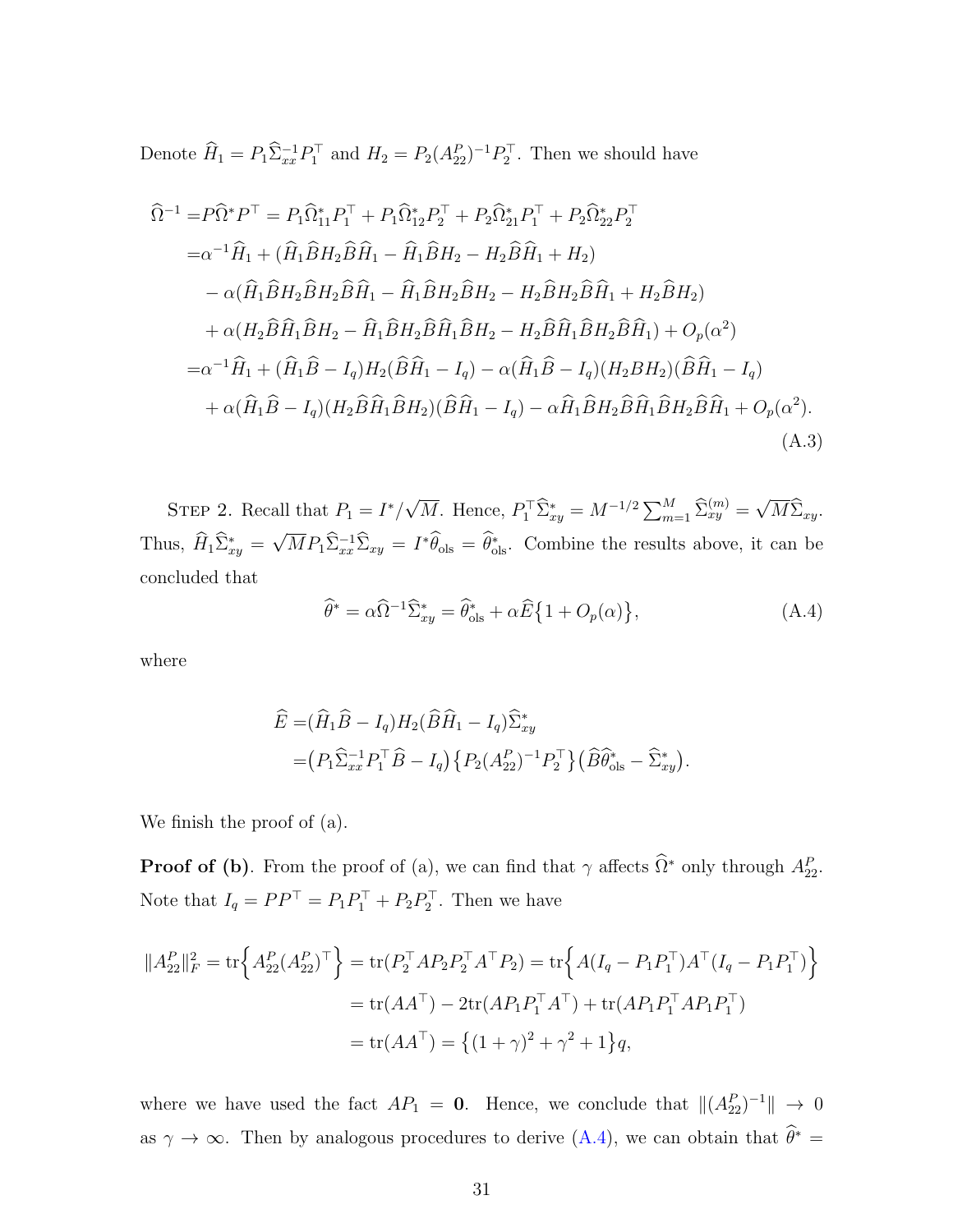Denote  $\hat{H}_1 = P_1 \hat{\Sigma}_{xx}^{-1} P_1^{\top}$  and  $H_2 = P_2(A_{22}^P)^{-1} P_2^{\top}$ . Then we should have

$$
\hat{\Omega}^{-1} = P\hat{\Omega}^* P^{\top} = P_1 \hat{\Omega}_{11}^* P_1^{\top} + P_1 \hat{\Omega}_{12}^* P_2^{\top} + P_2 \hat{\Omega}_{21}^* P_1^{\top} + P_2 \hat{\Omega}_{22}^* P_2^{\top} \n= \alpha^{-1} \hat{H}_1 + (\hat{H}_1 \hat{B} H_2 \hat{B} \hat{H}_1 - \hat{H}_1 \hat{B} H_2 - H_2 \hat{B} \hat{H}_1 + H_2) \n- \alpha (\hat{H}_1 \hat{B} H_2 \hat{B} H_2 \hat{B} \hat{H}_1 - \hat{H}_1 \hat{B} H_2 \hat{B} H_2 - H_2 \hat{B} H_2 \hat{B} \hat{H}_1 + H_2 \hat{B} H_2) \n+ \alpha (H_2 \hat{B} \hat{H}_1 \hat{B} H_2 - \hat{H}_1 \hat{B} H_2 \hat{B} \hat{H}_1 \hat{B} H_2 - H_2 \hat{B} \hat{H}_1 \hat{B} H_2 \hat{B} \hat{H}_1) + O_p(\alpha^2) \n= \alpha^{-1} \hat{H}_1 + (\hat{H}_1 \hat{B} - I_q) H_2 (\hat{B} \hat{H}_1 - I_q) - \alpha (\hat{H}_1 \hat{B} - I_q) (H_2 B H_2) (\hat{B} \hat{H}_1 - I_q) \n+ \alpha (\hat{H}_1 \hat{B} - I_q) (H_2 \hat{B} \hat{H}_1 \hat{B} H_2) (\hat{B} \hat{H}_1 - I_q) - \alpha \hat{H}_1 \hat{B} H_2 \hat{B} \hat{H}_1 \hat{B} H_2 \hat{B} \hat{H}_1 + O_p(\alpha^2).
$$
\n(A.3)

STEP 2. Recall that  $P_1 = I^*/$ √  $\overline{M}$ . Hence,  $P_1^{\top} \widehat{\Sigma}_{xy}^* = M^{-1/2} \sum_{m=1}^M \widehat{\Sigma}_{xy}^{(m)} =$ √  $M\Sigma_{xy}$ . Thus,  $\widehat{H}_1 \widehat{\Sigma}^*_{xy} =$ √  $\overline{M}P_1\hat{\Sigma}_{xx}^{-1}\hat{\Sigma}_{xy} = I^*\hat{\theta}_{\text{ols}} = \hat{\theta}_{\text{ols}}^*$ . Combine the results above, it can be concluded that

<span id="page-30-1"></span><span id="page-30-0"></span>
$$
\widehat{\theta}^* = \alpha \widehat{\Omega}^{-1} \widehat{\Sigma}_{xy}^* = \widehat{\theta}_{\text{ols}}^* + \alpha \widehat{E} \{ 1 + O_p(\alpha) \},\tag{A.4}
$$

where

$$
\widehat{E} = (\widehat{H}_1 \widehat{B} - I_q) H_2 (\widehat{B} \widehat{H}_1 - I_q) \widehat{\Sigma}_{xy}^*
$$
  
= 
$$
(P_1 \widehat{\Sigma}_{xx}^{-1} P_1^{\top} \widehat{B} - I_q) \{ P_2 (A_{22}^P)^{-1} P_2^{\top} \} (\widehat{B} \widehat{\theta}_{ols}^* - \widehat{\Sigma}_{xy}^*).
$$

We finish the proof of (a).

**Proof of (b)**. From the proof of (a), we can find that  $\gamma$  affects  $\widehat{\Omega}^*$  only through  $A_{22}^P$ . Note that  $I_q = PP^\top = P_1 P_1^\top + P_2 P_2^\top$ . Then we have

$$
||A_{22}^P||_F^2 = \text{tr}\Big\{A_{22}^P(A_{22}^P)^\top\Big\} = \text{tr}(P_2^\top A P_2 P_2^\top A^\top P_2) = \text{tr}\Big\{A(I_q - P_1 P_1^\top)A^\top (I_q - P_1 P_1^\top)\Big\}
$$
  
=  $\text{tr}(AA^\top) - 2\text{tr}(AP_1 P_1^\top A^\top) + \text{tr}(AP_1 P_1^\top A P_1 P_1^\top)$   
=  $\text{tr}(AA^\top) = \{(1 + \gamma)^2 + \gamma^2 + 1\}q$ ,

where we have used the fact  $AP_1 = 0$ . Hence, we conclude that  $||(A_{22}^P)^{-1}|| \rightarrow 0$ as  $\gamma \to \infty$ . Then by analogous procedures to derive [\(A.4\)](#page-30-0), we can obtain that  $\widehat{\theta}^* =$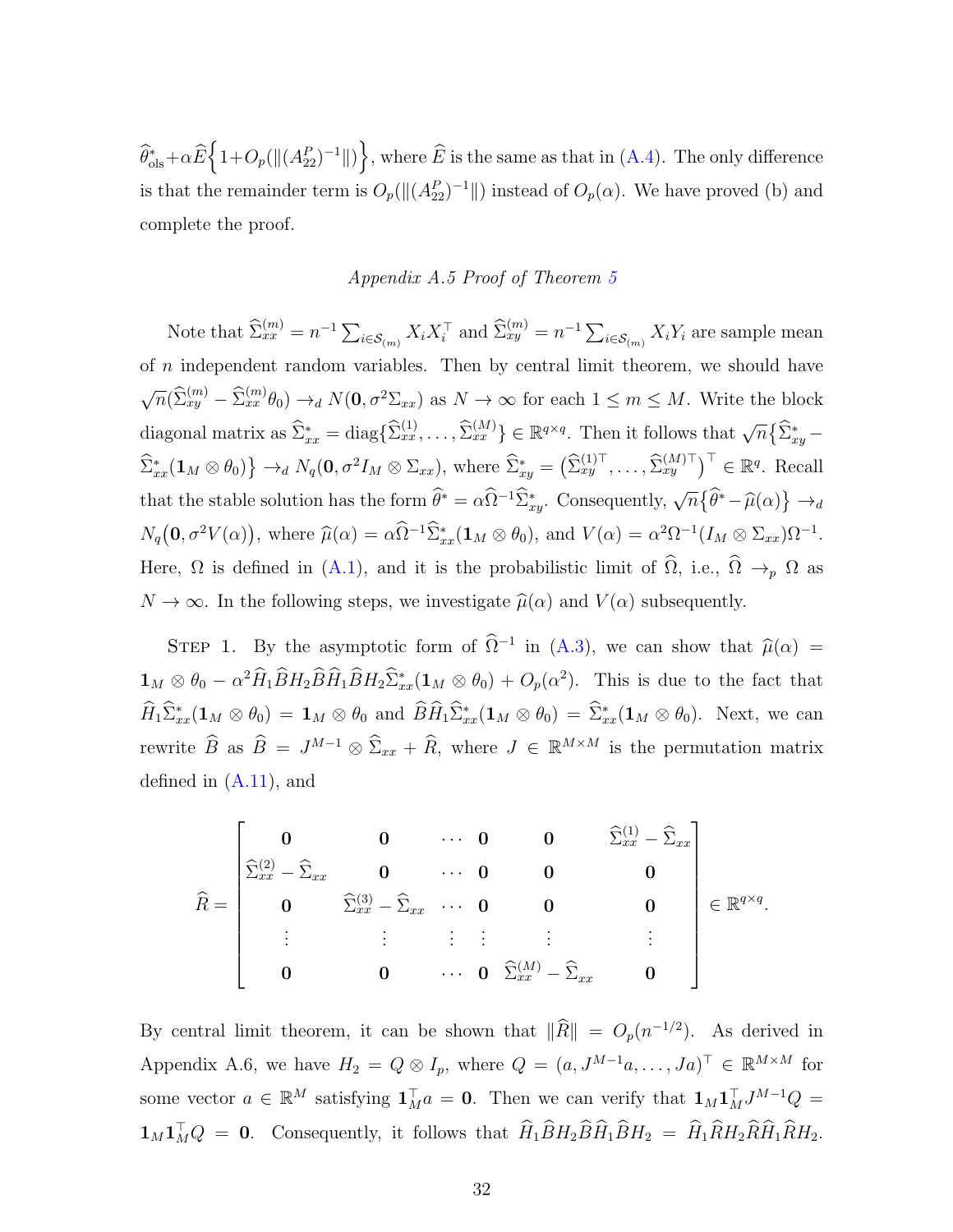$\widehat{\theta}_{\text{ols}}^* + \alpha \widehat{E} \Big\{ 1 + O_p(\|(A_{22}^P)^{-1}\|) \Big\}$ , where  $\widehat{E}$  is the same as that in [\(A.4\)](#page-30-0). The only difference is that the remainder term is  $O_p(||(A_{22}^P)^{-1}||)$  instead of  $O_p(\alpha)$ . We have proved (b) and complete the proof.

#### Appendix A.5 Proof of Theorem [5](#page-14-0)

Note that  $\widehat{\Sigma}_{xx}^{(m)} = n^{-1} \sum_{i \in \mathcal{S}_{(m)}} X_i X_i^{\top}$  and  $\widehat{\Sigma}_{xy}^{(m)} = n^{-1} \sum_{i \in \mathcal{S}_{(m)}} X_i Y_i$  are sample mean of  $n$  independent random variables. Then by central limit theorem, we should have  $\sqrt{n}(\widehat{\Sigma}_{xy}^{(m)} - \widehat{\Sigma}_{xx}^{(m)}\theta_0) \rightarrow_d N(\mathbf{0}, \sigma^2 \Sigma_{xx})$  as  $N \rightarrow \infty$  for each  $1 \leq m \leq M$ . Write the block diagonal matrix as  $\widehat{\Sigma}_{xx}^* = \text{diag}\{\widehat{\Sigma}_{xx}^{(1)}, \ldots, \widehat{\Sigma}_{xx}^{(M)}\} \in \mathbb{R}^{q \times q}$ . Then it follows that  $\sqrt{n} \{\widehat{\Sigma}_{xy}^* \hat{\Sigma}_{xx}^*(1_M \otimes \theta_0) \rightarrow_d N_q(0, \sigma^2 I_M \otimes \Sigma_{xx}),$  where  $\hat{\Sigma}_{xy}^* = (\hat{\Sigma}_{xy}^{(1)\top}, \dots, \hat{\Sigma}_{xy}^{(M)\top})^{\top} \in \mathbb{R}^q$ . Recall that the stable solution has the form  $\hat{\theta}^* = \alpha \hat{\Omega}^{-1} \hat{\Sigma}_{xy}^*$ . Consequently,  $\sqrt{n} \{\hat{\theta}^* - \hat{\mu}(\alpha)\} \rightarrow_d$  $N_q(\mathbf{0}, \sigma^2 V(\alpha))$ , where  $\widehat{\mu}(\alpha) = \alpha \widehat{\Omega}^{-1} \widehat{\Sigma}_{xx}^*(\mathbf{1}_M \otimes \theta_0)$ , and  $V(\alpha) = \alpha^2 \Omega^{-1} (I_M \otimes \Sigma_{xx}) \Omega^{-1}$ . Here,  $\Omega$  is defined in [\(A.1\)](#page-26-0), and it is the probabilistic limit of  $\widehat{\Omega}$ , i.e.,  $\widehat{\Omega} \to_p \Omega$  as  $N \to \infty$ . In the following steps, we investigate  $\widehat{\mu}(\alpha)$  and  $V(\alpha)$  subsequently.

STEP 1. By the asymptotic form of  $\hat{\Omega}^{-1}$  in [\(A.3\)](#page-30-1), we can show that  $\hat{\mu}(\alpha) =$  $\mathbf{1}_M \otimes \theta_0 - \alpha^2 \widehat{H}_1 \widehat{B} H_2 \widehat{B} \widehat{H}_1 \widehat{B} H_2 \widehat{\Sigma}_{xx}^*(\mathbf{1}_M \otimes \theta_0) + O_p(\alpha^2)$ . This is due to the fact that  $\widehat{H}_1 \widehat{\Sigma}_{xx}^*(1_M \otimes \theta_0) = 1_M \otimes \theta_0$  and  $\widehat{B} \widehat{H}_1 \widehat{\Sigma}_{xx}^*(1_M \otimes \theta_0) = \widehat{\Sigma}_{xx}^*(1_M \otimes \theta_0)$ . Next, we can rewrite  $\widehat{B}$  as  $\widehat{B} = J^{M-1} \otimes \widehat{\Sigma}_{xx} + \widehat{R}$ , where  $J \in \mathbb{R}^{M \times M}$  is the permutation matrix defined in  $(A.11)$ , and

$$
\widehat{R} = \begin{bmatrix}\n0 & 0 & \cdots & 0 & 0 & \widehat{\Sigma}_{xx}^{(1)} - \widehat{\Sigma}_{xx} \\
\widehat{\Sigma}_{xx}^{(2)} - \widehat{\Sigma}_{xx} & 0 & \cdots & 0 & 0 & 0 \\
0 & \widehat{\Sigma}_{xx}^{(3)} - \widehat{\Sigma}_{xx} & \cdots & 0 & 0 & 0 \\
\vdots & \vdots & \vdots & \vdots & \vdots & \vdots & \vdots \\
0 & 0 & \cdots & 0 & \widehat{\Sigma}_{xx}^{(M)} - \widehat{\Sigma}_{xx} & 0\n\end{bmatrix} \in \mathbb{R}^{q \times q}.
$$

By central limit theorem, it can be shown that  $\|\widehat{R}\| = O_p(n^{-1/2})$ . As derived in Appendix A.6, we have  $H_2 = Q \otimes I_p$ , where  $Q = (a, J^{M-1}a, \ldots, Ja)^{\top} \in \mathbb{R}^{M \times M}$  for some vector  $a \in \mathbb{R}^M$  satisfying  $\mathbf{1}_M^{\top} a = \mathbf{0}$ . Then we can verify that  $\mathbf{1}_M \mathbf{1}_M^{\top} J^{M-1} Q =$  $\mathbf{1}_M \mathbf{1}_M^\top Q = \mathbf{0}$ . Consequently, it follows that  $\hat{H}_1 \hat{B} H_2 \hat{B} \hat{H}_1 \hat{B} H_2 = \hat{H}_1 \hat{R} H_2 \hat{R} \hat{H}_1 \hat{R} H_2$ .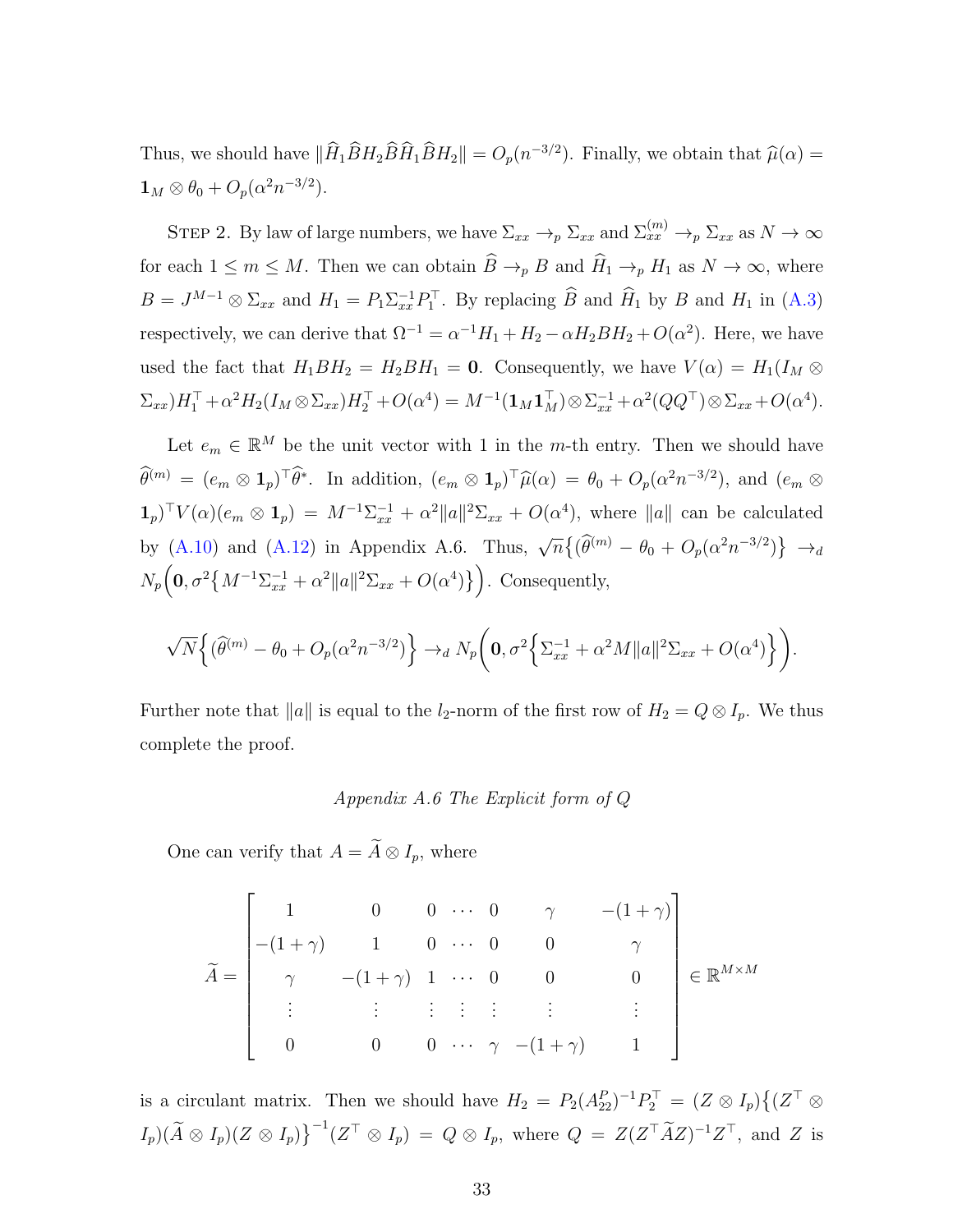Thus, we should have  $\|\hat{H}_1 \hat{B} H_2 \hat{B} \hat{H}_1 \hat{B} H_2\| = O_p(n^{-3/2})$ . Finally, we obtain that  $\hat{\mu}(\alpha) =$  $\mathbf{1}_M \otimes \theta_0 + O_p(\alpha^2 n^{-3/2}).$ 

STEP 2. By law of large numbers, we have  $\Sigma_{xx} \to_p \Sigma_{xx}$  and  $\Sigma_{xx}^{(m)} \to_p \Sigma_{xx}$  as  $N \to \infty$ for each  $1 \leq m \leq M$ . Then we can obtain  $\widehat{B} \to_{p} B$  and  $\widehat{H}_{1} \to_{p} H_{1}$  as  $N \to \infty$ , where  $B = J^{M-1} \otimes \Sigma_{xx}$  and  $H_1 = P_1 \Sigma_{xx}^{-1} P_1^{\top}$ . By replacing  $\widehat{B}$  and  $\widehat{H}_1$  by B and  $H_1$  in [\(A.3\)](#page-30-1) respectively, we can derive that  $\Omega^{-1} = \alpha^{-1} H_1 + H_2 - \alpha H_2 B H_2 + O(\alpha^2)$ . Here, we have used the fact that  $H_1BH_2 = H_2BH_1 = 0$ . Consequently, we have  $V(\alpha) = H_1(I_M \otimes$  $(\Sigma_{xx})H_1^{\top} + \alpha^2 H_2(I_M \otimes \Sigma_{xx})H_2^{\top} + O(\alpha^4) = M^{-1}(\mathbf{1}_M \mathbf{1}_M^{\top}) \otimes \Sigma_{xx}^{-1} + \alpha^2 (QQ^{\top}) \otimes \Sigma_{xx} + O(\alpha^4).$ 

Let  $e_m \in \mathbb{R}^M$  be the unit vector with 1 in the m-th entry. Then we should have  $\widehat{\theta}^{(m)} = (e_m \otimes \mathbf{1}_p)^\top \widehat{\theta}^*$ . In addition,  $(e_m \otimes \mathbf{1}_p)^\top \widehat{\mu}(\alpha) = \theta_0 + O_p(\alpha^2 n^{-3/2})$ , and  $(e_m \otimes \mathbf{1}_p)^\top \widehat{\theta}^*$ .  $\mathbf{1}_p$ <sup>T</sup> $V(\alpha)(e_m \otimes \mathbf{1}_p) = M^{-1}\Sigma_{xx}^{-1} + \alpha^2 ||a||^2 \Sigma_{xx} + O(\alpha^4)$ , where  $||a||$  can be calculated by [\(A.10\)](#page-35-0) and [\(A.12\)](#page-35-1) in Appendix A.6. Thus,  $\sqrt{n}\left\{\left(\widehat{\theta}^{(m)} - \theta_0 + O_p(\alpha^2 n^{-3/2})\right\} \right.$   $\rightarrow_d$  $N_p\left(0, \sigma^2 \left\{M^{-1}\Sigma_{xx}^{-1} + \alpha^2 ||a||^2 \Sigma_{xx} + O(\alpha^4) \right\}\right)$ . Consequently,

$$
\sqrt{N}\Big\{(\widehat{\theta}^{(m)}-\theta_0+O_p(\alpha^2n^{-3/2})\Big\}\to_d N_p\bigg(0,\sigma^2\Big\{\Sigma_{xx}^{-1}+\alpha^2M\|a\|^2\Sigma_{xx}+O(\alpha^4)\Big\}\bigg).
$$

Further note that  $||a||$  is equal to the *l*<sub>2</sub>-norm of the first row of  $H_2 = Q \otimes I_p$ . We thus complete the proof.

#### Appendix A.6 The Explicit form of Q

One can verify that  $A = \widetilde{A} \otimes I_p$ , where

$$
\widetilde{A} = \begin{bmatrix}\n1 & 0 & 0 & \cdots & 0 & \gamma & -(1+\gamma) \\
-(1+\gamma) & 1 & 0 & \cdots & 0 & 0 & \gamma \\
\gamma & -(1+\gamma) & 1 & \cdots & 0 & 0 & 0 \\
\vdots & \vdots & \vdots & \vdots & \vdots & \vdots & \vdots \\
0 & 0 & 0 & \cdots & \gamma & -(1+\gamma) & 1\n\end{bmatrix} \in \mathbb{R}^{M \times M}
$$

is a circulant matrix. Then we should have  $H_2 = P_2(A_{22}^P)^{-1}P_2^{\top} = (Z \otimes I_p)\{(Z^{\top} \otimes$  $I_p(\widetilde{A}\otimes I_p)(Z\otimes I_p)\big\}^{-1}(Z^\top\otimes I_p) = Q\otimes I_p$ , where  $Q = Z(Z^\top \widetilde{A}Z)^{-1}Z^\top$ , and Z is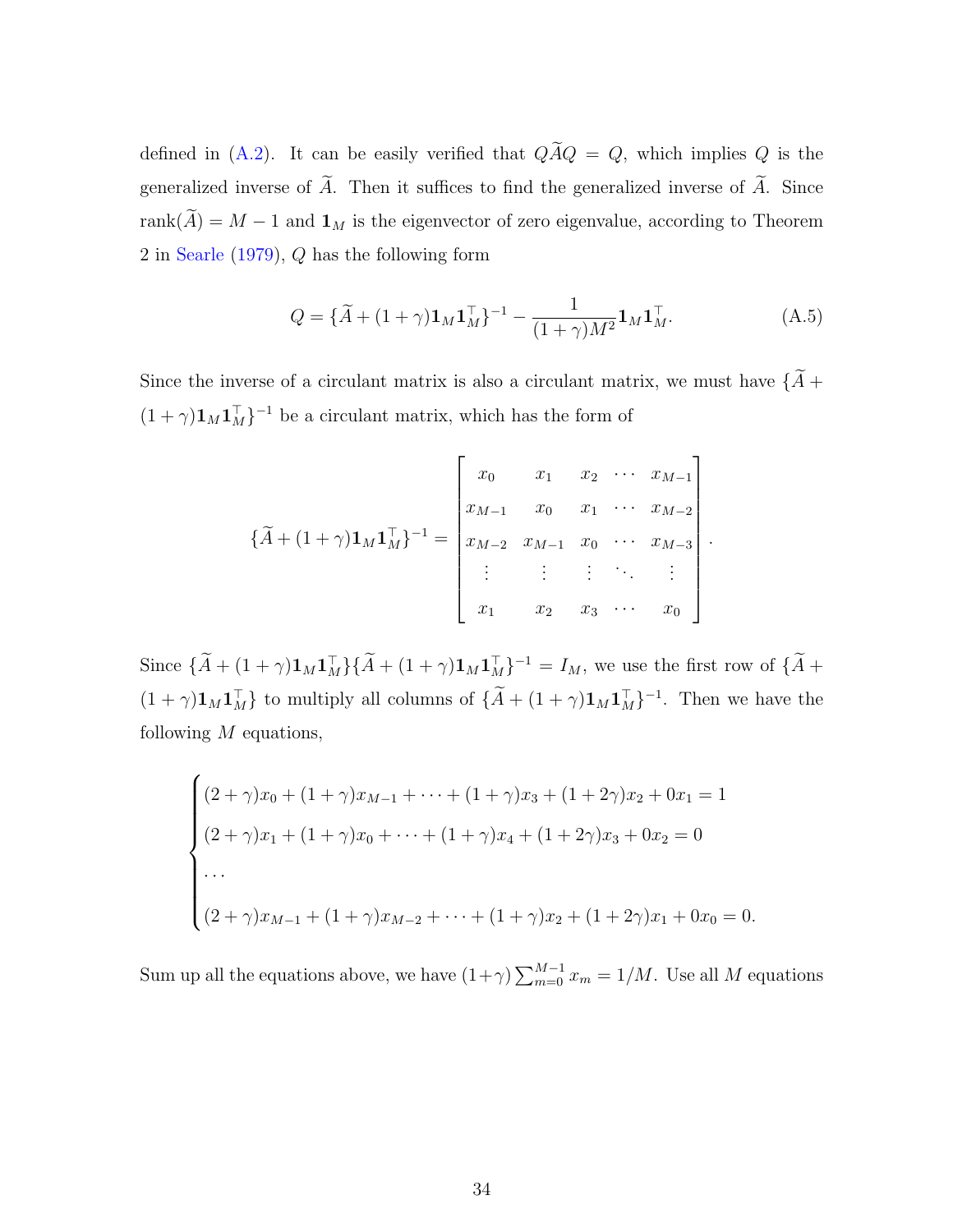defined in [\(A.2\)](#page-28-0). It can be easily verified that  $Q\widetilde{A}Q = Q$ , which implies Q is the generalized inverse of  $\widetilde{A}$ . Then it suffices to find the generalized inverse of  $\widetilde{A}$ . Since rank $(\widetilde{A}) = M - 1$  and  $\mathbf{1}_M$  is the eigenvector of zero eigenvalue, according to Theorem 2 in [Searle](#page-43-10) [\(1979\)](#page-43-10), Q has the following form

<span id="page-33-0"></span>
$$
Q = {\{\tilde{A} + (1 + \gamma)\mathbf{1}_M\mathbf{1}_M^\top\}}^{-1} - \frac{1}{(1 + \gamma)M^2}\mathbf{1}_M\mathbf{1}_M^\top.
$$
 (A.5)

Since the inverse of a circulant matrix is also a circulant matrix, we must have  $\{\widetilde{A}+$  $(1 + \gamma) \mathbf{1}_M \mathbf{1}_M^\top$ <sup>-1</sup> be a circulant matrix, which has the form of

$$
\{\widetilde{A} + (1+\gamma)\mathbf{1}_M\mathbf{1}_M^\top\}^{-1} = \begin{bmatrix} x_0 & x_1 & x_2 & \cdots & x_{M-1} \\ x_{M-1} & x_0 & x_1 & \cdots & x_{M-2} \\ x_{M-2} & x_{M-1} & x_0 & \cdots & x_{M-3} \\ \vdots & \vdots & \vdots & \ddots & \vdots \\ x_1 & x_2 & x_3 & \cdots & x_0 \end{bmatrix}.
$$

Since  $\{\tilde{A} + (1+\gamma)1_M1_M^T\}\{\tilde{A} + (1+\gamma)1_M1_M^T\}^{-1} = I_M$ , we use the first row of  $\{\tilde{A} +$  $(1 + \gamma) \mathbf{1}_M \mathbf{1}_M^{\top}$  to multiply all columns of  $\{ \tilde{A} + (1 + \gamma) \mathbf{1}_M \mathbf{1}_M^{\top} \}^{-1}$ . Then we have the following  $M$  equations,

$$
\begin{cases}\n(2+\gamma)x_0 + (1+\gamma)x_{M-1} + \dots + (1+\gamma)x_3 + (1+2\gamma)x_2 + 0x_1 = 1 \\
(2+\gamma)x_1 + (1+\gamma)x_0 + \dots + (1+\gamma)x_4 + (1+2\gamma)x_3 + 0x_2 = 0 \\
\dots \\
(2+\gamma)x_{M-1} + (1+\gamma)x_{M-2} + \dots + (1+\gamma)x_2 + (1+2\gamma)x_1 + 0x_0 = 0.\n\end{cases}
$$

Sum up all the equations above, we have  $(1+\gamma)\sum_{m=0}^{M-1}x_m=1/M$ . Use all M equations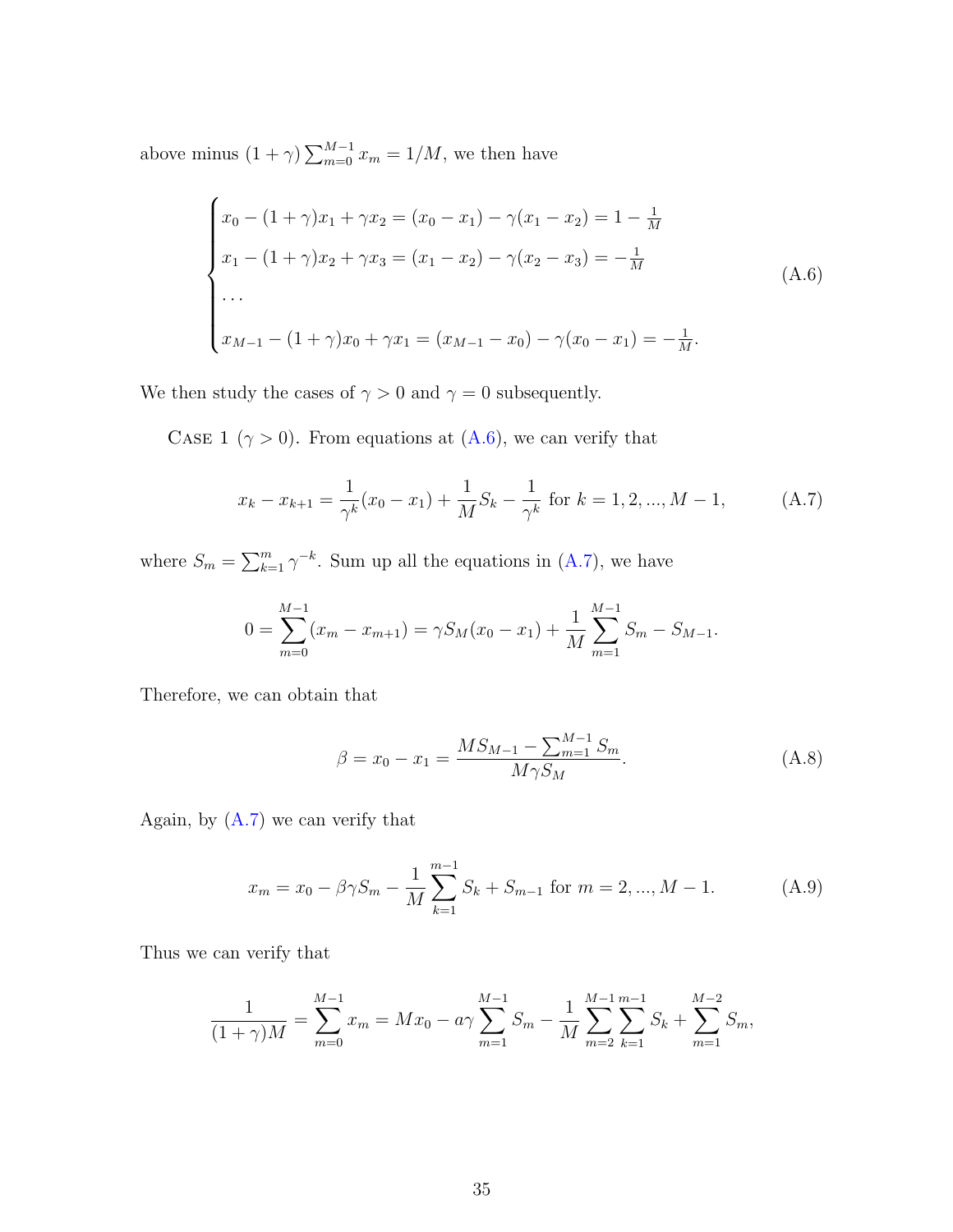above minus  $(1 + \gamma) \sum_{m=0}^{M-1} x_m = 1/M$ , we then have

<span id="page-34-0"></span>
$$
\begin{cases}\nx_0 - (1+\gamma)x_1 + \gamma x_2 = (x_0 - x_1) - \gamma(x_1 - x_2) = 1 - \frac{1}{M} \\
x_1 - (1+\gamma)x_2 + \gamma x_3 = (x_1 - x_2) - \gamma(x_2 - x_3) = -\frac{1}{M} \\
\cdots \\
x_{M-1} - (1+\gamma)x_0 + \gamma x_1 = (x_{M-1} - x_0) - \gamma(x_0 - x_1) = -\frac{1}{M}.\n\end{cases}
$$
\n(A.6)

We then study the cases of  $\gamma>0$  and  $\gamma=0$  subsequently.

CASE 1 ( $\gamma > 0$ ). From equations at [\(A.6\)](#page-34-0), we can verify that

<span id="page-34-1"></span>
$$
x_k - x_{k+1} = \frac{1}{\gamma^k} (x_0 - x_1) + \frac{1}{M} S_k - \frac{1}{\gamma^k} \text{ for } k = 1, 2, ..., M - 1,
$$
 (A.7)

where  $S_m = \sum_{k=1}^m \gamma^{-k}$ . Sum up all the equations in [\(A.7\)](#page-34-1), we have

$$
0 = \sum_{m=0}^{M-1} (x_m - x_{m+1}) = \gamma S_M(x_0 - x_1) + \frac{1}{M} \sum_{m=1}^{M-1} S_m - S_{M-1}.
$$

Therefore, we can obtain that

<span id="page-34-3"></span>
$$
\beta = x_0 - x_1 = \frac{MS_{M-1} - \sum_{m=1}^{M-1} S_m}{M\gamma S_M}.
$$
\n(A.8)

Again, by  $(A.7)$  we can verify that

<span id="page-34-2"></span>
$$
x_m = x_0 - \beta \gamma S_m - \frac{1}{M} \sum_{k=1}^{m-1} S_k + S_{m-1} \text{ for } m = 2, ..., M - 1.
$$
 (A.9)

Thus we can verify that

$$
\frac{1}{(1+\gamma)M} = \sum_{m=0}^{M-1} x_m = Mx_0 - a\gamma \sum_{m=1}^{M-1} S_m - \frac{1}{M} \sum_{m=2}^{M-1} \sum_{k=1}^{m-1} S_k + \sum_{m=1}^{M-2} S_m,
$$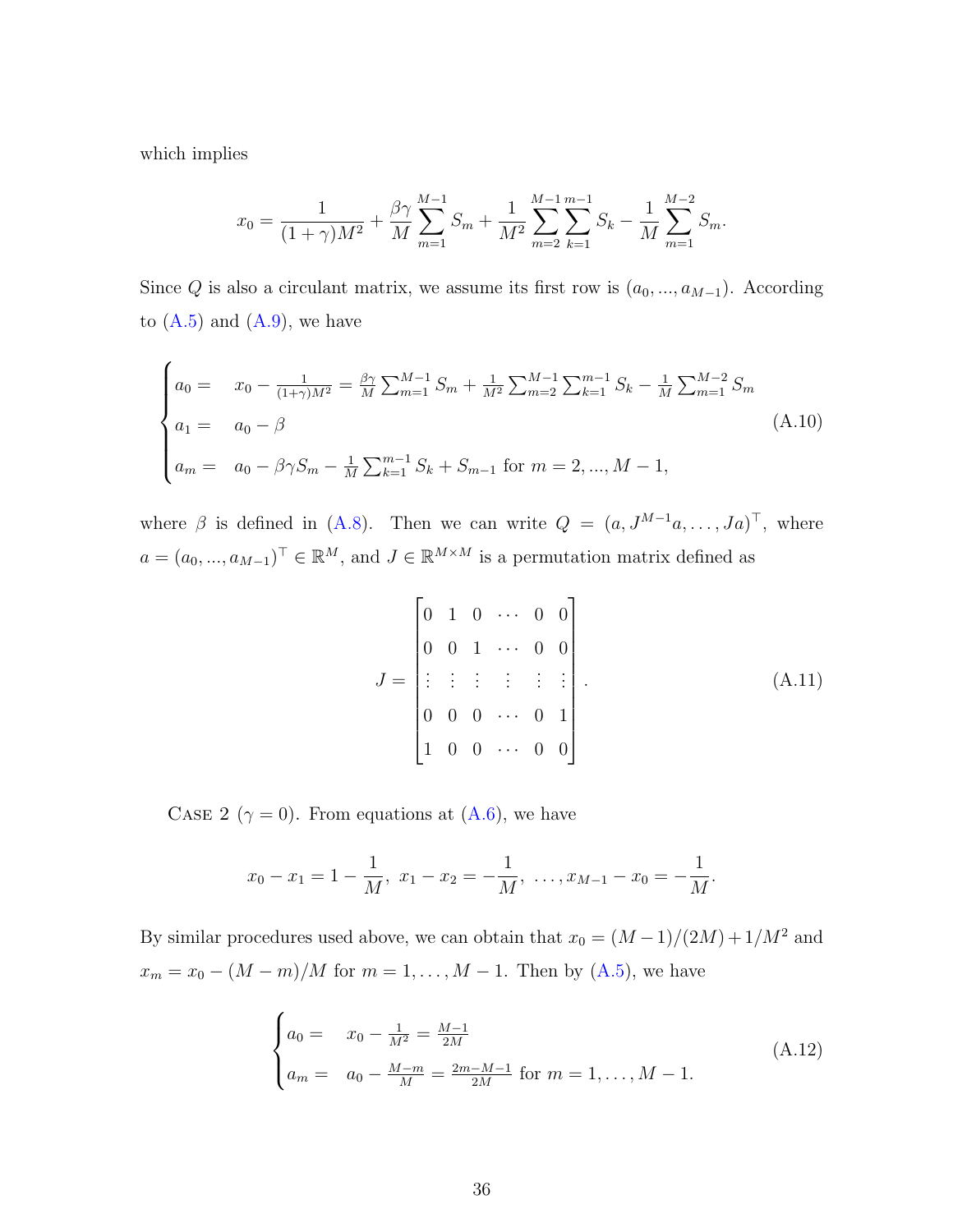which implies

$$
x_0 = \frac{1}{(1+\gamma)M^2} + \frac{\beta\gamma}{M} \sum_{m=1}^{M-1} S_m + \frac{1}{M^2} \sum_{m=2}^{M-1} \sum_{k=1}^{m-1} S_k - \frac{1}{M} \sum_{m=1}^{M-2} S_m.
$$

Since Q is also a circulant matrix, we assume its first row is  $(a_0, ..., a_{M-1})$ . According to  $(A.5)$  and  $(A.9)$ , we have

<span id="page-35-0"></span>
$$
\begin{cases}\na_0 = x_0 - \frac{1}{(1+\gamma)M^2} = \frac{\beta\gamma}{M} \sum_{m=1}^{M-1} S_m + \frac{1}{M^2} \sum_{m=2}^{M-1} \sum_{k=1}^{m-1} S_k - \frac{1}{M} \sum_{m=1}^{M-2} S_m \\
a_1 = a_0 - \beta \\
a_m = a_0 - \beta\gamma S_m - \frac{1}{M} \sum_{k=1}^{m-1} S_k + S_{m-1} \text{ for } m = 2, ..., M-1,\n\end{cases} \tag{A.10}
$$

where  $\beta$  is defined in [\(A.8\)](#page-34-3). Then we can write  $Q = (a, J^{M-1}a, \ldots, Ja)^{\top}$ , where  $a = (a_0, ..., a_{M-1})^{\top} \in \mathbb{R}^M$ , and  $J \in \mathbb{R}^{M \times M}$  is a permutation matrix defined as

<span id="page-35-2"></span>
$$
J = \begin{bmatrix} 0 & 1 & 0 & \cdots & 0 & 0 \\ 0 & 0 & 1 & \cdots & 0 & 0 \\ \vdots & \vdots & \vdots & \vdots & \vdots & \vdots \\ 0 & 0 & 0 & \cdots & 0 & 1 \\ 1 & 0 & 0 & \cdots & 0 & 0 \end{bmatrix} .
$$
 (A.11)

CASE 2 ( $\gamma = 0$ ). From equations at [\(A.6\)](#page-34-0), we have

$$
x_0 - x_1 = 1 - \frac{1}{M}
$$
,  $x_1 - x_2 = -\frac{1}{M}$ , ...,  $x_{M-1} - x_0 = -\frac{1}{M}$ .

By similar procedures used above, we can obtain that  $x_0 = (M-1)/(2M) + 1/M^2$  and  $x_m = x_0 - (M - m)/M$  for  $m = 1, ..., M - 1$ . Then by [\(A.5\)](#page-33-0), we have

<span id="page-35-1"></span>
$$
\begin{cases}\na_0 = x_0 - \frac{1}{M^2} = \frac{M-1}{2M} \\
a_m = a_0 - \frac{M-m}{M} = \frac{2m-M-1}{2M} \text{ for } m = 1, \dots, M-1.\n\end{cases} \tag{A.12}
$$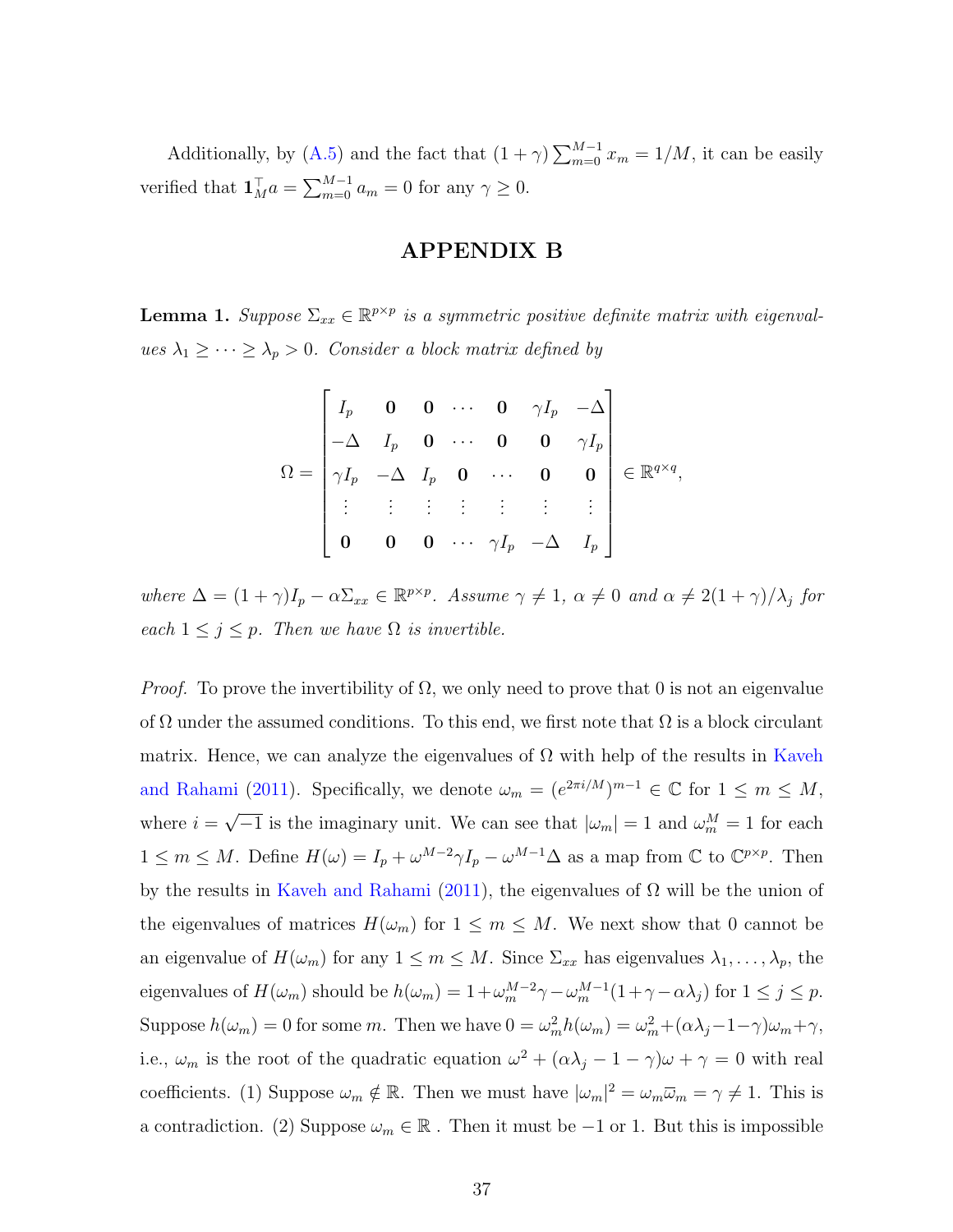Additionally, by [\(A.5\)](#page-33-0) and the fact that  $(1 + \gamma) \sum_{m=0}^{M-1} x_m = 1/M$ , it can be easily verified that  $\mathbf{1}_{M}^{\top} a = \sum_{m=0}^{M-1} a_m = 0$  for any  $\gamma \geq 0$ .

## APPENDIX B

<span id="page-36-0"></span>**Lemma 1.** Suppose  $\Sigma_{xx} \in \mathbb{R}^{p \times p}$  is a symmetric positive definite matrix with eigenvalues  $\lambda_1 \geq \cdots \geq \lambda_p > 0$ . Consider a block matrix defined by

$$
\Omega = \begin{bmatrix} I_p & \mathbf{0} & \mathbf{0} & \cdots & \mathbf{0} & \gamma I_p & -\Delta \\ -\Delta & I_p & \mathbf{0} & \cdots & \mathbf{0} & \mathbf{0} & \gamma I_p \\ \gamma I_p & -\Delta & I_p & \mathbf{0} & \cdots & \mathbf{0} & \mathbf{0} \\ \vdots & \vdots & \vdots & \vdots & \vdots & \vdots & \vdots \\ \mathbf{0} & \mathbf{0} & \mathbf{0} & \cdots & \gamma I_p & -\Delta & I_p \end{bmatrix} \in \mathbb{R}^{q \times q},
$$

where  $\Delta = (1 + \gamma)I_p - \alpha \Sigma_{xx} \in \mathbb{R}^{p \times p}$ . Assume  $\gamma \neq 1$ ,  $\alpha \neq 0$  and  $\alpha \neq 2(1 + \gamma)/\lambda_j$  for each  $1 \leq j \leq p$ . Then we have  $\Omega$  is invertible.

*Proof.* To prove the invertibility of  $\Omega$ , we only need to prove that 0 is not an eigenvalue of  $\Omega$  under the assumed conditions. To this end, we first note that  $\Omega$  is a block circulant matrix. Hence, we can analyze the eigenvalues of  $\Omega$  with help of the results in [Kaveh](#page-42-10) [and Rahami](#page-42-10) [\(2011\)](#page-42-10). Specifically, we denote  $\omega_m = (e^{2\pi i/M})^{m-1} \in \mathbb{C}$  for  $1 \leq m \leq M$ , where  $i =$ √  $\overline{-1}$  is the imaginary unit. We can see that  $|\omega_m|=1$  and  $\omega_m^M=1$  for each  $1 \leq m \leq M$ . Define  $H(\omega) = I_p + \omega^{M-2} \gamma I_p - \omega^{M-1} \Delta$  as a map from  $\mathbb C$  to  $\mathbb C^{p \times p}$ . Then by the results in [Kaveh and Rahami](#page-42-10) [\(2011\)](#page-42-10), the eigenvalues of  $\Omega$  will be the union of the eigenvalues of matrices  $H(\omega_m)$  for  $1 \leq m \leq M$ . We next show that 0 cannot be an eigenvalue of  $H(\omega_m)$  for any  $1 \leq m \leq M$ . Since  $\Sigma_{xx}$  has eigenvalues  $\lambda_1, \ldots, \lambda_p$ , the eigenvalues of  $H(\omega_m)$  should be  $h(\omega_m) = 1 + \omega_m^{M-2} \gamma - \omega_m^{M-1} (1 + \gamma - \alpha \lambda_j)$  for  $1 \le j \le p$ . Suppose  $h(\omega_m) = 0$  for some m. Then we have  $0 = \omega_m^2 h(\omega_m) = \omega_m^2 + (\alpha \lambda_j - 1 - \gamma)\omega_m + \gamma$ , i.e.,  $\omega_m$  is the root of the quadratic equation  $\omega^2 + (\alpha \lambda_j - 1 - \gamma)\omega + \gamma = 0$  with real coefficients. (1) Suppose  $\omega_m \notin \mathbb{R}$ . Then we must have  $|\omega_m|^2 = \omega_m \overline{\omega}_m = \gamma \neq 1$ . This is a contradiction. (2) Suppose  $\omega_m \in \mathbb{R}$ . Then it must be  $-1$  or 1. But this is impossible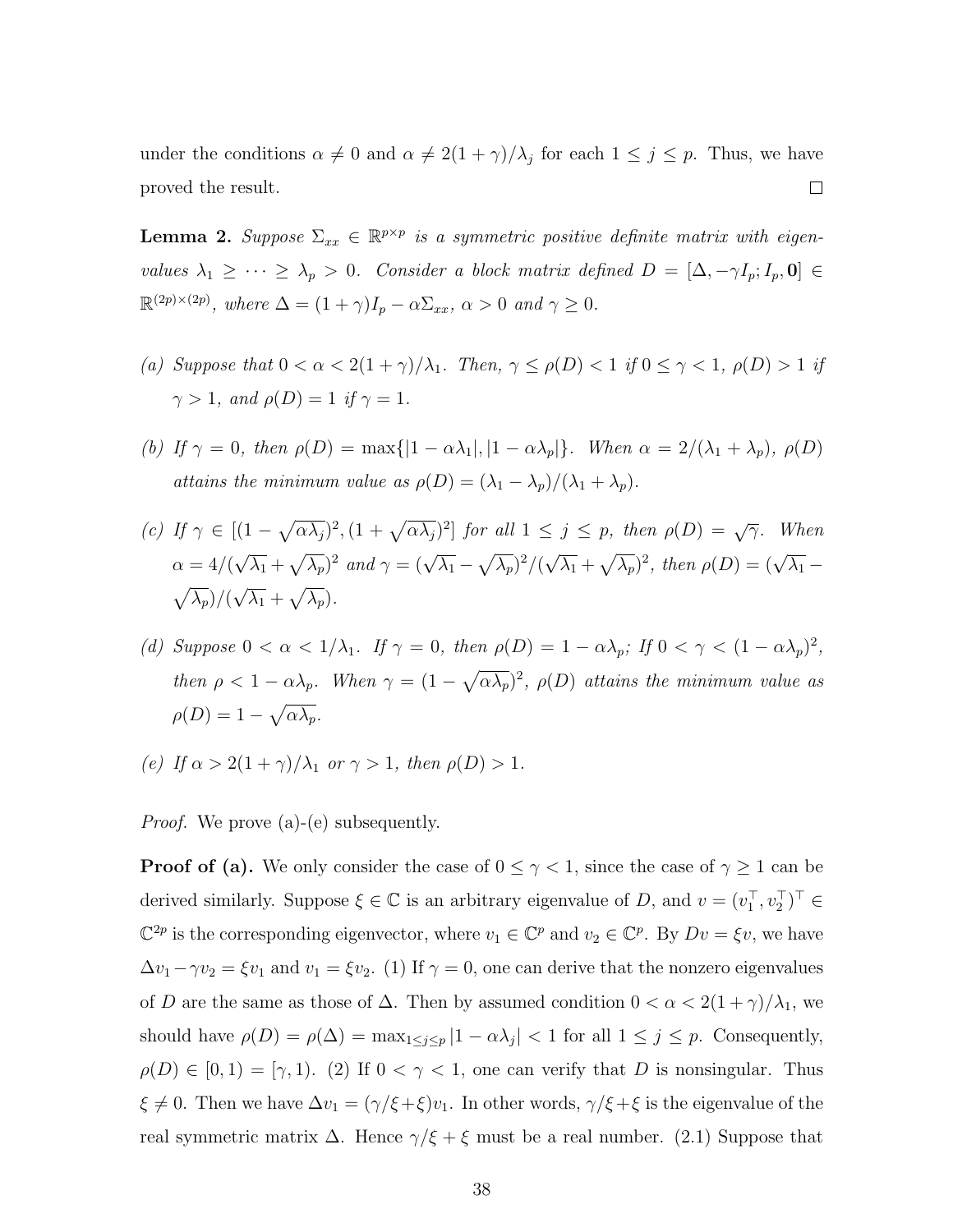under the conditions  $\alpha \neq 0$  and  $\alpha \neq 2(1 + \gamma)/\lambda_j$  for each  $1 \leq j \leq p$ . Thus, we have  $\Box$ proved the result.

<span id="page-37-0"></span>**Lemma 2.** Suppose  $\Sigma_{xx} \in \mathbb{R}^{p \times p}$  is a symmetric positive definite matrix with eigenvalues  $\lambda_1 \geq \cdots \geq \lambda_p > 0$ . Consider a block matrix defined  $D = [\Delta, -\gamma I_p; I_p, 0] \in$  $\mathbb{R}^{(2p)\times(2p)}$ , where  $\Delta = (1+\gamma)I_p - \alpha \Sigma_{xx}, \ \alpha > 0 \ \text{and} \ \gamma \geq 0.$ 

- (a) Suppose that  $0 < \alpha < 2(1+\gamma)/\lambda_1$ . Then,  $\gamma \leq \rho(D) < 1$  if  $0 \leq \gamma < 1$ ,  $\rho(D) > 1$  if  $\gamma > 1$ , and  $\rho(D) = 1$  if  $\gamma = 1$ .
- (b) If  $\gamma = 0$ , then  $\rho(D) = \max\{|1 \alpha \lambda_1|, |1 \alpha \lambda_p|\}$ . When  $\alpha = 2/(\lambda_1 + \lambda_p)$ ,  $\rho(D)$ attains the minimum value as  $\rho(D) = (\lambda_1 - \lambda_p)/(\lambda_1 + \lambda_p)$ .

(c) If 
$$
\gamma \in [(1 - \sqrt{\alpha \lambda_j})^2, (1 + \sqrt{\alpha \lambda_j})^2]
$$
 for all  $1 \le j \le p$ , then  $\rho(D) = \sqrt{\gamma}$ . When  $\alpha = 4/(\sqrt{\lambda_1} + \sqrt{\lambda_p})^2$  and  $\gamma = (\sqrt{\lambda_1} - \sqrt{\lambda_p})^2/(\sqrt{\lambda_1} + \sqrt{\lambda_p})^2$ , then  $\rho(D) = (\sqrt{\lambda_1} - \sqrt{\lambda_p})/(\sqrt{\lambda_1} + \sqrt{\lambda_p})$ .

- (d) Suppose  $0 < \alpha < 1/\lambda_1$ . If  $\gamma = 0$ , then  $\rho(D) = 1 \alpha \lambda_p$ ; If  $0 < \gamma < (1 \alpha \lambda_p)^2$ , then  $\rho < 1 - \alpha \lambda_p$ . When  $\gamma = (1 - \sqrt{\alpha \lambda_p})^2$ ,  $\rho(D)$  attains the minimum value as  $\rho(D) = 1 - \sqrt{\alpha \lambda_p}.$
- (e) If  $\alpha > 2(1+\gamma)/\lambda_1$  or  $\gamma > 1$ , then  $\rho(D) > 1$ .

*Proof.* We prove (a)-(e) subsequently.

**Proof of (a).** We only consider the case of  $0 \leq \gamma < 1$ , since the case of  $\gamma \geq 1$  can be derived similarly. Suppose  $\xi \in \mathbb{C}$  is an arbitrary eigenvalue of D, and  $v = (v_1^{\top}, v_2^{\top})^{\top} \in$  $\mathbb{C}^{2p}$  is the corresponding eigenvector, where  $v_1 \in \mathbb{C}^p$  and  $v_2 \in \mathbb{C}^p$ . By  $Dv = \xi v$ , we have  $\Delta v_1 - \gamma v_2 = \xi v_1$  and  $v_1 = \xi v_2$ . (1) If  $\gamma = 0$ , one can derive that the nonzero eigenvalues of D are the same as those of  $\Delta$ . Then by assumed condition  $0 < \alpha < 2(1+\gamma)/\lambda_1$ , we should have  $\rho(D) = \rho(\Delta) = \max_{1 \leq j \leq p} |1 - \alpha \lambda_j| < 1$  for all  $1 \leq j \leq p$ . Consequently,  $\rho(D) \in [0,1) = [\gamma,1)$ . (2) If  $0 < \gamma < 1$ , one can verify that D is nonsingular. Thus  $\xi \neq 0$ . Then we have  $\Delta v_1 = (\gamma/\xi + \xi)v_1$ . In other words,  $\gamma/\xi + \xi$  is the eigenvalue of the real symmetric matrix  $\Delta$ . Hence  $\gamma/\xi + \xi$  must be a real number. (2.1) Suppose that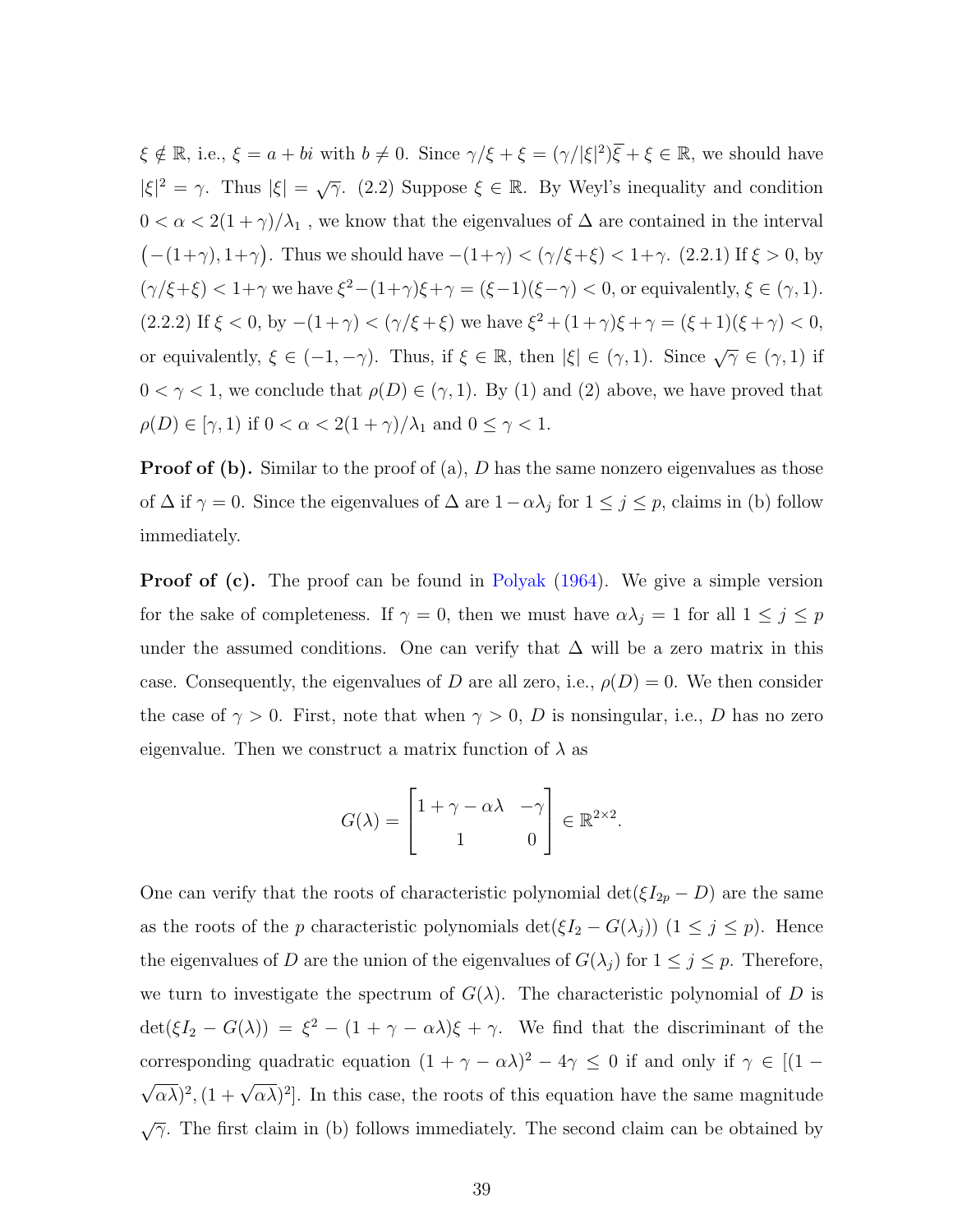$\xi \notin \mathbb{R}$ , i.e.,  $\xi = a + bi$  with  $b \neq 0$ . Since  $\gamma/\xi + \xi = (\gamma/|\xi|^2)\overline{\xi} + \xi \in \mathbb{R}$ , we should have  $|\xi|^2 = \gamma$ . Thus  $|\xi| = \sqrt{\gamma}$ . (2.2) Suppose  $\xi \in \mathbb{R}$ . By Weyl's inequality and condition  $0 < \alpha < 2(1+\gamma)/\lambda_1$ , we know that the eigenvalues of  $\Delta$  are contained in the interval  $(-(1+\gamma), 1+\gamma)$ . Thus we should have  $-(1+\gamma) < (\gamma/\xi+\xi) < 1+\gamma$ . (2.2.1) If  $\xi > 0$ , by  $(\gamma/\xi+\xi) < 1+\gamma$  we have  $\xi^2-(1+\gamma)\xi+\gamma = (\xi-1)(\xi-\gamma) < 0$ , or equivalently,  $\xi \in (\gamma,1)$ . (2.2.2) If  $\xi < 0$ , by  $-(1+\gamma) < (\gamma/\xi + \xi)$  we have  $\xi^2 + (1+\gamma)\xi + \gamma = (\xi + 1)(\xi + \gamma) < 0$ , or equivalently,  $\xi \in (-1, -\gamma)$ . Thus, if  $\xi \in \mathbb{R}$ , then  $|\xi| \in (\gamma, 1)$ . Since  $\sqrt{\gamma} \in (\gamma, 1)$  if  $0 < \gamma < 1$ , we conclude that  $\rho(D) \in (\gamma, 1)$ . By (1) and (2) above, we have proved that  $\rho(D) \in [\gamma, 1]$  if  $0 < \alpha < 2(1 + \gamma)/\lambda_1$  and  $0 \le \gamma < 1$ .

**Proof of (b).** Similar to the proof of  $(a)$ , D has the same nonzero eigenvalues as those of  $\Delta$  if  $\gamma = 0$ . Since the eigenvalues of  $\Delta$  are  $1 - \alpha \lambda_j$  for  $1 \le j \le p$ , claims in (b) follow immediately.

**Proof of (c).** The proof can be found in [Polyak](#page-42-4) [\(1964\)](#page-42-4). We give a simple version for the sake of completeness. If  $\gamma = 0$ , then we must have  $\alpha \lambda_j = 1$  for all  $1 \leq j \leq p$ under the assumed conditions. One can verify that  $\Delta$  will be a zero matrix in this case. Consequently, the eigenvalues of D are all zero, i.e.,  $\rho(D) = 0$ . We then consider the case of  $\gamma > 0$ . First, note that when  $\gamma > 0$ , D is nonsingular, i.e., D has no zero eigenvalue. Then we construct a matrix function of  $\lambda$  as

$$
G(\lambda) = \begin{bmatrix} 1 + \gamma - \alpha \lambda & -\gamma \\ 1 & 0 \end{bmatrix} \in \mathbb{R}^{2 \times 2}.
$$

One can verify that the roots of characteristic polynomial  $\det(\xi I_{2p} - D)$  are the same as the roots of the p characteristic polynomials  $\det(\xi I_2 - G(\lambda_j))$   $(1 \le j \le p)$ . Hence the eigenvalues of D are the union of the eigenvalues of  $G(\lambda_j)$  for  $1 \leq j \leq p$ . Therefore, we turn to investigate the spectrum of  $G(\lambda)$ . The characteristic polynomial of D is  $\det(\xi I_2 - G(\lambda)) = \xi^2 - (1 + \gamma - \alpha \lambda)\xi + \gamma$ . We find that the discriminant of the corresponding quadratic equation  $(1 + \gamma - \alpha \lambda)^2 - 4\gamma \leq 0$  if and only if  $\gamma \in [(1 - \alpha \lambda)^2 - 4\gamma]$ √  $(\alpha \lambda)^2$ ,  $(1 + \sqrt{\alpha \lambda})^2$ . In this case, the roots of this equation have the same magnitude  $\sqrt{\gamma}$ . The first claim in (b) follows immediately. The second claim can be obtained by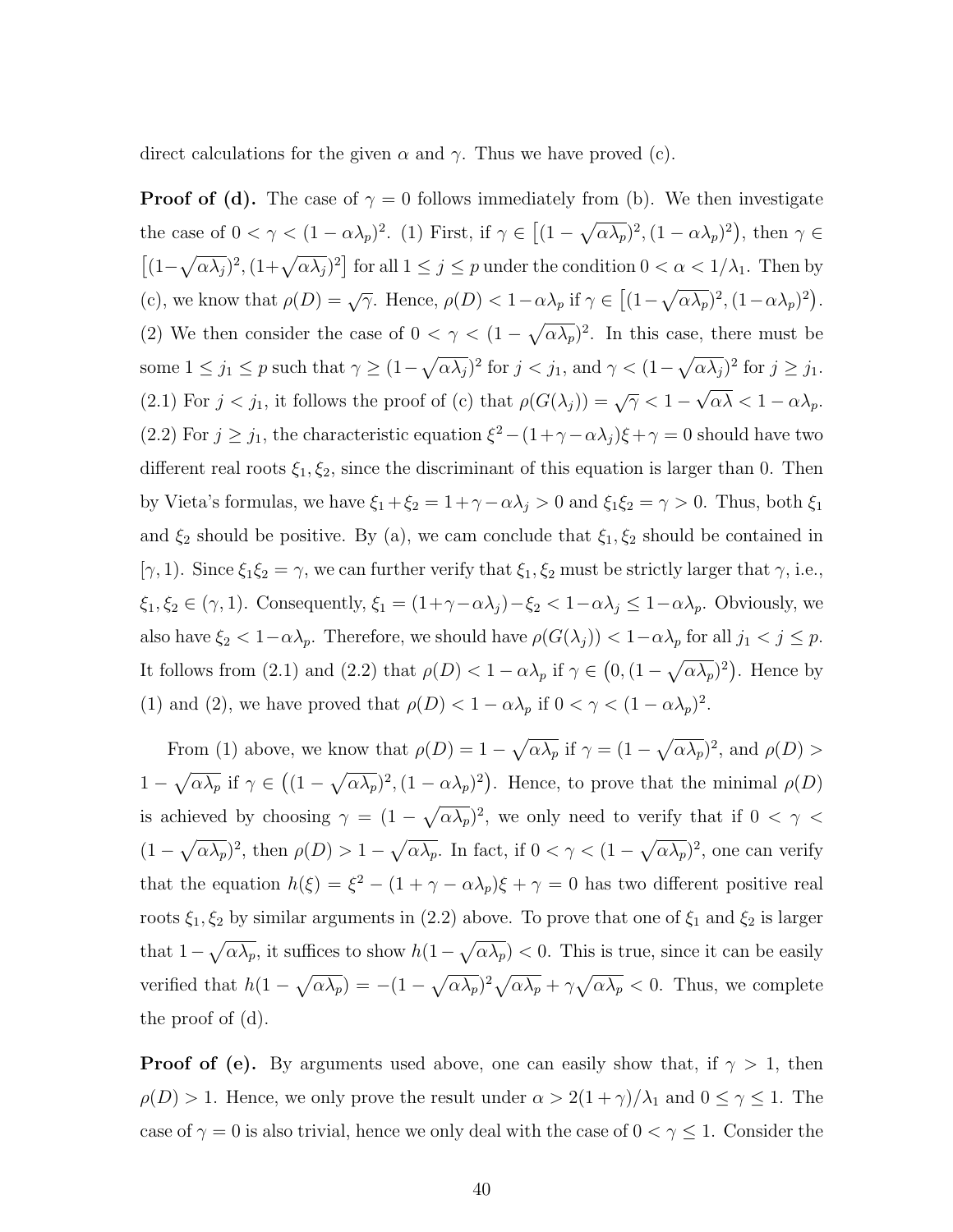direct calculations for the given  $\alpha$  and  $\gamma$ . Thus we have proved (c).

**Proof of (d).** The case of  $\gamma = 0$  follows immediately from (b). We then investigate the case of  $0 < \gamma < (1 - \alpha \lambda_p)^2$ . (1) First, if  $\gamma \in [(1 - \sqrt{\alpha \lambda_p})^2, (1 - \alpha \lambda_p)^2)$ , then  $\gamma \in$  $[(1-\sqrt{\alpha\lambda_j})^2, (1+\sqrt{\alpha\lambda_j})^2]$  for all  $1 \leq j \leq p$  under the condition  $0 < \alpha < 1/\lambda_1$ . Then by (c), we know that  $\rho(D) = \sqrt{\gamma}$ . Hence,  $\rho(D) < 1 - \alpha \lambda_p$  if  $\gamma \in [(1 - \sqrt{\alpha \lambda_p})^2, (1 - \alpha \lambda_p)^2)$ . (2) We then consider the case of  $0 < \gamma < (1 - \sqrt{\alpha \lambda_p})^2$ . In this case, there must be some  $1 \leq j_1 \leq p$  such that  $\gamma \geq (1 - \sqrt{\alpha \lambda_j})^2$  for  $j < j_1$ , and  $\gamma < (1 - \sqrt{\alpha \lambda_j})^2$  for  $j \geq j_1$ . (2.1) For  $j < j_1$ , it follows the proof of (c) that  $\rho(G(\lambda_j)) = \sqrt{\gamma} < 1 - \sqrt{\gamma}$  $\alpha\lambda < 1 - \alpha\lambda_p.$ (2.2) For  $j \geq j_1$ , the characteristic equation  $\xi^2 - (1 + \gamma - \alpha \lambda_j)\xi + \gamma = 0$  should have two different real roots  $\xi_1, \xi_2$ , since the discriminant of this equation is larger than 0. Then by Vieta's formulas, we have  $\xi_1 + \xi_2 = 1 + \gamma - \alpha \lambda_j > 0$  and  $\xi_1 \xi_2 = \gamma > 0$ . Thus, both  $\xi_1$ and  $\xi_2$  should be positive. By (a), we cam conclude that  $\xi_1, \xi_2$  should be contained in [ $\gamma$ , 1). Since  $\xi_1 \xi_2 = \gamma$ , we can further verify that  $\xi_1, \xi_2$  must be strictly larger that  $\gamma$ , i.e.,  $\xi_1, \xi_2 \in (\gamma, 1)$ . Consequently,  $\xi_1 = (1 + \gamma - \alpha \lambda_j) - \xi_2 < 1 - \alpha \lambda_j \leq 1 - \alpha \lambda_p$ . Obviously, we also have  $\xi_2 < 1-\alpha\lambda_p$ . Therefore, we should have  $\rho(G(\lambda_j)) < 1-\alpha\lambda_p$  for all  $j_1 < j \leq p$ . It follows from (2.1) and (2.2) that  $\rho(D) < 1 - \alpha \lambda_p$  if  $\gamma \in (0, (1 - \sqrt{\alpha \lambda_p})^2)$ . Hence by (1) and (2), we have proved that  $\rho(D) < 1 - \alpha \lambda_p$  if  $0 < \gamma < (1 - \alpha \lambda_p)^2$ .

From (1) above, we know that  $\rho(D) = 1 - \sqrt{\alpha \lambda_p}$  if  $\gamma = (1 - \sqrt{\alpha \lambda_p})^2$ , and  $\rho(D) >$  $1-\sqrt{\alpha\lambda_p}$  if  $\gamma \in ((1-\sqrt{\alpha\lambda_p})^2, (1-\alpha\lambda_p)^2)$ . Hence, to prove that the minimal  $\rho(D)$ is achieved by choosing  $\gamma = (1 - \sqrt{\alpha \lambda_p})^2$ , we only need to verify that if  $0 < \gamma <$  $(1-\sqrt{\alpha\lambda_p})^2$ , then  $\rho(D) > 1-\sqrt{\alpha\lambda_p}$ . In fact, if  $0 < \gamma < (1-\sqrt{\alpha\lambda_p})^2$ , one can verify that the equation  $h(\xi) = \xi^2 - (1 + \gamma - \alpha \lambda_p)\xi + \gamma = 0$  has two different positive real roots  $\xi_1, \xi_2$  by similar arguments in (2.2) above. To prove that one of  $\xi_1$  and  $\xi_2$  is larger that  $1-\sqrt{\alpha\lambda_p}$ , it suffices to show  $h(1-\sqrt{\alpha\lambda_p}) < 0$ . This is true, since it can be easily verified that  $h(1-\sqrt{\alpha\lambda_p}) = -(1-\sqrt{\alpha\lambda_p})^2\sqrt{\alpha\lambda_p} + \gamma\sqrt{\alpha\lambda_p} < 0$ . Thus, we complete the proof of (d).

**Proof of (e).** By arguments used above, one can easily show that, if  $\gamma > 1$ , then  $\rho(D) > 1$ . Hence, we only prove the result under  $\alpha > 2(1+\gamma)/\lambda_1$  and  $0 \le \gamma \le 1$ . The case of  $\gamma = 0$  is also trivial, hence we only deal with the case of  $0 < \gamma \leq 1$ . Consider the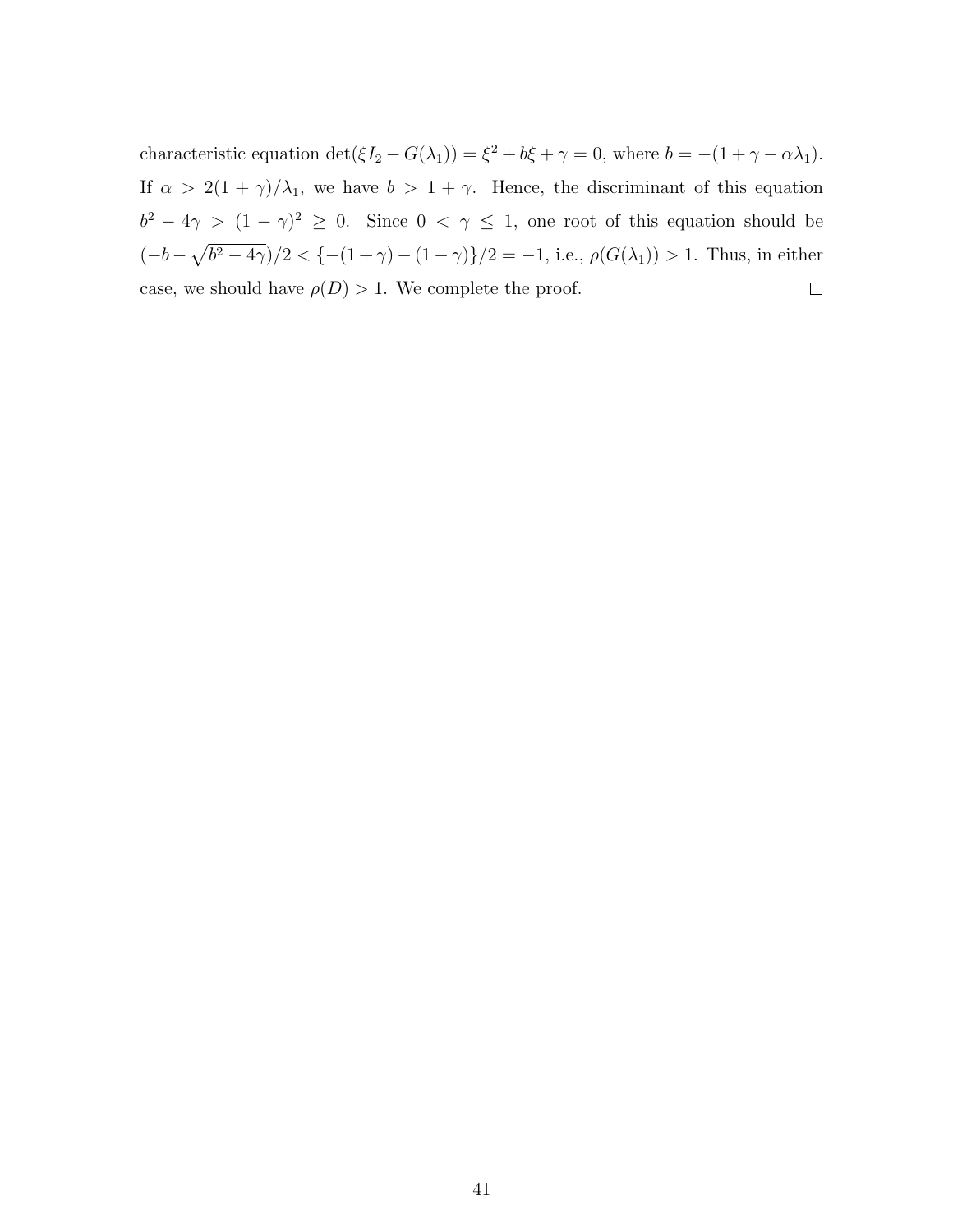characteristic equation  $\det(\xi I_2 - G(\lambda_1)) = \xi^2 + b\xi + \gamma = 0$ , where  $b = -(1 + \gamma - \alpha\lambda_1)$ . If  $\alpha > 2(1 + \gamma)/\lambda_1$ , we have  $b > 1 + \gamma$ . Hence, the discriminant of this equation  $b^2 - 4\gamma > (1 - \gamma)^2 \geq 0$ . Since  $0 < \gamma \leq 1$ , one root of this equation should be  $(-b-\sqrt{b^2-4\gamma})/2 < {-(1+\gamma)-(1-\gamma)}/2 = -1$ , i.e.,  $\rho(G(\lambda_1)) > 1$ . Thus, in either case, we should have  $\rho(D) > 1$ . We complete the proof.  $\Box$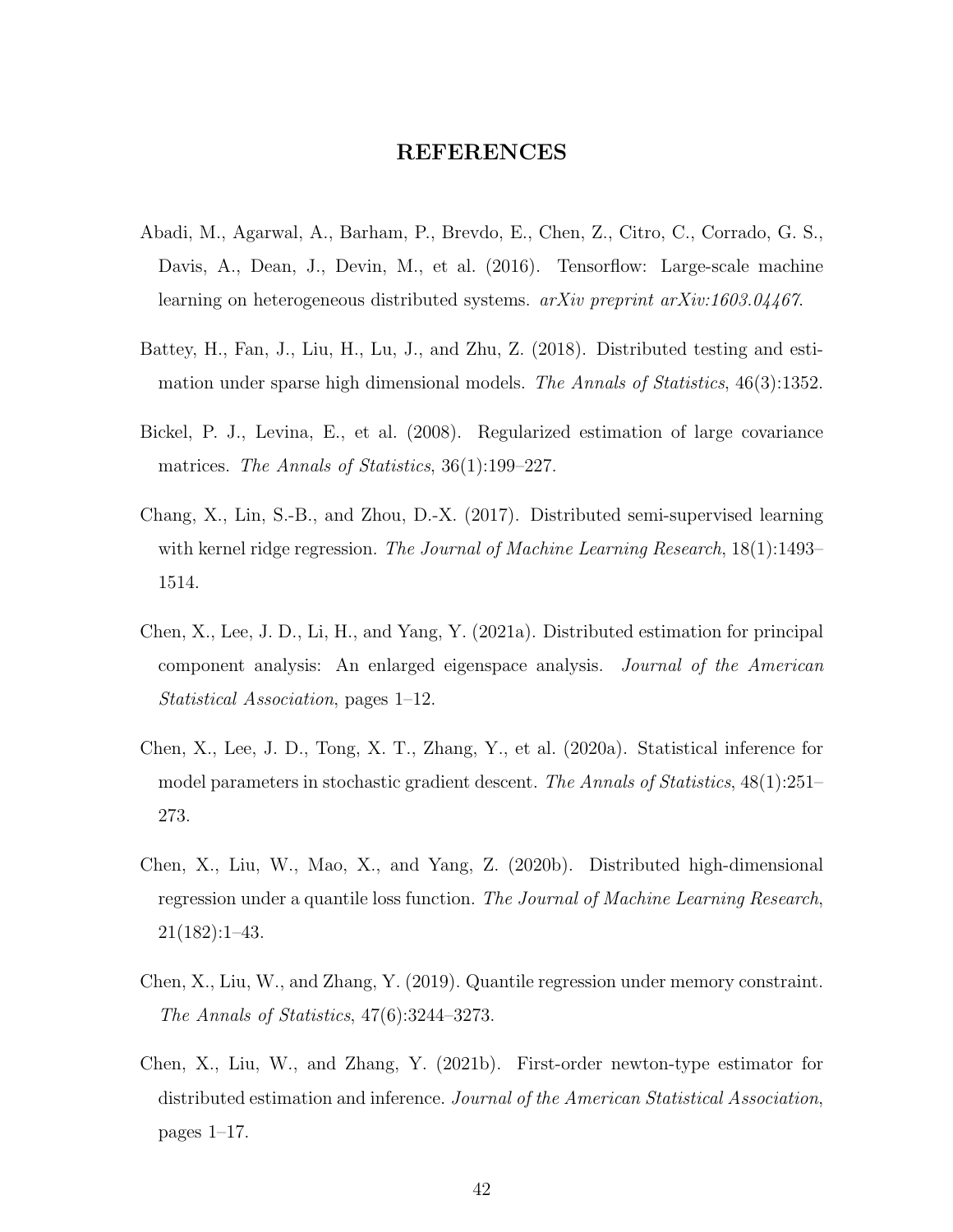### REFERENCES

- <span id="page-41-7"></span>Abadi, M., Agarwal, A., Barham, P., Brevdo, E., Chen, Z., Citro, C., Corrado, G. S., Davis, A., Dean, J., Devin, M., et al. (2016). Tensorflow: Large-scale machine learning on heterogeneous distributed systems. arXiv preprint arXiv:1603.04467.
- <span id="page-41-0"></span>Battey, H., Fan, J., Liu, H., Lu, J., and Zhu, Z. (2018). Distributed testing and estimation under sparse high dimensional models. The Annals of Statistics, 46(3):1352.
- <span id="page-41-8"></span>Bickel, P. J., Levina, E., et al. (2008). Regularized estimation of large covariance matrices. The Annals of Statistics, 36(1):199-227.
- <span id="page-41-3"></span>Chang, X., Lin, S.-B., and Zhou, D.-X. (2017). Distributed semi-supervised learning with kernel ridge regression. The Journal of Machine Learning Research, 18(1):1493– 1514.
- <span id="page-41-4"></span>Chen, X., Lee, J. D., Li, H., and Yang, Y. (2021a). Distributed estimation for principal component analysis: An enlarged eigenspace analysis. Journal of the American Statistical Association, pages 1–12.
- <span id="page-41-6"></span>Chen, X., Lee, J. D., Tong, X. T., Zhang, Y., et al. (2020a). Statistical inference for model parameters in stochastic gradient descent. The Annals of Statistics, 48(1):251– 273.
- <span id="page-41-2"></span>Chen, X., Liu, W., Mao, X., and Yang, Z. (2020b). Distributed high-dimensional regression under a quantile loss function. The Journal of Machine Learning Research, 21(182):1–43.
- <span id="page-41-1"></span>Chen, X., Liu, W., and Zhang, Y. (2019). Quantile regression under memory constraint. The Annals of Statistics, 47(6):3244–3273.
- <span id="page-41-5"></span>Chen, X., Liu, W., and Zhang, Y. (2021b). First-order newton-type estimator for distributed estimation and inference. Journal of the American Statistical Association, pages 1–17.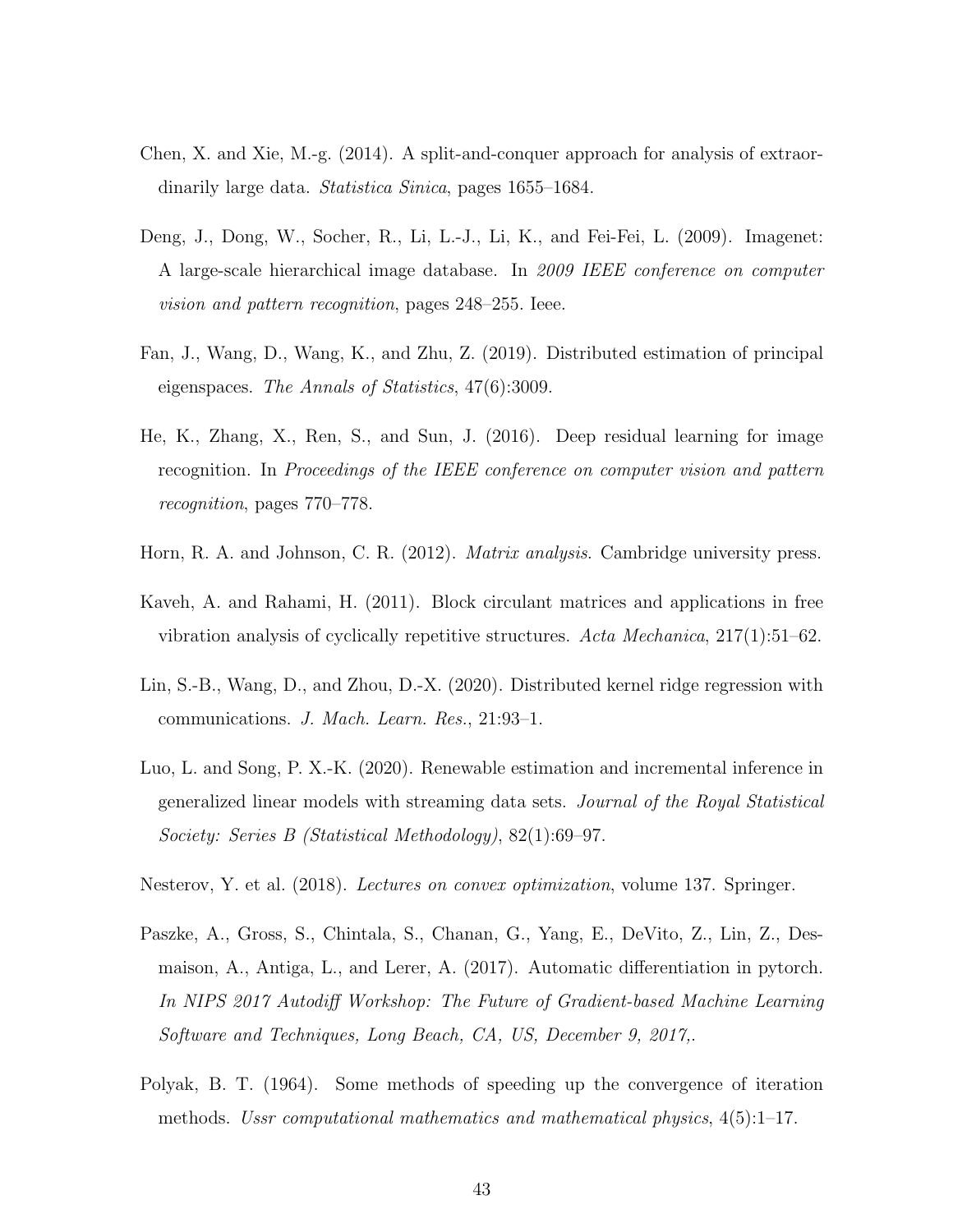- <span id="page-42-1"></span>Chen, X. and Xie, M.-g. (2014). A split-and-conquer approach for analysis of extraordinarily large data. *Statistica Sinica*, pages 1655–1684.
- <span id="page-42-0"></span>Deng, J., Dong, W., Socher, R., Li, L.-J., Li, K., and Fei-Fei, L. (2009). Imagenet: A large-scale hierarchical image database. In 2009 IEEE conference on computer vision and pattern recognition, pages 248–255. Ieee.
- <span id="page-42-3"></span>Fan, J., Wang, D., Wang, K., and Zhu, Z. (2019). Distributed estimation of principal eigenspaces. The Annals of Statistics, 47(6):3009.
- <span id="page-42-5"></span>He, K., Zhang, X., Ren, S., and Sun, J. (2016). Deep residual learning for image recognition. In Proceedings of the IEEE conference on computer vision and pattern recognition, pages 770–778.
- <span id="page-42-9"></span>Horn, R. A. and Johnson, C. R. (2012). *Matrix analysis*. Cambridge university press.
- <span id="page-42-10"></span>Kaveh, A. and Rahami, H. (2011). Block circulant matrices and applications in free vibration analysis of cyclically repetitive structures. Acta Mechanica, 217(1):51–62.
- <span id="page-42-2"></span>Lin, S.-B., Wang, D., and Zhou, D.-X. (2020). Distributed kernel ridge regression with communications. J. Mach. Learn. Res., 21:93–1.
- <span id="page-42-6"></span>Luo, L. and Song, P. X.-K. (2020). Renewable estimation and incremental inference in generalized linear models with streaming data sets. Journal of the Royal Statistical Society: Series B (Statistical Methodology), 82(1):69–97.
- <span id="page-42-8"></span>Nesterov, Y. et al. (2018). Lectures on convex optimization, volume 137. Springer.
- <span id="page-42-7"></span>Paszke, A., Gross, S., Chintala, S., Chanan, G., Yang, E., DeVito, Z., Lin, Z., Desmaison, A., Antiga, L., and Lerer, A. (2017). Automatic differentiation in pytorch. In NIPS 2017 Autodiff Workshop: The Future of Gradient-based Machine Learning Software and Techniques, Long Beach, CA, US, December 9, 2017,.
- <span id="page-42-4"></span>Polyak, B. T. (1964). Some methods of speeding up the convergence of iteration methods. Ussr computational mathematics and mathematical physics,  $4(5):1-17$ .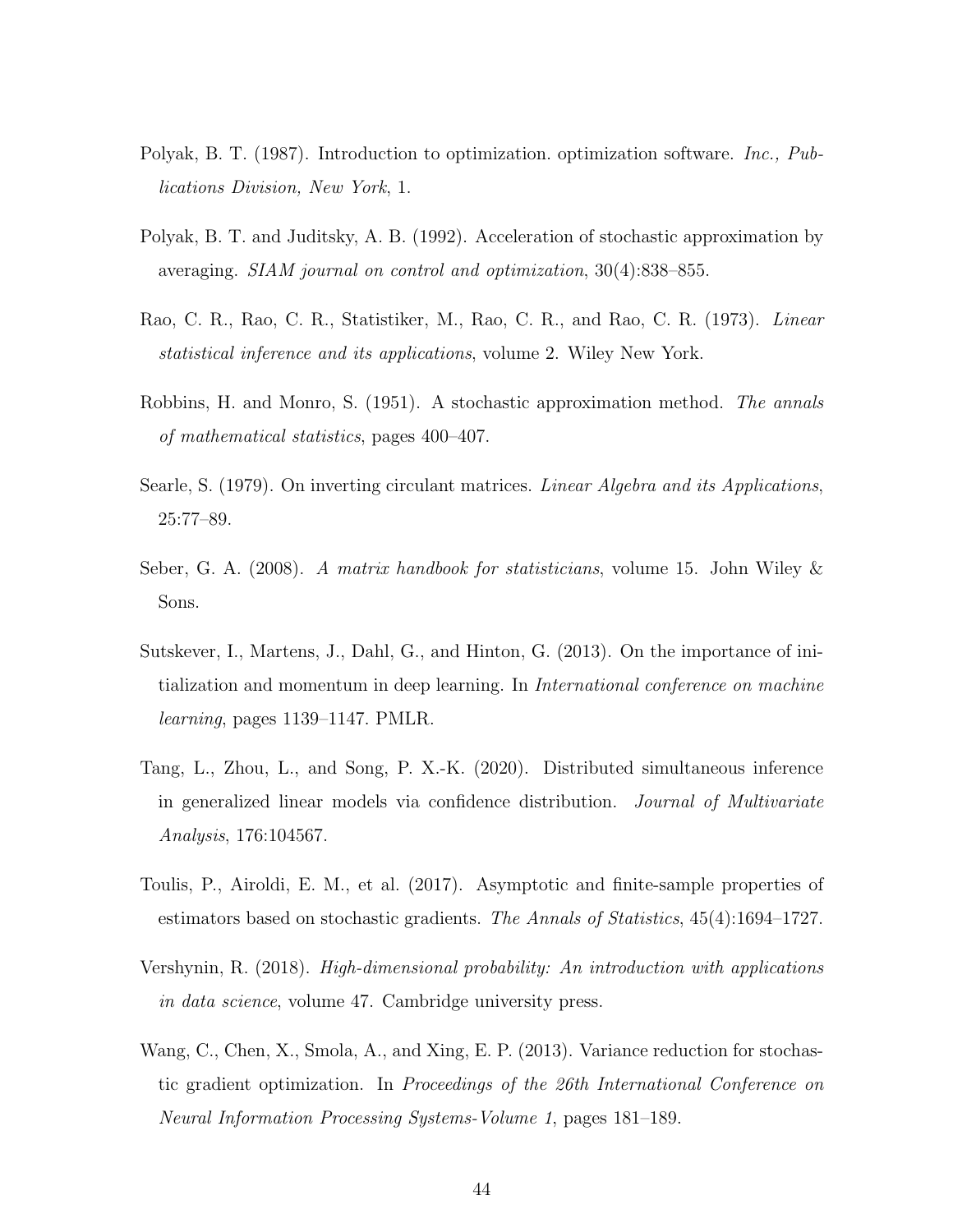- <span id="page-43-1"></span>Polyak, B. T. (1987). Introduction to optimization. optimization software. Inc., Publications Division, New York, 1.
- <span id="page-43-7"></span>Polyak, B. T. and Juditsky, A. B. (1992). Acceleration of stochastic approximation by averaging. SIAM journal on control and optimization, 30(4):838–855.
- <span id="page-43-5"></span>Rao, C. R., Rao, C. R., Statistiker, M., Rao, C. R., and Rao, C. R. (1973). Linear statistical inference and its applications, volume 2. Wiley New York.
- <span id="page-43-2"></span>Robbins, H. and Monro, S. (1951). A stochastic approximation method. The annals of mathematical statistics, pages 400–407.
- <span id="page-43-10"></span>Searle, S. (1979). On inverting circulant matrices. *Linear Algebra and its Applications*, 25:77–89.
- <span id="page-43-9"></span>Seber, G. A. (2008). A matrix handbook for statisticians, volume 15. John Wiley & Sons.
- <span id="page-43-6"></span>Sutskever, I., Martens, J., Dahl, G., and Hinton, G. (2013). On the importance of initialization and momentum in deep learning. In International conference on machine learning, pages 1139–1147. PMLR.
- <span id="page-43-0"></span>Tang, L., Zhou, L., and Song, P. X.-K. (2020). Distributed simultaneous inference in generalized linear models via confidence distribution. Journal of Multivariate Analysis, 176:104567.
- <span id="page-43-4"></span>Toulis, P., Airoldi, E. M., et al. (2017). Asymptotic and finite-sample properties of estimators based on stochastic gradients. The Annals of Statistics, 45(4):1694–1727.
- <span id="page-43-8"></span>Vershynin, R. (2018). High-dimensional probability: An introduction with applications in data science, volume 47. Cambridge university press.
- <span id="page-43-3"></span>Wang, C., Chen, X., Smola, A., and Xing, E. P. (2013). Variance reduction for stochastic gradient optimization. In Proceedings of the 26th International Conference on Neural Information Processing Systems-Volume 1, pages 181–189.